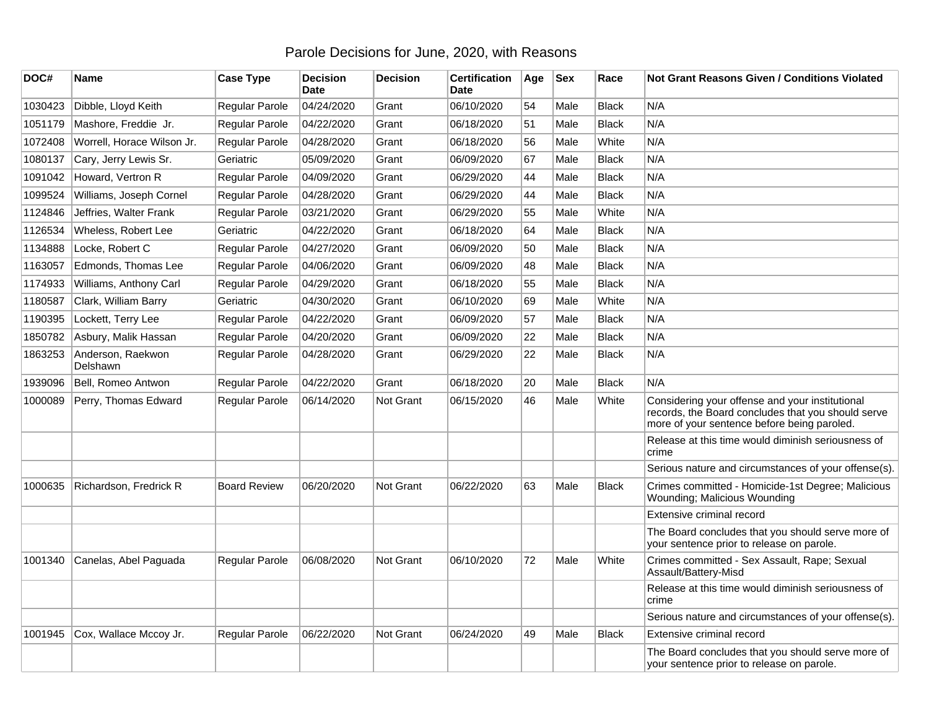## Parole Decisions for June, 2020, with Reasons

| DOC#    | Name                          | <b>Case Type</b>    | <b>Decision</b><br><b>Date</b> | <b>Decision</b> | <b>Certification</b><br><b>Date</b> | Age | <b>Sex</b> | Race         | <b>Not Grant Reasons Given / Conditions Violated</b>                                                                                                 |
|---------|-------------------------------|---------------------|--------------------------------|-----------------|-------------------------------------|-----|------------|--------------|------------------------------------------------------------------------------------------------------------------------------------------------------|
| 1030423 | Dibble, Lloyd Keith           | Regular Parole      | 04/24/2020                     | Grant           | 06/10/2020                          | 54  | Male       | <b>Black</b> | N/A                                                                                                                                                  |
| 1051179 | Mashore, Freddie Jr.          | Regular Parole      | 04/22/2020                     | Grant           | 06/18/2020                          | 51  | Male       | <b>Black</b> | N/A                                                                                                                                                  |
| 1072408 | Worrell, Horace Wilson Jr.    | Regular Parole      | 04/28/2020                     | Grant           | 06/18/2020                          | 56  | Male       | White        | N/A                                                                                                                                                  |
| 1080137 | Cary, Jerry Lewis Sr.         | Geriatric           | 05/09/2020                     | Grant           | 06/09/2020                          | 67  | Male       | <b>Black</b> | N/A                                                                                                                                                  |
| 1091042 | Howard, Vertron R             | Regular Parole      | 04/09/2020                     | Grant           | 06/29/2020                          | 44  | Male       | <b>Black</b> | N/A                                                                                                                                                  |
| 1099524 | Williams, Joseph Cornel       | Regular Parole      | 04/28/2020                     | Grant           | 06/29/2020                          | 44  | Male       | <b>Black</b> | N/A                                                                                                                                                  |
| 1124846 | Jeffries, Walter Frank        | Regular Parole      | 03/21/2020                     | Grant           | 06/29/2020                          | 55  | Male       | White        | N/A                                                                                                                                                  |
| 1126534 | Wheless, Robert Lee           | Geriatric           | 04/22/2020                     | Grant           | 06/18/2020                          | 64  | Male       | <b>Black</b> | N/A                                                                                                                                                  |
| 1134888 | Locke, Robert C               | Regular Parole      | 04/27/2020                     | Grant           | 06/09/2020                          | 50  | Male       | <b>Black</b> | N/A                                                                                                                                                  |
| 1163057 | Edmonds, Thomas Lee           | Regular Parole      | 04/06/2020                     | Grant           | 06/09/2020                          | 48  | Male       | <b>Black</b> | N/A                                                                                                                                                  |
| 1174933 | Williams, Anthony Carl        | Regular Parole      | 04/29/2020                     | Grant           | 06/18/2020                          | 55  | Male       | <b>Black</b> | N/A                                                                                                                                                  |
| 1180587 | Clark, William Barry          | Geriatric           | 04/30/2020                     | Grant           | 06/10/2020                          | 69  | Male       | White        | N/A                                                                                                                                                  |
| 1190395 | Lockett, Terry Lee            | Regular Parole      | 04/22/2020                     | Grant           | 06/09/2020                          | 57  | Male       | <b>Black</b> | N/A                                                                                                                                                  |
| 1850782 | Asbury, Malik Hassan          | Regular Parole      | 04/20/2020                     | Grant           | 06/09/2020                          | 22  | Male       | <b>Black</b> | N/A                                                                                                                                                  |
| 1863253 | Anderson, Raekwon<br>Delshawn | Regular Parole      | 04/28/2020                     | Grant           | 06/29/2020                          | 22  | Male       | <b>Black</b> | N/A                                                                                                                                                  |
| 1939096 | Bell, Romeo Antwon            | Regular Parole      | 04/22/2020                     | Grant           | 06/18/2020                          | 20  | Male       | <b>Black</b> | N/A                                                                                                                                                  |
| 1000089 | Perry, Thomas Edward          | Regular Parole      | 06/14/2020                     | Not Grant       | 06/15/2020                          | 46  | Male       | White        | Considering your offense and your institutional<br>records, the Board concludes that you should serve<br>more of your sentence before being paroled. |
|         |                               |                     |                                |                 |                                     |     |            |              | Release at this time would diminish seriousness of<br>crime                                                                                          |
|         |                               |                     |                                |                 |                                     |     |            |              | Serious nature and circumstances of your offense(s).                                                                                                 |
| 1000635 | Richardson, Fredrick R        | <b>Board Review</b> | 06/20/2020                     | Not Grant       | 06/22/2020                          | 63  | Male       | <b>Black</b> | Crimes committed - Homicide-1st Degree; Malicious<br>Wounding; Malicious Wounding                                                                    |
|         |                               |                     |                                |                 |                                     |     |            |              | Extensive criminal record                                                                                                                            |
|         |                               |                     |                                |                 |                                     |     |            |              | The Board concludes that you should serve more of<br>your sentence prior to release on parole.                                                       |
| 1001340 | Canelas, Abel Paguada         | Regular Parole      | 06/08/2020                     | Not Grant       | 06/10/2020                          | 72  | Male       | White        | Crimes committed - Sex Assault, Rape; Sexual<br>Assault/Battery-Misd                                                                                 |
|         |                               |                     |                                |                 |                                     |     |            |              | Release at this time would diminish seriousness of<br>crime                                                                                          |
|         |                               |                     |                                |                 |                                     |     |            |              | Serious nature and circumstances of your offense(s).                                                                                                 |
| 1001945 | Cox, Wallace Mccoy Jr.        | Regular Parole      | 06/22/2020                     | Not Grant       | 06/24/2020                          | 49  | Male       | <b>Black</b> | Extensive criminal record                                                                                                                            |
|         |                               |                     |                                |                 |                                     |     |            |              | The Board concludes that you should serve more of<br>your sentence prior to release on parole.                                                       |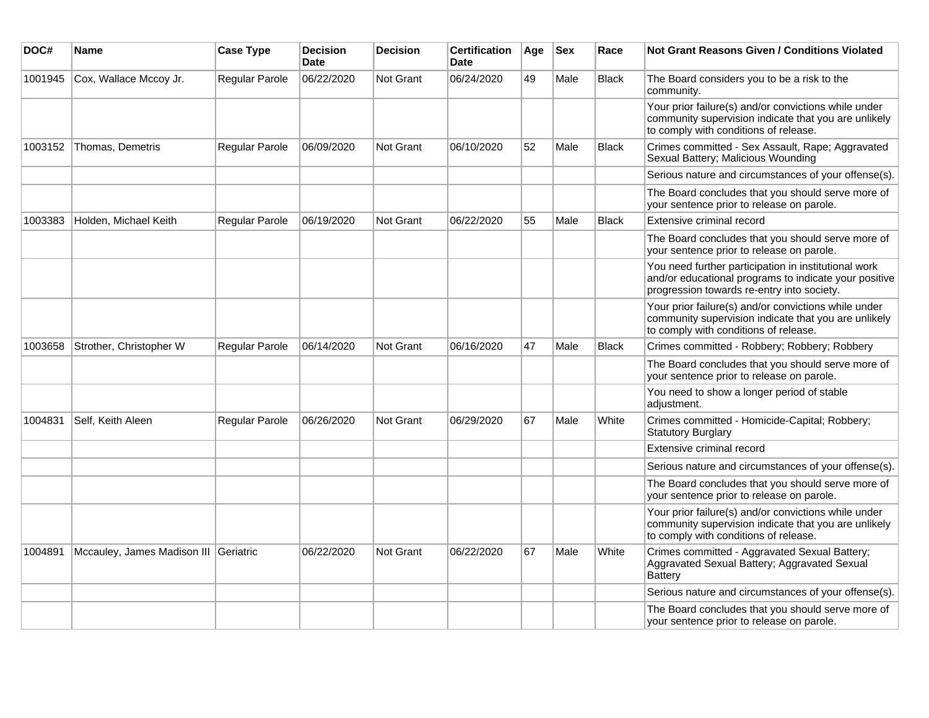| DOC#    | Name                                  | <b>Case Type</b> | <b>Decision</b><br><b>Date</b> | <b>Decision</b>  | <b>Certification</b><br>Date | Age | <b>Sex</b> | Race         | <b>Not Grant Reasons Given / Conditions Violated</b>                                                                                                        |
|---------|---------------------------------------|------------------|--------------------------------|------------------|------------------------------|-----|------------|--------------|-------------------------------------------------------------------------------------------------------------------------------------------------------------|
| 1001945 | Cox, Wallace Mccoy Jr.                | Regular Parole   | 06/22/2020                     | Not Grant        | 06/24/2020                   | 49  | Male       | <b>Black</b> | The Board considers you to be a risk to the<br>community.                                                                                                   |
|         |                                       |                  |                                |                  |                              |     |            |              | Your prior failure(s) and/or convictions while under<br>community supervision indicate that you are unlikely<br>to comply with conditions of release.       |
| 1003152 | Thomas, Demetris                      | Regular Parole   | 06/09/2020                     | Not Grant        | 06/10/2020                   | 52  | Male       | Black        | Crimes committed - Sex Assault, Rape; Aggravated<br>Sexual Battery; Malicious Wounding                                                                      |
|         |                                       |                  |                                |                  |                              |     |            |              | Serious nature and circumstances of your offense(s).                                                                                                        |
|         |                                       |                  |                                |                  |                              |     |            |              | The Board concludes that you should serve more of<br>your sentence prior to release on parole.                                                              |
| 1003383 | Holden, Michael Keith                 | Regular Parole   | 06/19/2020                     | <b>Not Grant</b> | 06/22/2020                   | 55  | Male       | <b>Black</b> | Extensive criminal record                                                                                                                                   |
|         |                                       |                  |                                |                  |                              |     |            |              | The Board concludes that you should serve more of<br>your sentence prior to release on parole.                                                              |
|         |                                       |                  |                                |                  |                              |     |            |              | You need further participation in institutional work<br>and/or educational programs to indicate your positive<br>progression towards re-entry into society. |
|         |                                       |                  |                                |                  |                              |     |            |              | Your prior failure(s) and/or convictions while under<br>community supervision indicate that you are unlikely<br>to comply with conditions of release.       |
| 1003658 | Strother, Christopher W               | Regular Parole   | 06/14/2020                     | Not Grant        | 06/16/2020                   | 47  | Male       | <b>Black</b> | Crimes committed - Robbery; Robbery; Robbery                                                                                                                |
|         |                                       |                  |                                |                  |                              |     |            |              | The Board concludes that you should serve more of<br>your sentence prior to release on parole.                                                              |
|         |                                       |                  |                                |                  |                              |     |            |              | You need to show a longer period of stable<br>adjustment.                                                                                                   |
| 1004831 | Self, Keith Aleen                     | Regular Parole   | 06/26/2020                     | Not Grant        | 06/29/2020                   | 67  | Male       | White        | Crimes committed - Homicide-Capital; Robbery;<br><b>Statutory Burglary</b>                                                                                  |
|         |                                       |                  |                                |                  |                              |     |            |              | Extensive criminal record                                                                                                                                   |
|         |                                       |                  |                                |                  |                              |     |            |              | Serious nature and circumstances of your offense(s).                                                                                                        |
|         |                                       |                  |                                |                  |                              |     |            |              | The Board concludes that you should serve more of<br>your sentence prior to release on parole.                                                              |
|         |                                       |                  |                                |                  |                              |     |            |              | Your prior failure(s) and/or convictions while under<br>community supervision indicate that you are unlikely<br>to comply with conditions of release.       |
| 1004891 | Mccauley, James Madison III Geriatric |                  | 06/22/2020                     | Not Grant        | 06/22/2020                   | 67  | Male       | White        | Crimes committed - Aggravated Sexual Battery;<br>Aggravated Sexual Battery; Aggravated Sexual<br><b>Battery</b>                                             |
|         |                                       |                  |                                |                  |                              |     |            |              | Serious nature and circumstances of your offense(s).                                                                                                        |
|         |                                       |                  |                                |                  |                              |     |            |              | The Board concludes that you should serve more of<br>your sentence prior to release on parole.                                                              |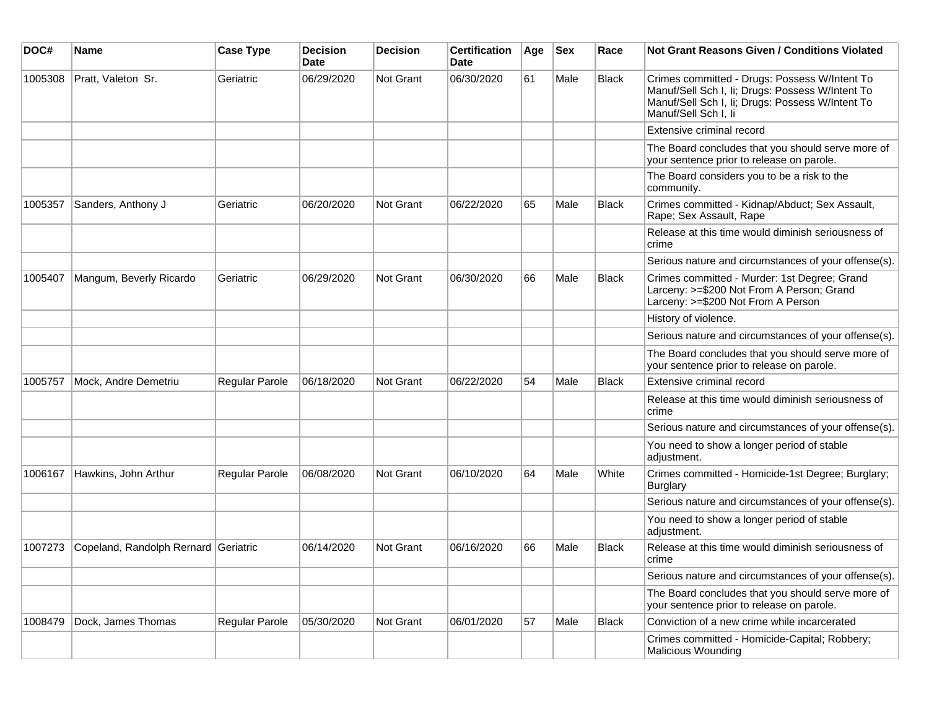| DOC#    | Name                                 | <b>Case Type</b> | <b>Decision</b><br>Date | <b>Decision</b> | <b>Certification</b><br><b>Date</b> | Age | <b>Sex</b> | Race         | <b>Not Grant Reasons Given / Conditions Violated</b>                                                                                                                          |
|---------|--------------------------------------|------------------|-------------------------|-----------------|-------------------------------------|-----|------------|--------------|-------------------------------------------------------------------------------------------------------------------------------------------------------------------------------|
| 1005308 | Pratt, Valeton Sr.                   | Geriatric        | 06/29/2020              | Not Grant       | 06/30/2020                          | 61  | Male       | <b>Black</b> | Crimes committed - Drugs: Possess W/Intent To<br>Manuf/Sell Sch I, Ii; Drugs: Possess W/Intent To<br>Manuf/Sell Sch I, Ii; Drugs: Possess W/Intent To<br>Manuf/Sell Sch I, li |
|         |                                      |                  |                         |                 |                                     |     |            |              | Extensive criminal record                                                                                                                                                     |
|         |                                      |                  |                         |                 |                                     |     |            |              | The Board concludes that you should serve more of<br>your sentence prior to release on parole.                                                                                |
|         |                                      |                  |                         |                 |                                     |     |            |              | The Board considers you to be a risk to the<br>community.                                                                                                                     |
| 1005357 | Sanders, Anthony J                   | Geriatric        | 06/20/2020              | Not Grant       | 06/22/2020                          | 65  | Male       | <b>Black</b> | Crimes committed - Kidnap/Abduct; Sex Assault,<br>Rape; Sex Assault, Rape                                                                                                     |
|         |                                      |                  |                         |                 |                                     |     |            |              | Release at this time would diminish seriousness of<br>crime                                                                                                                   |
|         |                                      |                  |                         |                 |                                     |     |            |              | Serious nature and circumstances of your offense(s).                                                                                                                          |
| 1005407 | Mangum, Beverly Ricardo              | Geriatric        | 06/29/2020              | Not Grant       | 06/30/2020                          | 66  | Male       | Black        | Crimes committed - Murder: 1st Degree; Grand<br>Larceny: >=\$200 Not From A Person; Grand<br>Larceny: >=\$200 Not From A Person                                               |
|         |                                      |                  |                         |                 |                                     |     |            |              | History of violence.                                                                                                                                                          |
|         |                                      |                  |                         |                 |                                     |     |            |              | Serious nature and circumstances of your offense(s).                                                                                                                          |
|         |                                      |                  |                         |                 |                                     |     |            |              | The Board concludes that you should serve more of<br>your sentence prior to release on parole.                                                                                |
| 1005757 | Mock, Andre Demetriu                 | Regular Parole   | 06/18/2020              | Not Grant       | 06/22/2020                          | 54  | Male       | <b>Black</b> | Extensive criminal record                                                                                                                                                     |
|         |                                      |                  |                         |                 |                                     |     |            |              | Release at this time would diminish seriousness of<br>crime                                                                                                                   |
|         |                                      |                  |                         |                 |                                     |     |            |              | Serious nature and circumstances of your offense(s).                                                                                                                          |
|         |                                      |                  |                         |                 |                                     |     |            |              | You need to show a longer period of stable<br>adjustment.                                                                                                                     |
| 1006167 | Hawkins, John Arthur                 | Regular Parole   | 06/08/2020              | Not Grant       | 06/10/2020                          | 64  | Male       | White        | Crimes committed - Homicide-1st Degree; Burglary;<br>Burglary                                                                                                                 |
|         |                                      |                  |                         |                 |                                     |     |            |              | Serious nature and circumstances of your offense(s).                                                                                                                          |
|         |                                      |                  |                         |                 |                                     |     |            |              | You need to show a longer period of stable<br>adjustment.                                                                                                                     |
| 1007273 | Copeland, Randolph Rernard Geriatric |                  | 06/14/2020              | Not Grant       | 06/16/2020                          | 66  | Male       | Black        | Release at this time would diminish seriousness of<br>crime                                                                                                                   |
|         |                                      |                  |                         |                 |                                     |     |            |              | Serious nature and circumstances of your offense(s).                                                                                                                          |
|         |                                      |                  |                         |                 |                                     |     |            |              | The Board concludes that you should serve more of<br>your sentence prior to release on parole.                                                                                |
| 1008479 | Dock, James Thomas                   | Regular Parole   | 05/30/2020              | Not Grant       | 06/01/2020                          | 57  | Male       | Black        | Conviction of a new crime while incarcerated                                                                                                                                  |
|         |                                      |                  |                         |                 |                                     |     |            |              | Crimes committed - Homicide-Capital; Robbery;<br>Malicious Wounding                                                                                                           |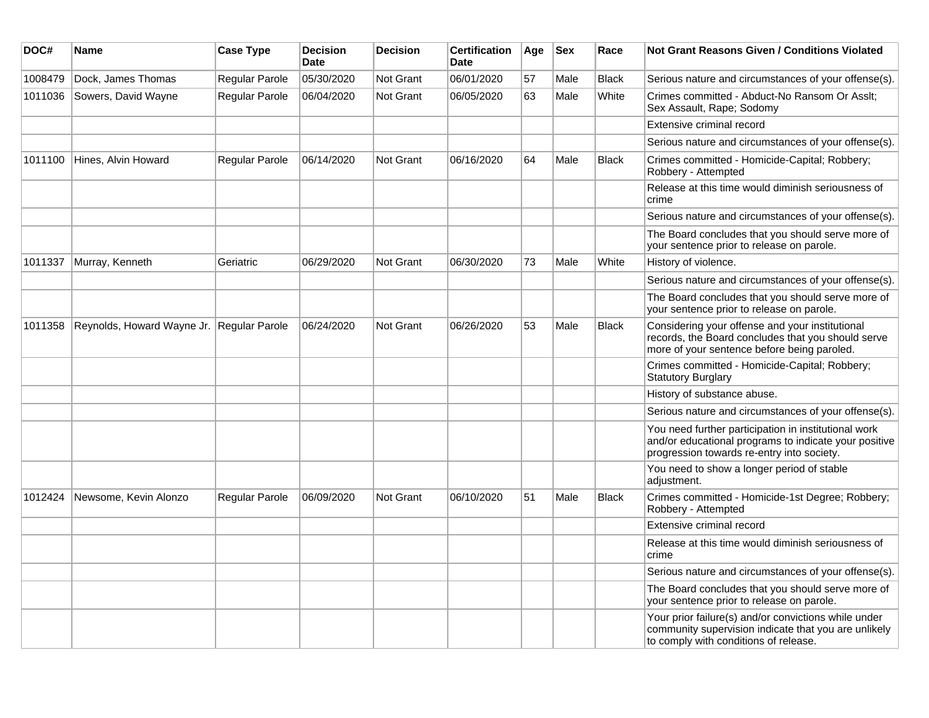| DOC#    | Name                                      | <b>Case Type</b> | <b>Decision</b><br><b>Date</b> | <b>Decision</b>  | <b>Certification</b><br><b>Date</b> | Age | <b>Sex</b> | Race         | Not Grant Reasons Given / Conditions Violated                                                                                                               |
|---------|-------------------------------------------|------------------|--------------------------------|------------------|-------------------------------------|-----|------------|--------------|-------------------------------------------------------------------------------------------------------------------------------------------------------------|
| 1008479 | Dock, James Thomas                        | Regular Parole   | 05/30/2020                     | Not Grant        | 06/01/2020                          | 57  | Male       | <b>Black</b> | Serious nature and circumstances of your offense(s).                                                                                                        |
| 1011036 | Sowers, David Wayne                       | Regular Parole   | 06/04/2020                     | Not Grant        | 06/05/2020                          | 63  | Male       | White        | Crimes committed - Abduct-No Ransom Or Asslt;<br>Sex Assault, Rape; Sodomy                                                                                  |
|         |                                           |                  |                                |                  |                                     |     |            |              | Extensive criminal record                                                                                                                                   |
|         |                                           |                  |                                |                  |                                     |     |            |              | Serious nature and circumstances of your offense(s).                                                                                                        |
| 1011100 | Hines, Alvin Howard                       | Regular Parole   | 06/14/2020                     | Not Grant        | 06/16/2020                          | 64  | Male       | <b>Black</b> | Crimes committed - Homicide-Capital; Robbery;<br>Robbery - Attempted                                                                                        |
|         |                                           |                  |                                |                  |                                     |     |            |              | Release at this time would diminish seriousness of<br>crime                                                                                                 |
|         |                                           |                  |                                |                  |                                     |     |            |              | Serious nature and circumstances of your offense(s).                                                                                                        |
|         |                                           |                  |                                |                  |                                     |     |            |              | The Board concludes that you should serve more of<br>your sentence prior to release on parole.                                                              |
| 1011337 | Murray, Kenneth                           | Geriatric        | 06/29/2020                     | <b>Not Grant</b> | 06/30/2020                          | 73  | Male       | White        | History of violence.                                                                                                                                        |
|         |                                           |                  |                                |                  |                                     |     |            |              | Serious nature and circumstances of your offense(s).                                                                                                        |
|         |                                           |                  |                                |                  |                                     |     |            |              | The Board concludes that you should serve more of<br>your sentence prior to release on parole.                                                              |
| 1011358 | Reynolds, Howard Wayne Jr. Regular Parole |                  | 06/24/2020                     | Not Grant        | 06/26/2020                          | 53  | Male       | <b>Black</b> | Considering your offense and your institutional<br>records, the Board concludes that you should serve<br>more of your sentence before being paroled.        |
|         |                                           |                  |                                |                  |                                     |     |            |              | Crimes committed - Homicide-Capital; Robbery;<br><b>Statutory Burglary</b>                                                                                  |
|         |                                           |                  |                                |                  |                                     |     |            |              | History of substance abuse.                                                                                                                                 |
|         |                                           |                  |                                |                  |                                     |     |            |              | Serious nature and circumstances of your offense(s).                                                                                                        |
|         |                                           |                  |                                |                  |                                     |     |            |              | You need further participation in institutional work<br>and/or educational programs to indicate your positive<br>progression towards re-entry into society. |
|         |                                           |                  |                                |                  |                                     |     |            |              | You need to show a longer period of stable<br>adjustment.                                                                                                   |
| 1012424 | Newsome, Kevin Alonzo                     | Regular Parole   | 06/09/2020                     | <b>Not Grant</b> | 06/10/2020                          | 51  | Male       | <b>Black</b> | Crimes committed - Homicide-1st Degree; Robbery;<br>Robbery - Attempted                                                                                     |
|         |                                           |                  |                                |                  |                                     |     |            |              | Extensive criminal record                                                                                                                                   |
|         |                                           |                  |                                |                  |                                     |     |            |              | Release at this time would diminish seriousness of<br>crime                                                                                                 |
|         |                                           |                  |                                |                  |                                     |     |            |              | Serious nature and circumstances of your offense(s).                                                                                                        |
|         |                                           |                  |                                |                  |                                     |     |            |              | The Board concludes that you should serve more of<br>your sentence prior to release on parole.                                                              |
|         |                                           |                  |                                |                  |                                     |     |            |              | Your prior failure(s) and/or convictions while under<br>community supervision indicate that you are unlikely<br>to comply with conditions of release.       |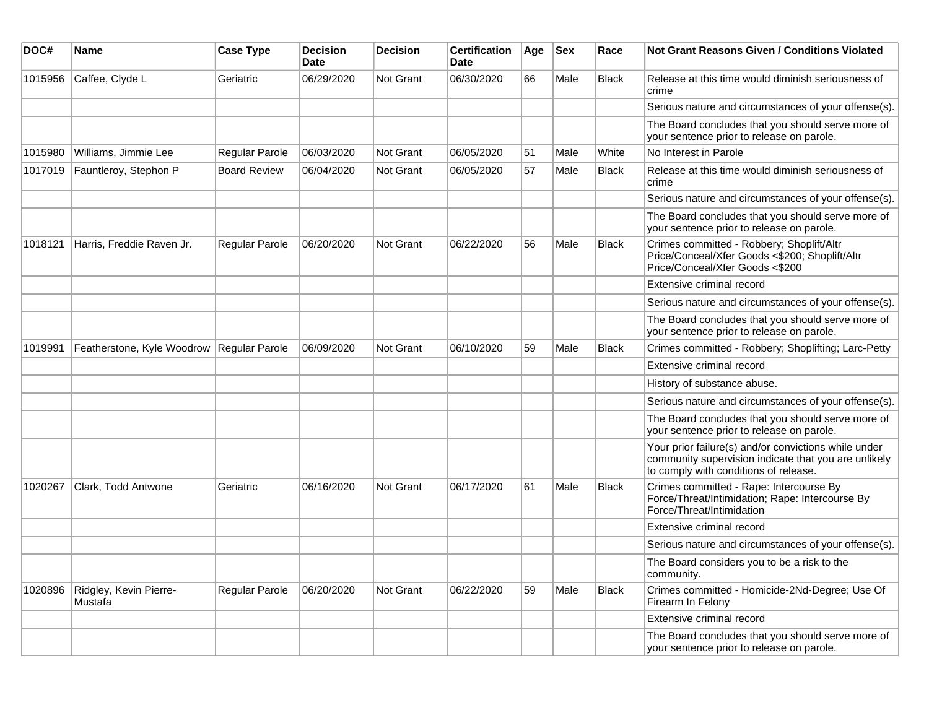| DOC#    | <b>Name</b>                                 | <b>Case Type</b>    | <b>Decision</b><br><b>Date</b> | <b>Decision</b> | <b>Certification</b><br><b>Date</b> | Age | <b>Sex</b> | Race         | Not Grant Reasons Given / Conditions Violated                                                                                                         |
|---------|---------------------------------------------|---------------------|--------------------------------|-----------------|-------------------------------------|-----|------------|--------------|-------------------------------------------------------------------------------------------------------------------------------------------------------|
| 1015956 | Caffee, Clyde L                             | Geriatric           | 06/29/2020                     | Not Grant       | 06/30/2020                          | 66  | Male       | Black        | Release at this time would diminish seriousness of<br>crime                                                                                           |
|         |                                             |                     |                                |                 |                                     |     |            |              | Serious nature and circumstances of your offense(s).                                                                                                  |
|         |                                             |                     |                                |                 |                                     |     |            |              | The Board concludes that you should serve more of<br>your sentence prior to release on parole.                                                        |
| 1015980 | Williams, Jimmie Lee                        | Regular Parole      | 06/03/2020                     | Not Grant       | 06/05/2020                          | 51  | Male       | White        | No Interest in Parole                                                                                                                                 |
| 1017019 | Fauntleroy, Stephon P                       | <b>Board Review</b> | 06/04/2020                     | Not Grant       | 06/05/2020                          | 57  | Male       | <b>Black</b> | Release at this time would diminish seriousness of<br>crime                                                                                           |
|         |                                             |                     |                                |                 |                                     |     |            |              | Serious nature and circumstances of your offense(s).                                                                                                  |
|         |                                             |                     |                                |                 |                                     |     |            |              | The Board concludes that you should serve more of<br>your sentence prior to release on parole.                                                        |
| 1018121 | Harris, Freddie Raven Jr.                   | Regular Parole      | 06/20/2020                     | Not Grant       | 06/22/2020                          | 56  | Male       | <b>Black</b> | Crimes committed - Robbery; Shoplift/Altr<br>Price/Conceal/Xfer Goods <\$200; Shoplift/Altr<br>Price/Conceal/Xfer Goods <\$200                        |
|         |                                             |                     |                                |                 |                                     |     |            |              | Extensive criminal record                                                                                                                             |
|         |                                             |                     |                                |                 |                                     |     |            |              | Serious nature and circumstances of your offense(s).                                                                                                  |
|         |                                             |                     |                                |                 |                                     |     |            |              | The Board concludes that you should serve more of<br>your sentence prior to release on parole.                                                        |
| 1019991 | Featherstone, Kyle Woodrow   Regular Parole |                     | 06/09/2020                     | Not Grant       | 06/10/2020                          | 59  | Male       | <b>Black</b> | Crimes committed - Robbery; Shoplifting; Larc-Petty                                                                                                   |
|         |                                             |                     |                                |                 |                                     |     |            |              | Extensive criminal record                                                                                                                             |
|         |                                             |                     |                                |                 |                                     |     |            |              | History of substance abuse.                                                                                                                           |
|         |                                             |                     |                                |                 |                                     |     |            |              | Serious nature and circumstances of your offense(s).                                                                                                  |
|         |                                             |                     |                                |                 |                                     |     |            |              | The Board concludes that you should serve more of<br>your sentence prior to release on parole.                                                        |
|         |                                             |                     |                                |                 |                                     |     |            |              | Your prior failure(s) and/or convictions while under<br>community supervision indicate that you are unlikely<br>to comply with conditions of release. |
| 1020267 | Clark, Todd Antwone                         | Geriatric           | 06/16/2020                     | Not Grant       | 06/17/2020                          | 61  | Male       | <b>Black</b> | Crimes committed - Rape: Intercourse By<br>Force/Threat/Intimidation; Rape: Intercourse By<br>Force/Threat/Intimidation                               |
|         |                                             |                     |                                |                 |                                     |     |            |              | Extensive criminal record                                                                                                                             |
|         |                                             |                     |                                |                 |                                     |     |            |              | Serious nature and circumstances of your offense(s).                                                                                                  |
|         |                                             |                     |                                |                 |                                     |     |            |              | The Board considers you to be a risk to the<br>community.                                                                                             |
| 1020896 | Ridgley, Kevin Pierre-<br>Mustafa           | Regular Parole      | 06/20/2020                     | Not Grant       | 06/22/2020                          | 59  | Male       | <b>Black</b> | Crimes committed - Homicide-2Nd-Degree; Use Of<br>Firearm In Felony                                                                                   |
|         |                                             |                     |                                |                 |                                     |     |            |              | Extensive criminal record                                                                                                                             |
|         |                                             |                     |                                |                 |                                     |     |            |              | The Board concludes that you should serve more of<br>your sentence prior to release on parole.                                                        |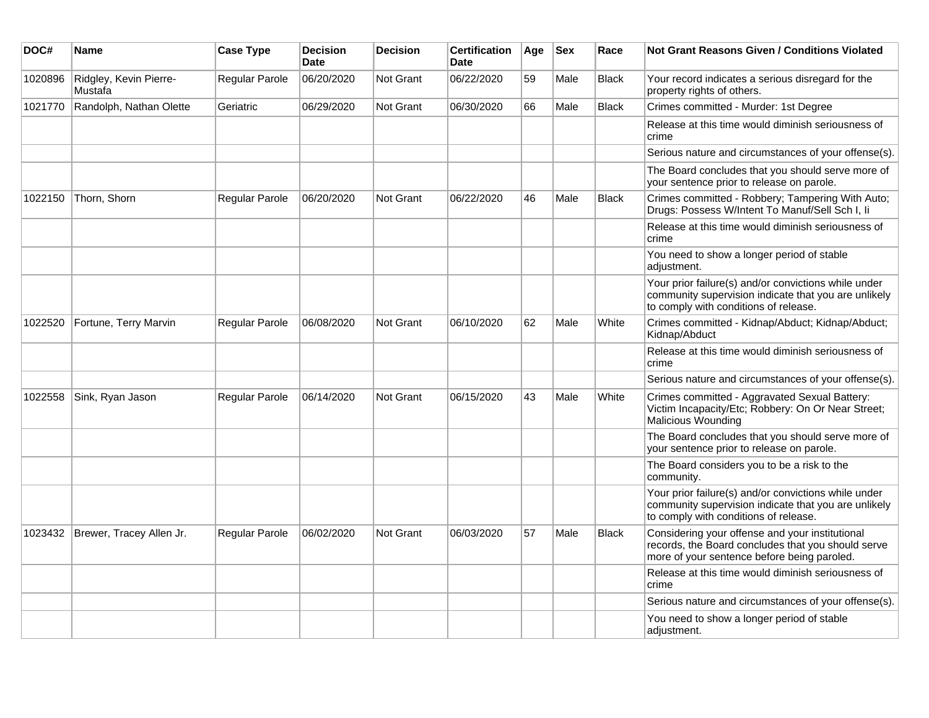| DOC#    | Name                              | <b>Case Type</b>      | <b>Decision</b><br><b>Date</b> | <b>Decision</b>  | <b>Certification</b><br><b>Date</b> | Age | <b>Sex</b> | Race         | <b>Not Grant Reasons Given / Conditions Violated</b>                                                                                                  |
|---------|-----------------------------------|-----------------------|--------------------------------|------------------|-------------------------------------|-----|------------|--------------|-------------------------------------------------------------------------------------------------------------------------------------------------------|
| 1020896 | Ridgley, Kevin Pierre-<br>Mustafa | Regular Parole        | 06/20/2020                     | Not Grant        | 06/22/2020                          | 59  | Male       | <b>Black</b> | Your record indicates a serious disregard for the<br>property rights of others.                                                                       |
| 1021770 | Randolph, Nathan Olette           | Geriatric             | 06/29/2020                     | <b>Not Grant</b> | 06/30/2020                          | 66  | Male       | <b>Black</b> | Crimes committed - Murder: 1st Degree                                                                                                                 |
|         |                                   |                       |                                |                  |                                     |     |            |              | Release at this time would diminish seriousness of<br>crime                                                                                           |
|         |                                   |                       |                                |                  |                                     |     |            |              | Serious nature and circumstances of your offense(s).                                                                                                  |
|         |                                   |                       |                                |                  |                                     |     |            |              | The Board concludes that you should serve more of<br>your sentence prior to release on parole.                                                        |
| 1022150 | Thorn, Shorn                      | Regular Parole        | 06/20/2020                     | <b>Not Grant</b> | 06/22/2020                          | 46  | Male       | <b>Black</b> | Crimes committed - Robbery; Tampering With Auto;<br>Drugs: Possess W/Intent To Manuf/Sell Sch I, Ii                                                   |
|         |                                   |                       |                                |                  |                                     |     |            |              | Release at this time would diminish seriousness of<br>crime                                                                                           |
|         |                                   |                       |                                |                  |                                     |     |            |              | You need to show a longer period of stable<br>adjustment.                                                                                             |
|         |                                   |                       |                                |                  |                                     |     |            |              | Your prior failure(s) and/or convictions while under<br>community supervision indicate that you are unlikely<br>to comply with conditions of release. |
| 1022520 | Fortune, Terry Marvin             | Regular Parole        | 06/08/2020                     | <b>Not Grant</b> | 06/10/2020                          | 62  | Male       | White        | Crimes committed - Kidnap/Abduct; Kidnap/Abduct;<br>Kidnap/Abduct                                                                                     |
|         |                                   |                       |                                |                  |                                     |     |            |              | Release at this time would diminish seriousness of<br>crime                                                                                           |
|         |                                   |                       |                                |                  |                                     |     |            |              | Serious nature and circumstances of your offense(s).                                                                                                  |
| 1022558 | Sink, Ryan Jason                  | <b>Regular Parole</b> | 06/14/2020                     | Not Grant        | 06/15/2020                          | 43  | Male       | White        | Crimes committed - Aggravated Sexual Battery:<br>Victim Incapacity/Etc; Robbery: On Or Near Street;<br>Malicious Wounding                             |
|         |                                   |                       |                                |                  |                                     |     |            |              | The Board concludes that you should serve more of<br>your sentence prior to release on parole.                                                        |
|         |                                   |                       |                                |                  |                                     |     |            |              | The Board considers you to be a risk to the<br>community.                                                                                             |
|         |                                   |                       |                                |                  |                                     |     |            |              | Your prior failure(s) and/or convictions while under<br>community supervision indicate that you are unlikely<br>to comply with conditions of release. |
| 1023432 | Brewer, Tracey Allen Jr.          | Regular Parole        | 06/02/2020                     | <b>Not Grant</b> | 06/03/2020                          | 57  | Male       | <b>Black</b> | Considering your offense and your institutional<br>records, the Board concludes that you should serve<br>more of your sentence before being paroled.  |
|         |                                   |                       |                                |                  |                                     |     |            |              | Release at this time would diminish seriousness of<br>crime                                                                                           |
|         |                                   |                       |                                |                  |                                     |     |            |              | Serious nature and circumstances of your offense(s).                                                                                                  |
|         |                                   |                       |                                |                  |                                     |     |            |              | You need to show a longer period of stable<br>adjustment.                                                                                             |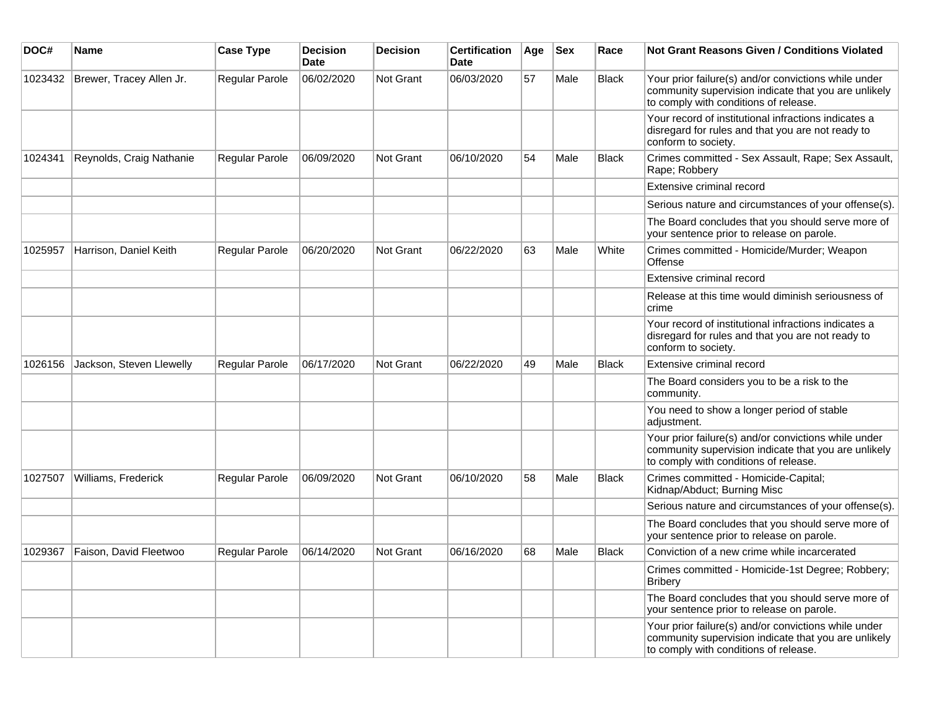| DOC#    | Name                     | <b>Case Type</b>      | <b>Decision</b><br><b>Date</b> | <b>Decision</b>  | <b>Certification</b><br>Date | Age | <b>Sex</b> | Race         | <b>Not Grant Reasons Given / Conditions Violated</b>                                                                                                  |
|---------|--------------------------|-----------------------|--------------------------------|------------------|------------------------------|-----|------------|--------------|-------------------------------------------------------------------------------------------------------------------------------------------------------|
| 1023432 | Brewer, Tracey Allen Jr. | Regular Parole        | 06/02/2020                     | <b>Not Grant</b> | 06/03/2020                   | 57  | Male       | <b>Black</b> | Your prior failure(s) and/or convictions while under<br>community supervision indicate that you are unlikely<br>to comply with conditions of release. |
|         |                          |                       |                                |                  |                              |     |            |              | Your record of institutional infractions indicates a<br>disregard for rules and that you are not ready to<br>conform to society.                      |
| 1024341 | Reynolds, Craig Nathanie | <b>Regular Parole</b> | 06/09/2020                     | <b>Not Grant</b> | 06/10/2020                   | 54  | Male       | <b>Black</b> | Crimes committed - Sex Assault, Rape; Sex Assault,<br>Rape; Robbery                                                                                   |
|         |                          |                       |                                |                  |                              |     |            |              | Extensive criminal record                                                                                                                             |
|         |                          |                       |                                |                  |                              |     |            |              | Serious nature and circumstances of your offense(s).                                                                                                  |
|         |                          |                       |                                |                  |                              |     |            |              | The Board concludes that you should serve more of<br>your sentence prior to release on parole.                                                        |
| 1025957 | Harrison, Daniel Keith   | <b>Regular Parole</b> | 06/20/2020                     | <b>Not Grant</b> | 06/22/2020                   | 63  | Male       | White        | Crimes committed - Homicide/Murder; Weapon<br>Offense                                                                                                 |
|         |                          |                       |                                |                  |                              |     |            |              | Extensive criminal record                                                                                                                             |
|         |                          |                       |                                |                  |                              |     |            |              | Release at this time would diminish seriousness of<br>crime                                                                                           |
|         |                          |                       |                                |                  |                              |     |            |              | Your record of institutional infractions indicates a<br>disregard for rules and that you are not ready to<br>conform to society.                      |
| 1026156 | Jackson, Steven Llewelly | <b>Regular Parole</b> | 06/17/2020                     | Not Grant        | 06/22/2020                   | 49  | Male       | <b>Black</b> | Extensive criminal record                                                                                                                             |
|         |                          |                       |                                |                  |                              |     |            |              | The Board considers you to be a risk to the<br>community.                                                                                             |
|         |                          |                       |                                |                  |                              |     |            |              | You need to show a longer period of stable<br>adjustment.                                                                                             |
|         |                          |                       |                                |                  |                              |     |            |              | Your prior failure(s) and/or convictions while under<br>community supervision indicate that you are unlikely<br>to comply with conditions of release. |
| 1027507 | Williams, Frederick      | Regular Parole        | 06/09/2020                     | Not Grant        | 06/10/2020                   | 58  | Male       | Black        | Crimes committed - Homicide-Capital;<br>Kidnap/Abduct; Burning Misc                                                                                   |
|         |                          |                       |                                |                  |                              |     |            |              | Serious nature and circumstances of your offense(s).                                                                                                  |
|         |                          |                       |                                |                  |                              |     |            |              | The Board concludes that you should serve more of<br>your sentence prior to release on parole.                                                        |
| 1029367 | Faison, David Fleetwoo   | Regular Parole        | 06/14/2020                     | Not Grant        | 06/16/2020                   | 68  | Male       | <b>Black</b> | Conviction of a new crime while incarcerated                                                                                                          |
|         |                          |                       |                                |                  |                              |     |            |              | Crimes committed - Homicide-1st Degree; Robbery;<br><b>Bribery</b>                                                                                    |
|         |                          |                       |                                |                  |                              |     |            |              | The Board concludes that you should serve more of<br>your sentence prior to release on parole.                                                        |
|         |                          |                       |                                |                  |                              |     |            |              | Your prior failure(s) and/or convictions while under<br>community supervision indicate that you are unlikely<br>to comply with conditions of release. |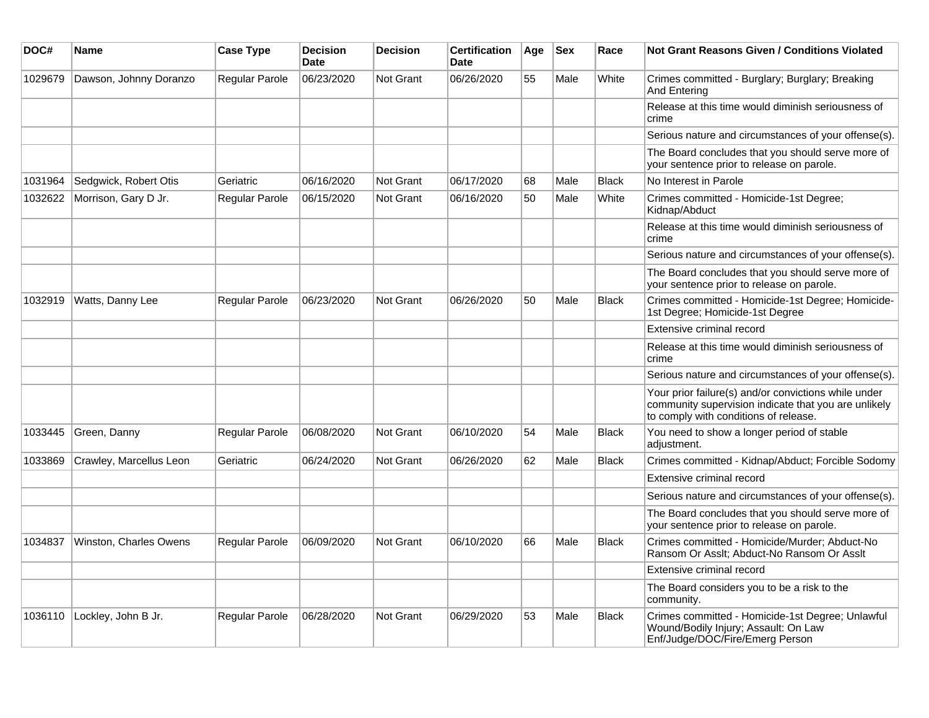| DOC#    | Name                    | <b>Case Type</b>      | <b>Decision</b><br><b>Date</b> | <b>Decision</b>  | <b>Certification</b><br><b>Date</b> | Age | <b>Sex</b> | Race         | <b>Not Grant Reasons Given / Conditions Violated</b>                                                                                                  |
|---------|-------------------------|-----------------------|--------------------------------|------------------|-------------------------------------|-----|------------|--------------|-------------------------------------------------------------------------------------------------------------------------------------------------------|
| 1029679 | Dawson, Johnny Doranzo  | <b>Regular Parole</b> | 06/23/2020                     | <b>Not Grant</b> | 06/26/2020                          | 55  | Male       | White        | Crimes committed - Burglary; Burglary; Breaking<br>And Entering                                                                                       |
|         |                         |                       |                                |                  |                                     |     |            |              | Release at this time would diminish seriousness of<br>crime                                                                                           |
|         |                         |                       |                                |                  |                                     |     |            |              | Serious nature and circumstances of your offense(s).                                                                                                  |
|         |                         |                       |                                |                  |                                     |     |            |              | The Board concludes that you should serve more of<br>your sentence prior to release on parole.                                                        |
| 1031964 | Sedgwick, Robert Otis   | Geriatric             | 06/16/2020                     | <b>Not Grant</b> | 06/17/2020                          | 68  | Male       | <b>Black</b> | No Interest in Parole                                                                                                                                 |
| 1032622 | Morrison, Gary D Jr.    | <b>Regular Parole</b> | 06/15/2020                     | <b>Not Grant</b> | 06/16/2020                          | 50  | Male       | White        | Crimes committed - Homicide-1st Degree;<br>Kidnap/Abduct                                                                                              |
|         |                         |                       |                                |                  |                                     |     |            |              | Release at this time would diminish seriousness of<br>crime                                                                                           |
|         |                         |                       |                                |                  |                                     |     |            |              | Serious nature and circumstances of your offense(s).                                                                                                  |
|         |                         |                       |                                |                  |                                     |     |            |              | The Board concludes that you should serve more of<br>your sentence prior to release on parole.                                                        |
| 1032919 | Watts, Danny Lee        | <b>Regular Parole</b> | 06/23/2020                     | <b>Not Grant</b> | 06/26/2020                          | 50  | Male       | <b>Black</b> | Crimes committed - Homicide-1st Degree; Homicide-<br>1st Degree; Homicide-1st Degree                                                                  |
|         |                         |                       |                                |                  |                                     |     |            |              | Extensive criminal record                                                                                                                             |
|         |                         |                       |                                |                  |                                     |     |            |              | Release at this time would diminish seriousness of<br>crime                                                                                           |
|         |                         |                       |                                |                  |                                     |     |            |              | Serious nature and circumstances of your offense(s).                                                                                                  |
|         |                         |                       |                                |                  |                                     |     |            |              | Your prior failure(s) and/or convictions while under<br>community supervision indicate that you are unlikely<br>to comply with conditions of release. |
| 1033445 | Green, Danny            | <b>Regular Parole</b> | 06/08/2020                     | <b>Not Grant</b> | 06/10/2020                          | 54  | Male       | Black        | You need to show a longer period of stable<br>adjustment.                                                                                             |
| 1033869 | Crawley, Marcellus Leon | Geriatric             | 06/24/2020                     | <b>Not Grant</b> | 06/26/2020                          | 62  | Male       | <b>Black</b> | Crimes committed - Kidnap/Abduct; Forcible Sodomy                                                                                                     |
|         |                         |                       |                                |                  |                                     |     |            |              | Extensive criminal record                                                                                                                             |
|         |                         |                       |                                |                  |                                     |     |            |              | Serious nature and circumstances of your offense(s).                                                                                                  |
|         |                         |                       |                                |                  |                                     |     |            |              | The Board concludes that you should serve more of<br>your sentence prior to release on parole.                                                        |
| 1034837 | Winston, Charles Owens  | <b>Regular Parole</b> | 06/09/2020                     | <b>Not Grant</b> | 06/10/2020                          | 66  | Male       | <b>Black</b> | Crimes committed - Homicide/Murder; Abduct-No<br>Ransom Or Asslt; Abduct-No Ransom Or Asslt                                                           |
|         |                         |                       |                                |                  |                                     |     |            |              | Extensive criminal record                                                                                                                             |
|         |                         |                       |                                |                  |                                     |     |            |              | The Board considers you to be a risk to the<br>community.                                                                                             |
| 1036110 | Lockley, John B Jr.     | <b>Regular Parole</b> | 06/28/2020                     | <b>Not Grant</b> | 06/29/2020                          | 53  | Male       | <b>Black</b> | Crimes committed - Homicide-1st Degree; Unlawful<br>Wound/Bodily Injury; Assault: On Law<br>Enf/Judge/DOC/Fire/Emerg Person                           |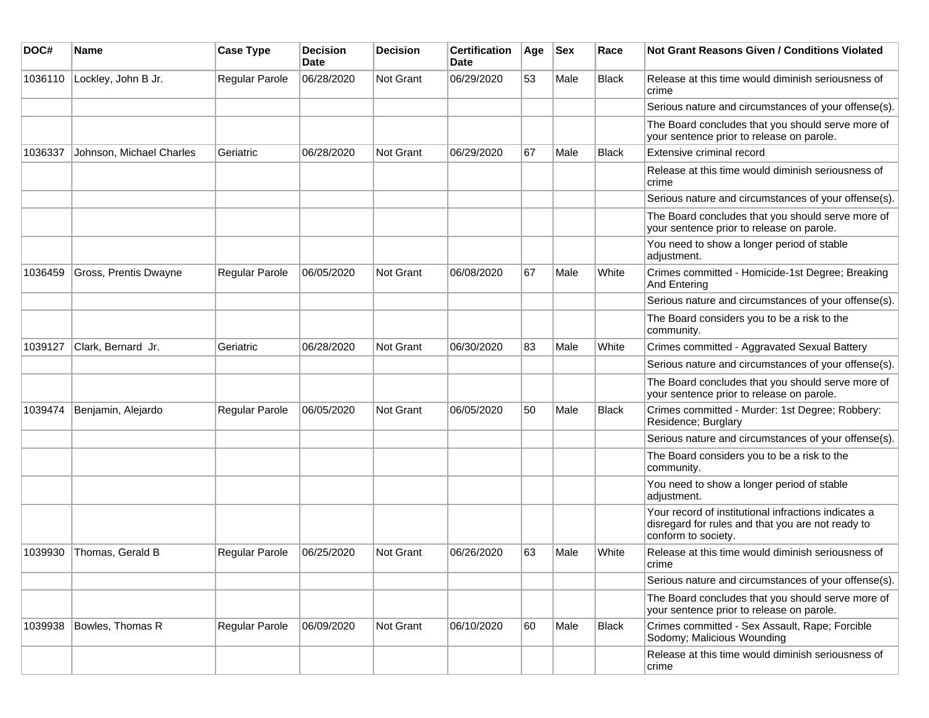| DOC#    | Name                     | <b>Case Type</b>      | <b>Decision</b><br>Date | <b>Decision</b> | <b>Certification</b><br>Date | Age | Sex  | Race         | <b>Not Grant Reasons Given / Conditions Violated</b>                                                                             |
|---------|--------------------------|-----------------------|-------------------------|-----------------|------------------------------|-----|------|--------------|----------------------------------------------------------------------------------------------------------------------------------|
| 1036110 | Lockley, John B Jr.      | Regular Parole        | 06/28/2020              | Not Grant       | 06/29/2020                   | 53  | Male | <b>Black</b> | Release at this time would diminish seriousness of<br>crime                                                                      |
|         |                          |                       |                         |                 |                              |     |      |              | Serious nature and circumstances of your offense(s).                                                                             |
|         |                          |                       |                         |                 |                              |     |      |              | The Board concludes that you should serve more of<br>your sentence prior to release on parole.                                   |
| 1036337 | Johnson, Michael Charles | Geriatric             | 06/28/2020              | Not Grant       | 06/29/2020                   | 67  | Male | <b>Black</b> | Extensive criminal record                                                                                                        |
|         |                          |                       |                         |                 |                              |     |      |              | Release at this time would diminish seriousness of<br>crime                                                                      |
|         |                          |                       |                         |                 |                              |     |      |              | Serious nature and circumstances of your offense(s).                                                                             |
|         |                          |                       |                         |                 |                              |     |      |              | The Board concludes that you should serve more of<br>your sentence prior to release on parole.                                   |
|         |                          |                       |                         |                 |                              |     |      |              | You need to show a longer period of stable<br>adjustment.                                                                        |
| 1036459 | Gross, Prentis Dwayne    | Regular Parole        | 06/05/2020              | Not Grant       | 06/08/2020                   | 67  | Male | White        | Crimes committed - Homicide-1st Degree; Breaking<br>And Entering                                                                 |
|         |                          |                       |                         |                 |                              |     |      |              | Serious nature and circumstances of your offense(s).                                                                             |
|         |                          |                       |                         |                 |                              |     |      |              | The Board considers you to be a risk to the<br>community.                                                                        |
| 1039127 | Clark, Bernard Jr.       | Geriatric             | 06/28/2020              | Not Grant       | 06/30/2020                   | 83  | Male | White        | Crimes committed - Aggravated Sexual Battery                                                                                     |
|         |                          |                       |                         |                 |                              |     |      |              | Serious nature and circumstances of your offense(s).                                                                             |
|         |                          |                       |                         |                 |                              |     |      |              | The Board concludes that you should serve more of<br>your sentence prior to release on parole.                                   |
| 1039474 | Benjamin, Alejardo       | <b>Regular Parole</b> | 06/05/2020              | Not Grant       | 06/05/2020                   | 50  | Male | <b>Black</b> | Crimes committed - Murder: 1st Degree; Robbery:<br>Residence; Burglary                                                           |
|         |                          |                       |                         |                 |                              |     |      |              | Serious nature and circumstances of your offense(s).                                                                             |
|         |                          |                       |                         |                 |                              |     |      |              | The Board considers you to be a risk to the<br>community.                                                                        |
|         |                          |                       |                         |                 |                              |     |      |              | You need to show a longer period of stable<br>adjustment.                                                                        |
|         |                          |                       |                         |                 |                              |     |      |              | Your record of institutional infractions indicates a<br>disregard for rules and that you are not ready to<br>conform to society. |
| 1039930 | Thomas, Gerald B         | <b>Regular Parole</b> | 06/25/2020              | Not Grant       | 06/26/2020                   | 63  | Male | White        | Release at this time would diminish seriousness of<br>crime                                                                      |
|         |                          |                       |                         |                 |                              |     |      |              | Serious nature and circumstances of your offense(s).                                                                             |
|         |                          |                       |                         |                 |                              |     |      |              | The Board concludes that you should serve more of<br>your sentence prior to release on parole.                                   |
| 1039938 | Bowles, Thomas R         | Regular Parole        | 06/09/2020              | Not Grant       | 06/10/2020                   | 60  | Male | Black        | Crimes committed - Sex Assault, Rape; Forcible<br>Sodomy; Malicious Wounding                                                     |
|         |                          |                       |                         |                 |                              |     |      |              | Release at this time would diminish seriousness of<br>crime                                                                      |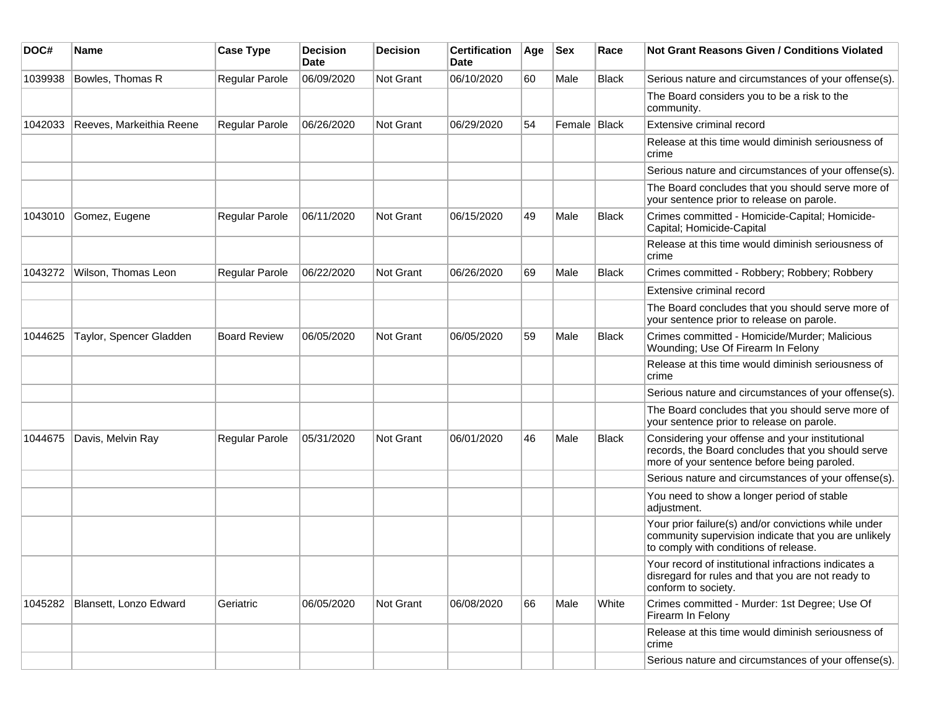| DOC#    | Name                     | <b>Case Type</b>      | <b>Decision</b><br>Date | <b>Decision</b> | <b>Certification</b><br>Date | Age | <b>Sex</b>   | Race         | Not Grant Reasons Given / Conditions Violated                                                                                                         |
|---------|--------------------------|-----------------------|-------------------------|-----------------|------------------------------|-----|--------------|--------------|-------------------------------------------------------------------------------------------------------------------------------------------------------|
| 1039938 | Bowles, Thomas R         | Regular Parole        | 06/09/2020              | Not Grant       | 06/10/2020                   | 60  | Male         | <b>Black</b> | Serious nature and circumstances of your offense(s).                                                                                                  |
|         |                          |                       |                         |                 |                              |     |              |              | The Board considers you to be a risk to the<br>community.                                                                                             |
| 1042033 | Reeves, Markeithia Reene | <b>Regular Parole</b> | 06/26/2020              | Not Grant       | 06/29/2020                   | 54  | Female Black |              | Extensive criminal record                                                                                                                             |
|         |                          |                       |                         |                 |                              |     |              |              | Release at this time would diminish seriousness of<br>crime                                                                                           |
|         |                          |                       |                         |                 |                              |     |              |              | Serious nature and circumstances of your offense(s).                                                                                                  |
|         |                          |                       |                         |                 |                              |     |              |              | The Board concludes that you should serve more of<br>your sentence prior to release on parole.                                                        |
| 1043010 | Gomez, Eugene            | Regular Parole        | 06/11/2020              | Not Grant       | 06/15/2020                   | 49  | Male         | <b>Black</b> | Crimes committed - Homicide-Capital; Homicide-<br>Capital; Homicide-Capital                                                                           |
|         |                          |                       |                         |                 |                              |     |              |              | Release at this time would diminish seriousness of<br>crime                                                                                           |
| 1043272 | Wilson, Thomas Leon      | Regular Parole        | 06/22/2020              | Not Grant       | 06/26/2020                   | 69  | Male         | <b>Black</b> | Crimes committed - Robbery; Robbery; Robbery                                                                                                          |
|         |                          |                       |                         |                 |                              |     |              |              | Extensive criminal record                                                                                                                             |
|         |                          |                       |                         |                 |                              |     |              |              | The Board concludes that you should serve more of<br>your sentence prior to release on parole.                                                        |
| 1044625 | Taylor, Spencer Gladden  | <b>Board Review</b>   | 06/05/2020              | Not Grant       | 06/05/2020                   | 59  | Male         | <b>Black</b> | Crimes committed - Homicide/Murder; Malicious<br>Wounding; Use Of Firearm In Felony                                                                   |
|         |                          |                       |                         |                 |                              |     |              |              | Release at this time would diminish seriousness of<br>crime                                                                                           |
|         |                          |                       |                         |                 |                              |     |              |              | Serious nature and circumstances of your offense(s).                                                                                                  |
|         |                          |                       |                         |                 |                              |     |              |              | The Board concludes that you should serve more of<br>your sentence prior to release on parole.                                                        |
| 1044675 | Davis, Melvin Ray        | <b>Regular Parole</b> | 05/31/2020              | Not Grant       | 06/01/2020                   | 46  | Male         | <b>Black</b> | Considering your offense and your institutional<br>records, the Board concludes that you should serve<br>more of your sentence before being paroled.  |
|         |                          |                       |                         |                 |                              |     |              |              | Serious nature and circumstances of your offense(s).                                                                                                  |
|         |                          |                       |                         |                 |                              |     |              |              | You need to show a longer period of stable<br>adjustment.                                                                                             |
|         |                          |                       |                         |                 |                              |     |              |              | Your prior failure(s) and/or convictions while under<br>community supervision indicate that you are unlikely<br>to comply with conditions of release. |
|         |                          |                       |                         |                 |                              |     |              |              | Your record of institutional infractions indicates a<br>disregard for rules and that you are not ready to<br>conform to society.                      |
| 1045282 | Blansett, Lonzo Edward   | Geriatric             | 06/05/2020              | Not Grant       | 06/08/2020                   | 66  | Male         | White        | Crimes committed - Murder: 1st Degree; Use Of<br>Firearm In Felony                                                                                    |
|         |                          |                       |                         |                 |                              |     |              |              | Release at this time would diminish seriousness of<br>crime                                                                                           |
|         |                          |                       |                         |                 |                              |     |              |              | Serious nature and circumstances of your offense(s).                                                                                                  |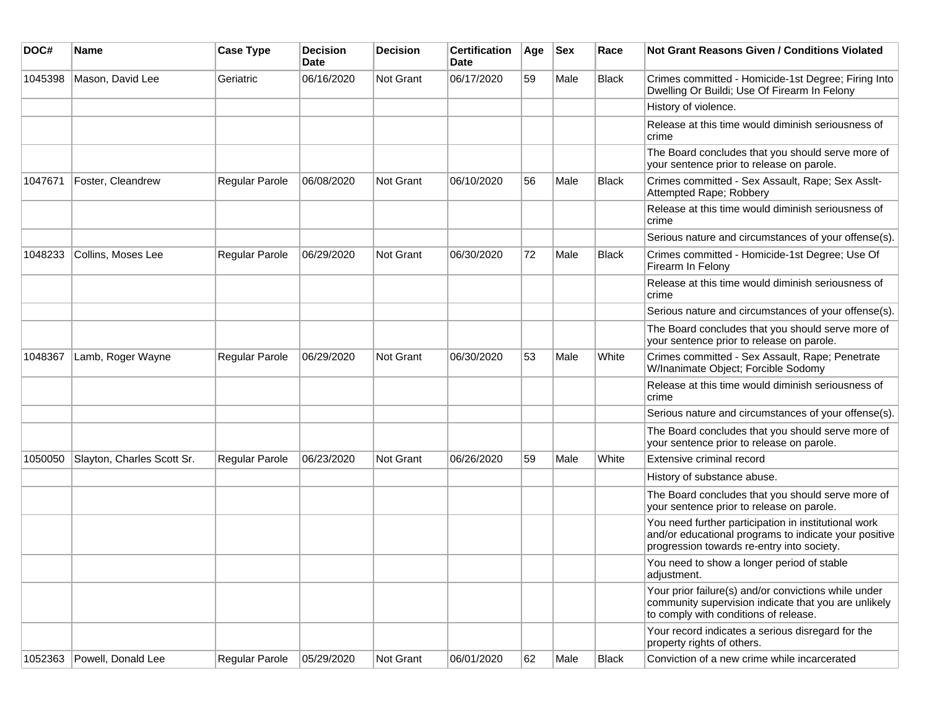| DOC#    | Name                       | <b>Case Type</b> | <b>Decision</b><br><b>Date</b> | <b>Decision</b> | <b>Certification</b><br>Date | Age | <b>Sex</b> | Race         | <b>Not Grant Reasons Given / Conditions Violated</b>                                                                                                        |
|---------|----------------------------|------------------|--------------------------------|-----------------|------------------------------|-----|------------|--------------|-------------------------------------------------------------------------------------------------------------------------------------------------------------|
| 1045398 | Mason, David Lee           | Geriatric        | 06/16/2020                     | Not Grant       | 06/17/2020                   | 59  | Male       | Black        | Crimes committed - Homicide-1st Degree; Firing Into<br>Dwelling Or Buildi; Use Of Firearm In Felony                                                         |
|         |                            |                  |                                |                 |                              |     |            |              | History of violence.                                                                                                                                        |
|         |                            |                  |                                |                 |                              |     |            |              | Release at this time would diminish seriousness of<br>crime                                                                                                 |
|         |                            |                  |                                |                 |                              |     |            |              | The Board concludes that you should serve more of<br>your sentence prior to release on parole.                                                              |
| 1047671 | Foster, Cleandrew          | Regular Parole   | 06/08/2020                     | Not Grant       | 06/10/2020                   | 56  | Male       | <b>Black</b> | Crimes committed - Sex Assault, Rape; Sex Asslt-<br>Attempted Rape; Robbery                                                                                 |
|         |                            |                  |                                |                 |                              |     |            |              | Release at this time would diminish seriousness of<br>crime                                                                                                 |
|         |                            |                  |                                |                 |                              |     |            |              | Serious nature and circumstances of your offense(s).                                                                                                        |
| 1048233 | Collins, Moses Lee         | Regular Parole   | 06/29/2020                     | Not Grant       | 06/30/2020                   | 72  | Male       | <b>Black</b> | Crimes committed - Homicide-1st Degree; Use Of<br>Firearm In Felony                                                                                         |
|         |                            |                  |                                |                 |                              |     |            |              | Release at this time would diminish seriousness of<br>crime                                                                                                 |
|         |                            |                  |                                |                 |                              |     |            |              | Serious nature and circumstances of your offense(s).                                                                                                        |
|         |                            |                  |                                |                 |                              |     |            |              | The Board concludes that you should serve more of<br>your sentence prior to release on parole.                                                              |
| 1048367 | Lamb, Roger Wayne          | Regular Parole   | 06/29/2020                     | Not Grant       | 06/30/2020                   | 53  | Male       | White        | Crimes committed - Sex Assault, Rape; Penetrate<br>W/Inanimate Object; Forcible Sodomy                                                                      |
|         |                            |                  |                                |                 |                              |     |            |              | Release at this time would diminish seriousness of<br>crime                                                                                                 |
|         |                            |                  |                                |                 |                              |     |            |              | Serious nature and circumstances of your offense(s).                                                                                                        |
|         |                            |                  |                                |                 |                              |     |            |              | The Board concludes that you should serve more of<br>your sentence prior to release on parole.                                                              |
| 1050050 | Slayton, Charles Scott Sr. | Regular Parole   | 06/23/2020                     | Not Grant       | 06/26/2020                   | 59  | Male       | White        | Extensive criminal record                                                                                                                                   |
|         |                            |                  |                                |                 |                              |     |            |              | History of substance abuse.                                                                                                                                 |
|         |                            |                  |                                |                 |                              |     |            |              | The Board concludes that you should serve more of<br>your sentence prior to release on parole.                                                              |
|         |                            |                  |                                |                 |                              |     |            |              | You need further participation in institutional work<br>and/or educational programs to indicate your positive<br>progression towards re-entry into society. |
|         |                            |                  |                                |                 |                              |     |            |              | You need to show a longer period of stable<br>adjustment.                                                                                                   |
|         |                            |                  |                                |                 |                              |     |            |              | Your prior failure(s) and/or convictions while under<br>community supervision indicate that you are unlikely<br>to comply with conditions of release.       |
|         |                            |                  |                                |                 |                              |     |            |              | Your record indicates a serious disregard for the<br>property rights of others.                                                                             |
| 1052363 | Powell, Donald Lee         | Regular Parole   | 05/29/2020                     | Not Grant       | 06/01/2020                   | 62  | Male       | Black        | Conviction of a new crime while incarcerated                                                                                                                |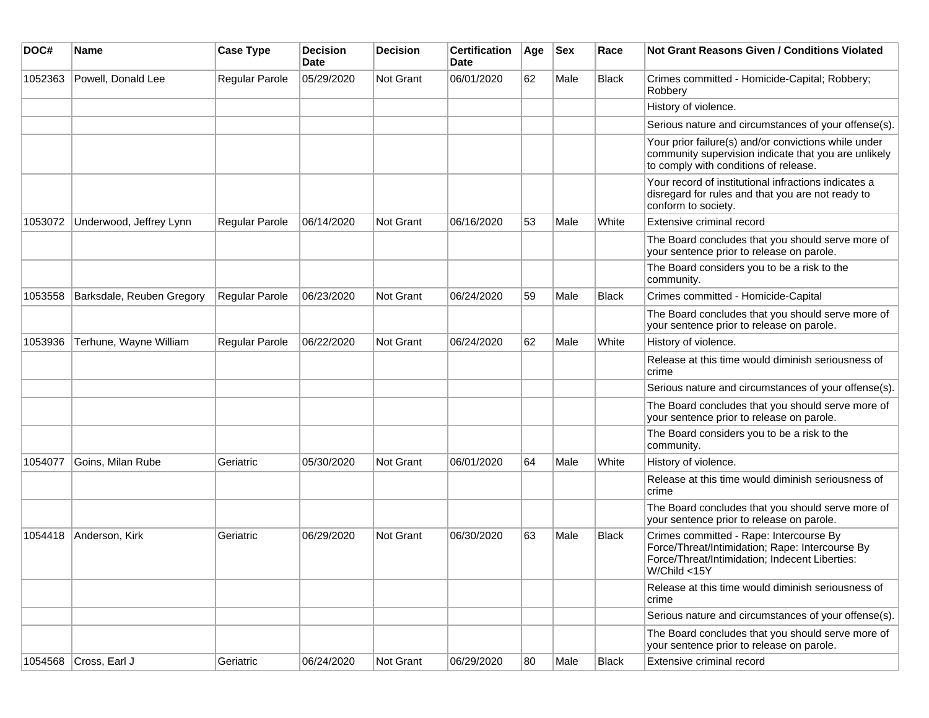| DOC#    | <b>Name</b>               | <b>Case Type</b>      | <b>Decision</b><br><b>Date</b> | <b>Decision</b>  | <b>Certification</b><br>Date | Age | <b>Sex</b> | Race         | <b>Not Grant Reasons Given / Conditions Violated</b>                                                                                                         |
|---------|---------------------------|-----------------------|--------------------------------|------------------|------------------------------|-----|------------|--------------|--------------------------------------------------------------------------------------------------------------------------------------------------------------|
| 1052363 | Powell, Donald Lee        | Regular Parole        | 05/29/2020                     | Not Grant        | 06/01/2020                   | 62  | Male       | <b>Black</b> | Crimes committed - Homicide-Capital; Robbery;<br>Robbery                                                                                                     |
|         |                           |                       |                                |                  |                              |     |            |              | History of violence.                                                                                                                                         |
|         |                           |                       |                                |                  |                              |     |            |              | Serious nature and circumstances of your offense(s).                                                                                                         |
|         |                           |                       |                                |                  |                              |     |            |              | Your prior failure(s) and/or convictions while under<br>community supervision indicate that you are unlikely<br>to comply with conditions of release.        |
|         |                           |                       |                                |                  |                              |     |            |              | Your record of institutional infractions indicates a<br>disregard for rules and that you are not ready to<br>conform to society.                             |
| 1053072 | Underwood, Jeffrey Lynn   | Regular Parole        | 06/14/2020                     | <b>Not Grant</b> | 06/16/2020                   | 53  | Male       | White        | Extensive criminal record                                                                                                                                    |
|         |                           |                       |                                |                  |                              |     |            |              | The Board concludes that you should serve more of<br>your sentence prior to release on parole.                                                               |
|         |                           |                       |                                |                  |                              |     |            |              | The Board considers you to be a risk to the<br>community.                                                                                                    |
| 1053558 | Barksdale, Reuben Gregory | Regular Parole        | 06/23/2020                     | <b>Not Grant</b> | 06/24/2020                   | 59  | Male       | Black        | Crimes committed - Homicide-Capital                                                                                                                          |
|         |                           |                       |                                |                  |                              |     |            |              | The Board concludes that you should serve more of<br>your sentence prior to release on parole.                                                               |
| 1053936 | Terhune, Wayne William    | <b>Regular Parole</b> | 06/22/2020                     | <b>Not Grant</b> | 06/24/2020                   | 62  | Male       | White        | History of violence.                                                                                                                                         |
|         |                           |                       |                                |                  |                              |     |            |              | Release at this time would diminish seriousness of<br>crime                                                                                                  |
|         |                           |                       |                                |                  |                              |     |            |              | Serious nature and circumstances of your offense(s).                                                                                                         |
|         |                           |                       |                                |                  |                              |     |            |              | The Board concludes that you should serve more of<br>your sentence prior to release on parole.                                                               |
|         |                           |                       |                                |                  |                              |     |            |              | The Board considers you to be a risk to the<br>community.                                                                                                    |
| 1054077 | Goins, Milan Rube         | Geriatric             | 05/30/2020                     | <b>Not Grant</b> | 06/01/2020                   | 64  | Male       | White        | History of violence.                                                                                                                                         |
|         |                           |                       |                                |                  |                              |     |            |              | Release at this time would diminish seriousness of<br>crime                                                                                                  |
|         |                           |                       |                                |                  |                              |     |            |              | The Board concludes that you should serve more of<br>your sentence prior to release on parole.                                                               |
| 1054418 | Anderson, Kirk            | Geriatric             | 06/29/2020                     | <b>Not Grant</b> | 06/30/2020                   | 63  | Male       | Black        | Crimes committed - Rape: Intercourse By<br>Force/Threat/Intimidation; Rape: Intercourse By<br>Force/Threat/Intimidation; Indecent Liberties:<br>W/Child <15Y |
|         |                           |                       |                                |                  |                              |     |            |              | Release at this time would diminish seriousness of<br>crime                                                                                                  |
|         |                           |                       |                                |                  |                              |     |            |              | Serious nature and circumstances of your offense(s).                                                                                                         |
|         |                           |                       |                                |                  |                              |     |            |              | The Board concludes that you should serve more of<br>your sentence prior to release on parole.                                                               |
| 1054568 | Cross, Earl J             | Geriatric             | 06/24/2020                     | Not Grant        | 06/29/2020                   | 80  | Male       | <b>Black</b> | Extensive criminal record                                                                                                                                    |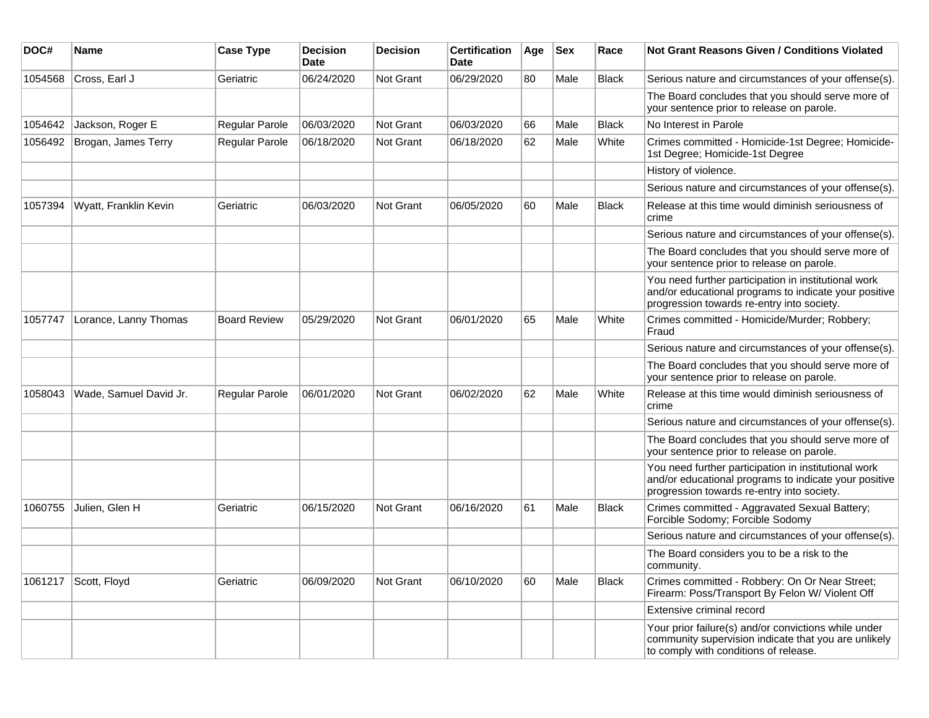| DOC#    | Name                   | <b>Case Type</b>    | <b>Decision</b><br>Date | <b>Decision</b> | <b>Certification</b><br>Date | Age | <b>Sex</b> | Race         | Not Grant Reasons Given / Conditions Violated                                                                                                               |
|---------|------------------------|---------------------|-------------------------|-----------------|------------------------------|-----|------------|--------------|-------------------------------------------------------------------------------------------------------------------------------------------------------------|
| 1054568 | Cross, Earl J          | Geriatric           | 06/24/2020              | Not Grant       | 06/29/2020                   | 80  | Male       | <b>Black</b> | Serious nature and circumstances of your offense(s).                                                                                                        |
|         |                        |                     |                         |                 |                              |     |            |              | The Board concludes that you should serve more of<br>your sentence prior to release on parole.                                                              |
| 1054642 | Jackson, Roger E       | Regular Parole      | 06/03/2020              | Not Grant       | 06/03/2020                   | 66  | Male       | <b>Black</b> | No Interest in Parole                                                                                                                                       |
| 1056492 | Brogan, James Terry    | Regular Parole      | 06/18/2020              | Not Grant       | 06/18/2020                   | 62  | Male       | White        | Crimes committed - Homicide-1st Degree; Homicide-<br>1st Degree; Homicide-1st Degree                                                                        |
|         |                        |                     |                         |                 |                              |     |            |              | History of violence.                                                                                                                                        |
|         |                        |                     |                         |                 |                              |     |            |              | Serious nature and circumstances of your offense(s).                                                                                                        |
| 1057394 | Wyatt, Franklin Kevin  | Geriatric           | 06/03/2020              | Not Grant       | 06/05/2020                   | 60  | Male       | Black        | Release at this time would diminish seriousness of<br>crime                                                                                                 |
|         |                        |                     |                         |                 |                              |     |            |              | Serious nature and circumstances of your offense(s).                                                                                                        |
|         |                        |                     |                         |                 |                              |     |            |              | The Board concludes that you should serve more of<br>your sentence prior to release on parole.                                                              |
|         |                        |                     |                         |                 |                              |     |            |              | You need further participation in institutional work<br>and/or educational programs to indicate your positive<br>progression towards re-entry into society. |
| 1057747 | Lorance, Lanny Thomas  | <b>Board Review</b> | 05/29/2020              | Not Grant       | 06/01/2020                   | 65  | Male       | White        | Crimes committed - Homicide/Murder; Robbery;<br>Fraud                                                                                                       |
|         |                        |                     |                         |                 |                              |     |            |              | Serious nature and circumstances of your offense(s).                                                                                                        |
|         |                        |                     |                         |                 |                              |     |            |              | The Board concludes that you should serve more of<br>your sentence prior to release on parole.                                                              |
| 1058043 | Wade, Samuel David Jr. | Regular Parole      | 06/01/2020              | Not Grant       | 06/02/2020                   | 62  | Male       | White        | Release at this time would diminish seriousness of<br>crime                                                                                                 |
|         |                        |                     |                         |                 |                              |     |            |              | Serious nature and circumstances of your offense(s).                                                                                                        |
|         |                        |                     |                         |                 |                              |     |            |              | The Board concludes that you should serve more of<br>your sentence prior to release on parole.                                                              |
|         |                        |                     |                         |                 |                              |     |            |              | You need further participation in institutional work<br>and/or educational programs to indicate your positive<br>progression towards re-entry into society. |
| 1060755 | Julien, Glen H         | Geriatric           | 06/15/2020              | Not Grant       | 06/16/2020                   | 61  | Male       | <b>Black</b> | Crimes committed - Aggravated Sexual Battery;<br>Forcible Sodomy; Forcible Sodomy                                                                           |
|         |                        |                     |                         |                 |                              |     |            |              | Serious nature and circumstances of your offense(s).                                                                                                        |
|         |                        |                     |                         |                 |                              |     |            |              | The Board considers you to be a risk to the<br>community.                                                                                                   |
| 1061217 | Scott, Floyd           | Geriatric           | 06/09/2020              | Not Grant       | 06/10/2020                   | 60  | Male       | <b>Black</b> | Crimes committed - Robbery: On Or Near Street;<br>Firearm: Poss/Transport By Felon W/ Violent Off                                                           |
|         |                        |                     |                         |                 |                              |     |            |              | Extensive criminal record                                                                                                                                   |
|         |                        |                     |                         |                 |                              |     |            |              | Your prior failure(s) and/or convictions while under<br>community supervision indicate that you are unlikely<br>to comply with conditions of release.       |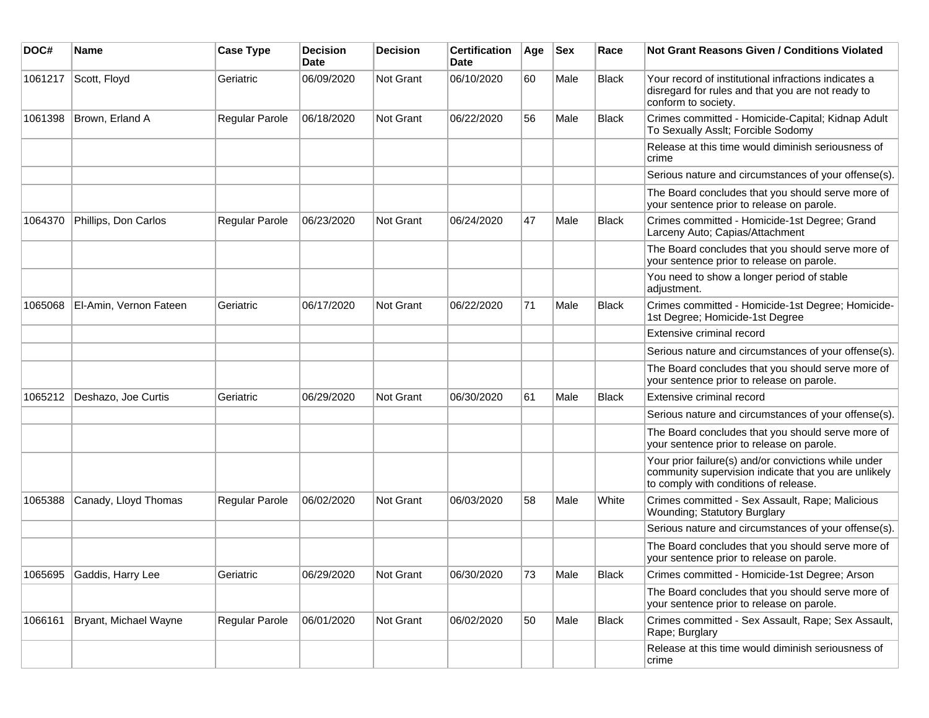| DOC#    | <b>Name</b>            | <b>Case Type</b> | <b>Decision</b><br>Date | <b>Decision</b> | <b>Certification</b><br>Date | Age | <b>Sex</b> | Race         | Not Grant Reasons Given / Conditions Violated                                                                                                         |
|---------|------------------------|------------------|-------------------------|-----------------|------------------------------|-----|------------|--------------|-------------------------------------------------------------------------------------------------------------------------------------------------------|
| 1061217 | Scott, Floyd           | Geriatric        | 06/09/2020              | Not Grant       | 06/10/2020                   | 60  | Male       | <b>Black</b> | Your record of institutional infractions indicates a<br>disregard for rules and that you are not ready to<br>conform to society.                      |
| 1061398 | Brown, Erland A        | Regular Parole   | 06/18/2020              | Not Grant       | 06/22/2020                   | 56  | Male       | Black        | Crimes committed - Homicide-Capital; Kidnap Adult<br>To Sexually Asslt; Forcible Sodomy                                                               |
|         |                        |                  |                         |                 |                              |     |            |              | Release at this time would diminish seriousness of<br>crime                                                                                           |
|         |                        |                  |                         |                 |                              |     |            |              | Serious nature and circumstances of your offense(s).                                                                                                  |
|         |                        |                  |                         |                 |                              |     |            |              | The Board concludes that you should serve more of<br>your sentence prior to release on parole.                                                        |
| 1064370 | Phillips, Don Carlos   | Regular Parole   | 06/23/2020              | Not Grant       | 06/24/2020                   | 47  | Male       | <b>Black</b> | Crimes committed - Homicide-1st Degree; Grand<br>Larceny Auto; Capias/Attachment                                                                      |
|         |                        |                  |                         |                 |                              |     |            |              | The Board concludes that you should serve more of<br>your sentence prior to release on parole.                                                        |
|         |                        |                  |                         |                 |                              |     |            |              | You need to show a longer period of stable<br>adjustment.                                                                                             |
| 1065068 | El-Amin, Vernon Fateen | Geriatric        | 06/17/2020              | Not Grant       | 06/22/2020                   | 71  | Male       | <b>Black</b> | Crimes committed - Homicide-1st Degree; Homicide-<br>1st Degree; Homicide-1st Degree                                                                  |
|         |                        |                  |                         |                 |                              |     |            |              | Extensive criminal record                                                                                                                             |
|         |                        |                  |                         |                 |                              |     |            |              | Serious nature and circumstances of your offense(s).                                                                                                  |
|         |                        |                  |                         |                 |                              |     |            |              | The Board concludes that you should serve more of<br>your sentence prior to release on parole.                                                        |
| 1065212 | Deshazo, Joe Curtis    | Geriatric        | 06/29/2020              | Not Grant       | 06/30/2020                   | 61  | Male       | <b>Black</b> | Extensive criminal record                                                                                                                             |
|         |                        |                  |                         |                 |                              |     |            |              | Serious nature and circumstances of your offense(s).                                                                                                  |
|         |                        |                  |                         |                 |                              |     |            |              | The Board concludes that you should serve more of<br>your sentence prior to release on parole.                                                        |
|         |                        |                  |                         |                 |                              |     |            |              | Your prior failure(s) and/or convictions while under<br>community supervision indicate that you are unlikely<br>to comply with conditions of release. |
| 1065388 | Canady, Lloyd Thomas   | Regular Parole   | 06/02/2020              | Not Grant       | 06/03/2020                   | 58  | Male       | White        | Crimes committed - Sex Assault, Rape; Malicious<br>Wounding; Statutory Burglary                                                                       |
|         |                        |                  |                         |                 |                              |     |            |              | Serious nature and circumstances of your offense(s).                                                                                                  |
|         |                        |                  |                         |                 |                              |     |            |              | The Board concludes that you should serve more of<br>your sentence prior to release on parole.                                                        |
| 1065695 | Gaddis, Harry Lee      | Geriatric        | 06/29/2020              | Not Grant       | 06/30/2020                   | 73  | Male       | Black        | Crimes committed - Homicide-1st Degree; Arson                                                                                                         |
|         |                        |                  |                         |                 |                              |     |            |              | The Board concludes that you should serve more of<br>your sentence prior to release on parole.                                                        |
| 1066161 | Bryant, Michael Wayne  | Regular Parole   | 06/01/2020              | Not Grant       | 06/02/2020                   | 50  | Male       | <b>Black</b> | Crimes committed - Sex Assault, Rape; Sex Assault,<br>Rape; Burglary                                                                                  |
|         |                        |                  |                         |                 |                              |     |            |              | Release at this time would diminish seriousness of<br>crime                                                                                           |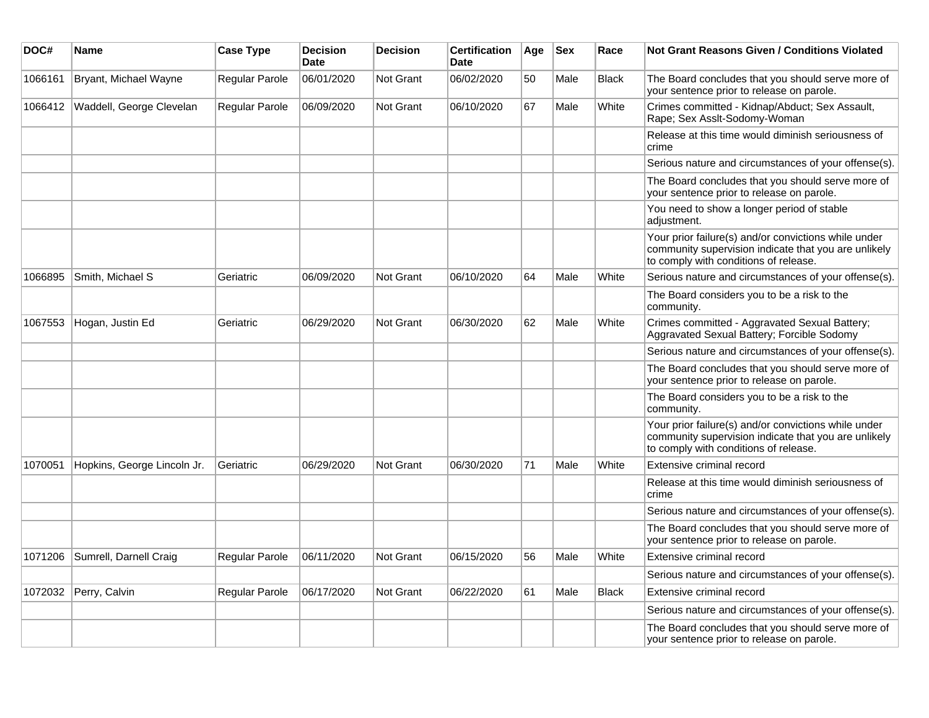| DOC#    | <b>Name</b>                 | <b>Case Type</b> | <b>Decision</b><br>Date | <b>Decision</b>  | <b>Certification</b><br>Date | Age | <b>Sex</b> | Race         | Not Grant Reasons Given / Conditions Violated                                                                                                         |
|---------|-----------------------------|------------------|-------------------------|------------------|------------------------------|-----|------------|--------------|-------------------------------------------------------------------------------------------------------------------------------------------------------|
| 1066161 | Bryant, Michael Wayne       | Regular Parole   | 06/01/2020              | <b>Not Grant</b> | 06/02/2020                   | 50  | Male       | <b>Black</b> | The Board concludes that you should serve more of<br>your sentence prior to release on parole.                                                        |
| 1066412 | Waddell, George Clevelan    | Regular Parole   | 06/09/2020              | <b>Not Grant</b> | 06/10/2020                   | 67  | Male       | White        | Crimes committed - Kidnap/Abduct; Sex Assault,<br>Rape; Sex Asslt-Sodomy-Woman                                                                        |
|         |                             |                  |                         |                  |                              |     |            |              | Release at this time would diminish seriousness of<br>crime                                                                                           |
|         |                             |                  |                         |                  |                              |     |            |              | Serious nature and circumstances of your offense(s).                                                                                                  |
|         |                             |                  |                         |                  |                              |     |            |              | The Board concludes that you should serve more of<br>your sentence prior to release on parole.                                                        |
|         |                             |                  |                         |                  |                              |     |            |              | You need to show a longer period of stable<br>adjustment.                                                                                             |
|         |                             |                  |                         |                  |                              |     |            |              | Your prior failure(s) and/or convictions while under<br>community supervision indicate that you are unlikely<br>to comply with conditions of release. |
| 1066895 | Smith, Michael S            | Geriatric        | 06/09/2020              | <b>Not Grant</b> | 06/10/2020                   | 64  | Male       | White        | Serious nature and circumstances of your offense(s).                                                                                                  |
|         |                             |                  |                         |                  |                              |     |            |              | The Board considers you to be a risk to the<br>community.                                                                                             |
| 1067553 | Hogan, Justin Ed            | Geriatric        | 06/29/2020              | Not Grant        | 06/30/2020                   | 62  | Male       | White        | Crimes committed - Aggravated Sexual Battery;<br>Aggravated Sexual Battery; Forcible Sodomy                                                           |
|         |                             |                  |                         |                  |                              |     |            |              | Serious nature and circumstances of your offense(s).                                                                                                  |
|         |                             |                  |                         |                  |                              |     |            |              | The Board concludes that you should serve more of<br>your sentence prior to release on parole.                                                        |
|         |                             |                  |                         |                  |                              |     |            |              | The Board considers you to be a risk to the<br>community.                                                                                             |
|         |                             |                  |                         |                  |                              |     |            |              | Your prior failure(s) and/or convictions while under<br>community supervision indicate that you are unlikely<br>to comply with conditions of release. |
| 1070051 | Hopkins, George Lincoln Jr. | Geriatric        | 06/29/2020              | Not Grant        | 06/30/2020                   | 71  | Male       | White        | Extensive criminal record                                                                                                                             |
|         |                             |                  |                         |                  |                              |     |            |              | Release at this time would diminish seriousness of<br>crime                                                                                           |
|         |                             |                  |                         |                  |                              |     |            |              | Serious nature and circumstances of your offense(s).                                                                                                  |
|         |                             |                  |                         |                  |                              |     |            |              | The Board concludes that you should serve more of<br>your sentence prior to release on parole.                                                        |
| 1071206 | Sumrell, Darnell Craig      | Regular Parole   | 06/11/2020              | <b>Not Grant</b> | 06/15/2020                   | 56  | Male       | White        | Extensive criminal record                                                                                                                             |
|         |                             |                  |                         |                  |                              |     |            |              | Serious nature and circumstances of your offense(s).                                                                                                  |
| 1072032 | Perry, Calvin               | Regular Parole   | 06/17/2020              | <b>Not Grant</b> | 06/22/2020                   | 61  | Male       | <b>Black</b> | Extensive criminal record                                                                                                                             |
|         |                             |                  |                         |                  |                              |     |            |              | Serious nature and circumstances of your offense(s).                                                                                                  |
|         |                             |                  |                         |                  |                              |     |            |              | The Board concludes that you should serve more of<br>your sentence prior to release on parole.                                                        |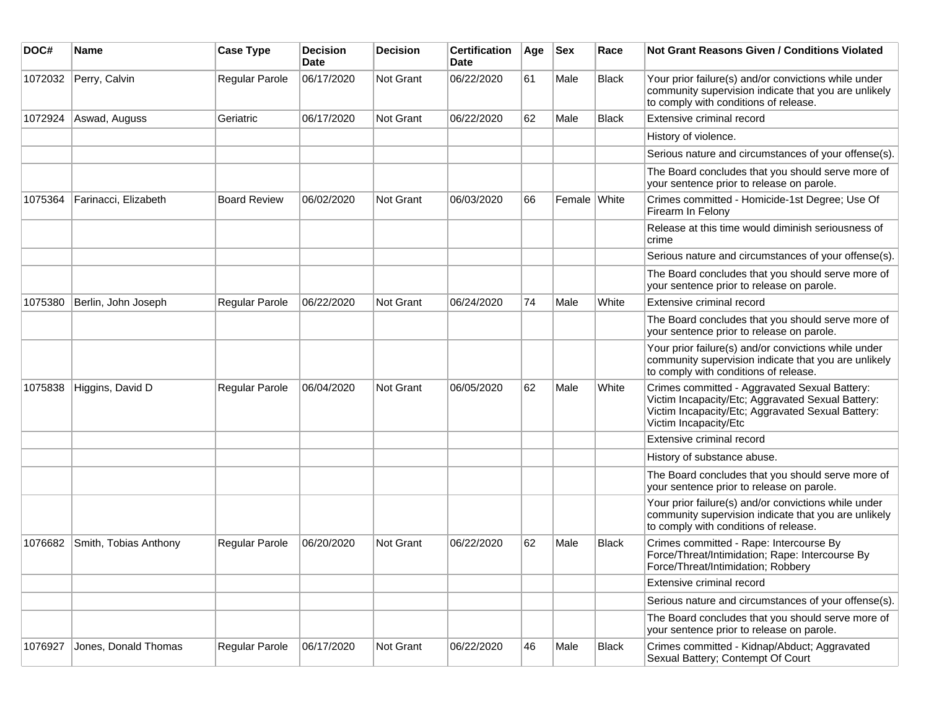| DOC#    | Name                  | <b>Case Type</b>    | <b>Decision</b><br>Date | <b>Decision</b> | <b>Certification</b><br>Date | Age | <b>Sex</b>   | Race         | Not Grant Reasons Given / Conditions Violated                                                                                                                                    |
|---------|-----------------------|---------------------|-------------------------|-----------------|------------------------------|-----|--------------|--------------|----------------------------------------------------------------------------------------------------------------------------------------------------------------------------------|
| 1072032 | Perry, Calvin         | Regular Parole      | 06/17/2020              | Not Grant       | 06/22/2020                   | 61  | Male         | <b>Black</b> | Your prior failure(s) and/or convictions while under<br>community supervision indicate that you are unlikely<br>to comply with conditions of release.                            |
| 1072924 | Aswad, Auguss         | Geriatric           | 06/17/2020              | Not Grant       | 06/22/2020                   | 62  | Male         | <b>Black</b> | Extensive criminal record                                                                                                                                                        |
|         |                       |                     |                         |                 |                              |     |              |              | History of violence.                                                                                                                                                             |
|         |                       |                     |                         |                 |                              |     |              |              | Serious nature and circumstances of your offense(s).                                                                                                                             |
|         |                       |                     |                         |                 |                              |     |              |              | The Board concludes that you should serve more of<br>your sentence prior to release on parole.                                                                                   |
| 1075364 | Farinacci, Elizabeth  | <b>Board Review</b> | 06/02/2020              | Not Grant       | 06/03/2020                   | 66  | Female White |              | Crimes committed - Homicide-1st Degree; Use Of<br>Firearm In Felony                                                                                                              |
|         |                       |                     |                         |                 |                              |     |              |              | Release at this time would diminish seriousness of<br>crime                                                                                                                      |
|         |                       |                     |                         |                 |                              |     |              |              | Serious nature and circumstances of your offense(s).                                                                                                                             |
|         |                       |                     |                         |                 |                              |     |              |              | The Board concludes that you should serve more of<br>your sentence prior to release on parole.                                                                                   |
| 1075380 | Berlin, John Joseph   | Regular Parole      | 06/22/2020              | Not Grant       | 06/24/2020                   | 74  | Male         | White        | Extensive criminal record                                                                                                                                                        |
|         |                       |                     |                         |                 |                              |     |              |              | The Board concludes that you should serve more of<br>your sentence prior to release on parole.                                                                                   |
|         |                       |                     |                         |                 |                              |     |              |              | Your prior failure(s) and/or convictions while under<br>community supervision indicate that you are unlikely<br>to comply with conditions of release.                            |
| 1075838 | Higgins, David D      | Regular Parole      | 06/04/2020              | Not Grant       | 06/05/2020                   | 62  | Male         | White        | Crimes committed - Aggravated Sexual Battery:<br>Victim Incapacity/Etc; Aggravated Sexual Battery:<br>Victim Incapacity/Etc; Aggravated Sexual Battery:<br>Victim Incapacity/Etc |
|         |                       |                     |                         |                 |                              |     |              |              | Extensive criminal record                                                                                                                                                        |
|         |                       |                     |                         |                 |                              |     |              |              | History of substance abuse.                                                                                                                                                      |
|         |                       |                     |                         |                 |                              |     |              |              | The Board concludes that you should serve more of<br>your sentence prior to release on parole.                                                                                   |
|         |                       |                     |                         |                 |                              |     |              |              | Your prior failure(s) and/or convictions while under<br>community supervision indicate that you are unlikely<br>to comply with conditions of release.                            |
| 1076682 | Smith, Tobias Anthony | Regular Parole      | 06/20/2020              | Not Grant       | 06/22/2020                   | 62  | Male         | <b>Black</b> | Crimes committed - Rape: Intercourse By<br>Force/Threat/Intimidation; Rape: Intercourse By<br>Force/Threat/Intimidation; Robbery                                                 |
|         |                       |                     |                         |                 |                              |     |              |              | Extensive criminal record                                                                                                                                                        |
|         |                       |                     |                         |                 |                              |     |              |              | Serious nature and circumstances of your offense(s).                                                                                                                             |
|         |                       |                     |                         |                 |                              |     |              |              | The Board concludes that you should serve more of<br>your sentence prior to release on parole.                                                                                   |
| 1076927 | Jones, Donald Thomas  | Regular Parole      | 06/17/2020              | Not Grant       | 06/22/2020                   | 46  | Male         | Black        | Crimes committed - Kidnap/Abduct; Aggravated<br>Sexual Battery; Contempt Of Court                                                                                                |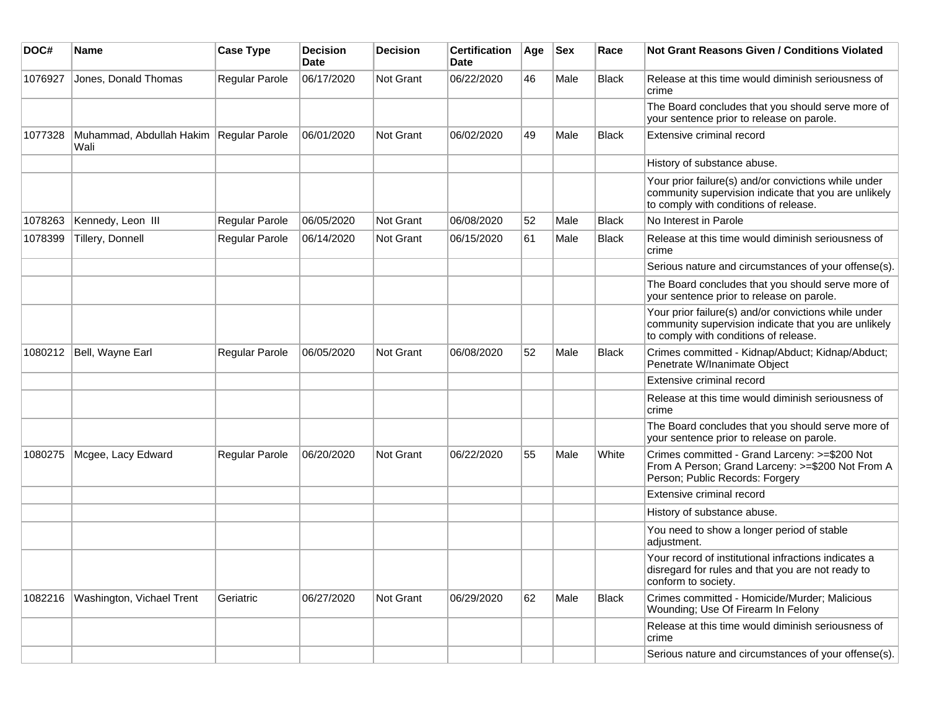| DOC#    | Name                                            | <b>Case Type</b>      | <b>Decision</b><br><b>Date</b> | <b>Decision</b>  | <b>Certification</b><br>Date | Age | <b>Sex</b> | Race         | <b>Not Grant Reasons Given / Conditions Violated</b>                                                                                                  |
|---------|-------------------------------------------------|-----------------------|--------------------------------|------------------|------------------------------|-----|------------|--------------|-------------------------------------------------------------------------------------------------------------------------------------------------------|
| 1076927 | Jones, Donald Thomas                            | Regular Parole        | 06/17/2020                     | Not Grant        | 06/22/2020                   | 46  | Male       | <b>Black</b> | Release at this time would diminish seriousness of<br>crime                                                                                           |
|         |                                                 |                       |                                |                  |                              |     |            |              | The Board concludes that you should serve more of<br>your sentence prior to release on parole.                                                        |
| 1077328 | Muhammad, Abdullah Hakim Regular Parole<br>Wali |                       | 06/01/2020                     | Not Grant        | 06/02/2020                   | 49  | Male       | Black        | Extensive criminal record                                                                                                                             |
|         |                                                 |                       |                                |                  |                              |     |            |              | History of substance abuse.                                                                                                                           |
|         |                                                 |                       |                                |                  |                              |     |            |              | Your prior failure(s) and/or convictions while under<br>community supervision indicate that you are unlikely<br>to comply with conditions of release. |
| 1078263 | Kennedy, Leon III                               | Regular Parole        | 06/05/2020                     | <b>Not Grant</b> | 06/08/2020                   | 52  | Male       | <b>Black</b> | No Interest in Parole                                                                                                                                 |
| 1078399 | Tillery, Donnell                                | Regular Parole        | 06/14/2020                     | <b>Not Grant</b> | 06/15/2020                   | 61  | Male       | <b>Black</b> | Release at this time would diminish seriousness of<br>crime                                                                                           |
|         |                                                 |                       |                                |                  |                              |     |            |              | Serious nature and circumstances of your offense(s).                                                                                                  |
|         |                                                 |                       |                                |                  |                              |     |            |              | The Board concludes that you should serve more of<br>your sentence prior to release on parole.                                                        |
|         |                                                 |                       |                                |                  |                              |     |            |              | Your prior failure(s) and/or convictions while under<br>community supervision indicate that you are unlikely<br>to comply with conditions of release. |
| 1080212 | Bell, Wayne Earl                                | <b>Regular Parole</b> | 06/05/2020                     | <b>Not Grant</b> | 06/08/2020                   | 52  | Male       | <b>Black</b> | Crimes committed - Kidnap/Abduct; Kidnap/Abduct;<br>Penetrate W/Inanimate Object                                                                      |
|         |                                                 |                       |                                |                  |                              |     |            |              | Extensive criminal record                                                                                                                             |
|         |                                                 |                       |                                |                  |                              |     |            |              | Release at this time would diminish seriousness of<br>crime                                                                                           |
|         |                                                 |                       |                                |                  |                              |     |            |              | The Board concludes that you should serve more of<br>your sentence prior to release on parole.                                                        |
| 1080275 | Mcgee, Lacy Edward                              | Regular Parole        | 06/20/2020                     | <b>Not Grant</b> | 06/22/2020                   | 55  | Male       | White        | Crimes committed - Grand Larceny: >=\$200 Not<br>From A Person; Grand Larceny: >=\$200 Not From A<br>Person; Public Records: Forgery                  |
|         |                                                 |                       |                                |                  |                              |     |            |              | Extensive criminal record                                                                                                                             |
|         |                                                 |                       |                                |                  |                              |     |            |              | History of substance abuse.                                                                                                                           |
|         |                                                 |                       |                                |                  |                              |     |            |              | You need to show a longer period of stable<br>adjustment.                                                                                             |
|         |                                                 |                       |                                |                  |                              |     |            |              | Your record of institutional infractions indicates a<br>disregard for rules and that you are not ready to<br>conform to society.                      |
| 1082216 | Washington, Vichael Trent                       | Geriatric             | 06/27/2020                     | Not Grant        | 06/29/2020                   | 62  | Male       | Black        | Crimes committed - Homicide/Murder; Malicious<br>Wounding; Use Of Firearm In Felony                                                                   |
|         |                                                 |                       |                                |                  |                              |     |            |              | Release at this time would diminish seriousness of<br>crime                                                                                           |
|         |                                                 |                       |                                |                  |                              |     |            |              | Serious nature and circumstances of your offense(s).                                                                                                  |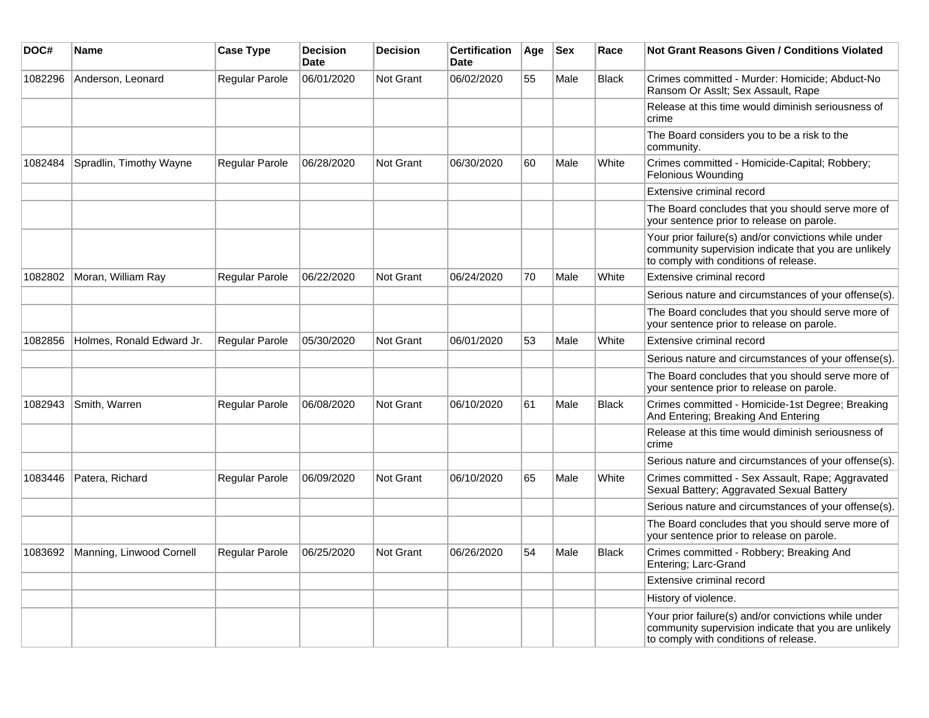| DOC#    | Name                      | <b>Case Type</b>      | <b>Decision</b><br><b>Date</b> | <b>Decision</b>  | <b>Certification</b><br>Date | Age | <b>Sex</b> | Race         | Not Grant Reasons Given / Conditions Violated                                                                                                         |
|---------|---------------------------|-----------------------|--------------------------------|------------------|------------------------------|-----|------------|--------------|-------------------------------------------------------------------------------------------------------------------------------------------------------|
| 1082296 | Anderson, Leonard         | Regular Parole        | 06/01/2020                     | Not Grant        | 06/02/2020                   | 55  | Male       | <b>Black</b> | Crimes committed - Murder: Homicide; Abduct-No<br>Ransom Or Asslt; Sex Assault, Rape                                                                  |
|         |                           |                       |                                |                  |                              |     |            |              | Release at this time would diminish seriousness of<br>crime                                                                                           |
|         |                           |                       |                                |                  |                              |     |            |              | The Board considers you to be a risk to the<br>community.                                                                                             |
| 1082484 | Spradlin, Timothy Wayne   | Regular Parole        | 06/28/2020                     | Not Grant        | 06/30/2020                   | 60  | Male       | White        | Crimes committed - Homicide-Capital; Robbery;<br>Felonious Wounding                                                                                   |
|         |                           |                       |                                |                  |                              |     |            |              | Extensive criminal record                                                                                                                             |
|         |                           |                       |                                |                  |                              |     |            |              | The Board concludes that you should serve more of<br>your sentence prior to release on parole.                                                        |
|         |                           |                       |                                |                  |                              |     |            |              | Your prior failure(s) and/or convictions while under<br>community supervision indicate that you are unlikely<br>to comply with conditions of release. |
| 1082802 | Moran, William Ray        | Regular Parole        | 06/22/2020                     | Not Grant        | 06/24/2020                   | 70  | Male       | White        | Extensive criminal record                                                                                                                             |
|         |                           |                       |                                |                  |                              |     |            |              | Serious nature and circumstances of your offense(s).                                                                                                  |
|         |                           |                       |                                |                  |                              |     |            |              | The Board concludes that you should serve more of<br>your sentence prior to release on parole.                                                        |
| 1082856 | Holmes, Ronald Edward Jr. | <b>Regular Parole</b> | 05/30/2020                     | Not Grant        | 06/01/2020                   | 53  | Male       | White        | Extensive criminal record                                                                                                                             |
|         |                           |                       |                                |                  |                              |     |            |              | Serious nature and circumstances of your offense(s).                                                                                                  |
|         |                           |                       |                                |                  |                              |     |            |              | The Board concludes that you should serve more of<br>your sentence prior to release on parole.                                                        |
| 1082943 | Smith, Warren             | Regular Parole        | 06/08/2020                     | Not Grant        | 06/10/2020                   | 61  | Male       | <b>Black</b> | Crimes committed - Homicide-1st Degree; Breaking<br>And Entering; Breaking And Entering                                                               |
|         |                           |                       |                                |                  |                              |     |            |              | Release at this time would diminish seriousness of<br>crime                                                                                           |
|         |                           |                       |                                |                  |                              |     |            |              | Serious nature and circumstances of your offense(s).                                                                                                  |
| 1083446 | Patera, Richard           | Regular Parole        | 06/09/2020                     | Not Grant        | 06/10/2020                   | 65  | Male       | White        | Crimes committed - Sex Assault, Rape; Aggravated<br>Sexual Battery; Aggravated Sexual Battery                                                         |
|         |                           |                       |                                |                  |                              |     |            |              | Serious nature and circumstances of your offense(s).                                                                                                  |
|         |                           |                       |                                |                  |                              |     |            |              | The Board concludes that you should serve more of<br>your sentence prior to release on parole.                                                        |
| 1083692 | Manning, Linwood Cornell  | Regular Parole        | 06/25/2020                     | <b>Not Grant</b> | 06/26/2020                   | 54  | Male       | <b>Black</b> | Crimes committed - Robbery; Breaking And<br>Entering; Larc-Grand                                                                                      |
|         |                           |                       |                                |                  |                              |     |            |              | Extensive criminal record                                                                                                                             |
|         |                           |                       |                                |                  |                              |     |            |              | History of violence.                                                                                                                                  |
|         |                           |                       |                                |                  |                              |     |            |              | Your prior failure(s) and/or convictions while under<br>community supervision indicate that you are unlikely<br>to comply with conditions of release. |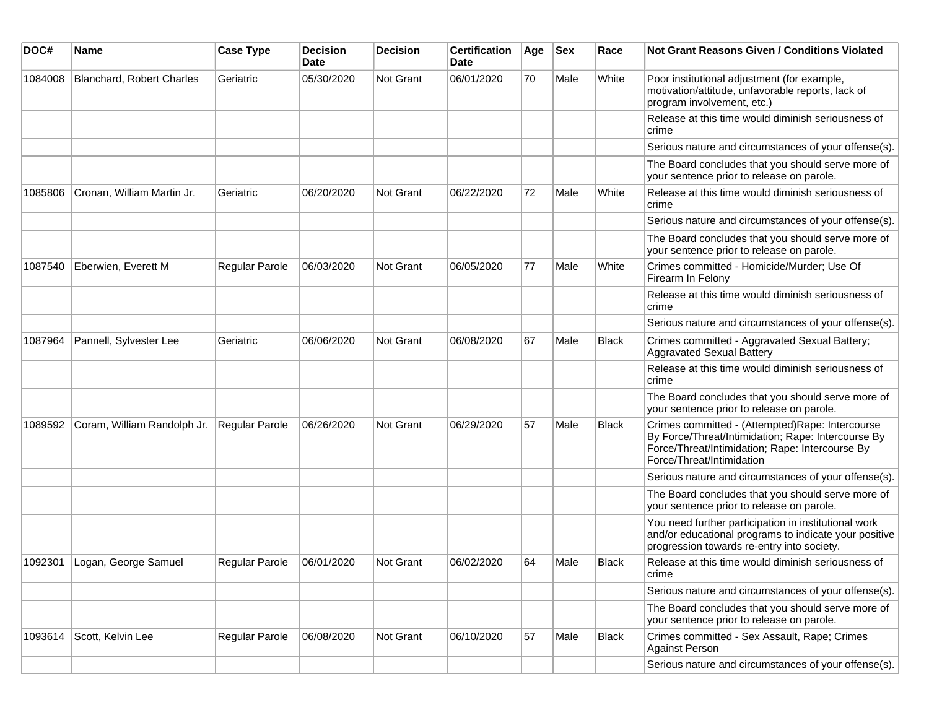| DOC#    | <b>Name</b>                      | <b>Case Type</b>      | <b>Decision</b><br><b>Date</b> | <b>Decision</b> | <b>Certification</b><br>Date | Age | <b>Sex</b> | Race         | Not Grant Reasons Given / Conditions Violated                                                                                                                                         |
|---------|----------------------------------|-----------------------|--------------------------------|-----------------|------------------------------|-----|------------|--------------|---------------------------------------------------------------------------------------------------------------------------------------------------------------------------------------|
| 1084008 | <b>Blanchard, Robert Charles</b> | Geriatric             | 05/30/2020                     | Not Grant       | 06/01/2020                   | 70  | Male       | White        | Poor institutional adjustment (for example,<br>motivation/attitude, unfavorable reports, lack of<br>program involvement, etc.)                                                        |
|         |                                  |                       |                                |                 |                              |     |            |              | Release at this time would diminish seriousness of<br>crime                                                                                                                           |
|         |                                  |                       |                                |                 |                              |     |            |              | Serious nature and circumstances of your offense(s).                                                                                                                                  |
|         |                                  |                       |                                |                 |                              |     |            |              | The Board concludes that you should serve more of<br>your sentence prior to release on parole.                                                                                        |
| 1085806 | Cronan, William Martin Jr.       | Geriatric             | 06/20/2020                     | Not Grant       | 06/22/2020                   | 72  | Male       | White        | Release at this time would diminish seriousness of<br>crime                                                                                                                           |
|         |                                  |                       |                                |                 |                              |     |            |              | Serious nature and circumstances of your offense(s).                                                                                                                                  |
|         |                                  |                       |                                |                 |                              |     |            |              | The Board concludes that you should serve more of<br>your sentence prior to release on parole.                                                                                        |
| 1087540 | Eberwien, Everett M              | Regular Parole        | 06/03/2020                     | Not Grant       | 06/05/2020                   | 77  | Male       | White        | Crimes committed - Homicide/Murder; Use Of<br>Firearm In Felony                                                                                                                       |
|         |                                  |                       |                                |                 |                              |     |            |              | Release at this time would diminish seriousness of<br>crime                                                                                                                           |
|         |                                  |                       |                                |                 |                              |     |            |              | Serious nature and circumstances of your offense(s).                                                                                                                                  |
| 1087964 | Pannell, Sylvester Lee           | Geriatric             | 06/06/2020                     | Not Grant       | 06/08/2020                   | 67  | Male       | <b>Black</b> | Crimes committed - Aggravated Sexual Battery;<br><b>Aggravated Sexual Battery</b>                                                                                                     |
|         |                                  |                       |                                |                 |                              |     |            |              | Release at this time would diminish seriousness of<br>crime                                                                                                                           |
|         |                                  |                       |                                |                 |                              |     |            |              | The Board concludes that you should serve more of<br>your sentence prior to release on parole.                                                                                        |
| 1089592 | Coram, William Randolph Jr.      | Regular Parole        | 06/26/2020                     | Not Grant       | 06/29/2020                   | 57  | Male       | <b>Black</b> | Crimes committed - (Attempted)Rape: Intercourse<br>By Force/Threat/Intimidation; Rape: Intercourse By<br>Force/Threat/Intimidation; Rape: Intercourse By<br>Force/Threat/Intimidation |
|         |                                  |                       |                                |                 |                              |     |            |              | Serious nature and circumstances of your offense(s).                                                                                                                                  |
|         |                                  |                       |                                |                 |                              |     |            |              | The Board concludes that you should serve more of<br>your sentence prior to release on parole.                                                                                        |
|         |                                  |                       |                                |                 |                              |     |            |              | You need further participation in institutional work<br>and/or educational programs to indicate your positive<br>progression towards re-entry into society.                           |
| 1092301 | Logan, George Samuel             | <b>Regular Parole</b> | 06/01/2020                     | Not Grant       | 06/02/2020                   | 64  | Male       | <b>Black</b> | Release at this time would diminish seriousness of<br>crime                                                                                                                           |
|         |                                  |                       |                                |                 |                              |     |            |              | Serious nature and circumstances of your offense(s).                                                                                                                                  |
|         |                                  |                       |                                |                 |                              |     |            |              | The Board concludes that you should serve more of<br>your sentence prior to release on parole.                                                                                        |
| 1093614 | Scott, Kelvin Lee                | Regular Parole        | 06/08/2020                     | Not Grant       | 06/10/2020                   | 57  | Male       | <b>Black</b> | Crimes committed - Sex Assault, Rape; Crimes<br><b>Against Person</b>                                                                                                                 |
|         |                                  |                       |                                |                 |                              |     |            |              | Serious nature and circumstances of your offense(s).                                                                                                                                  |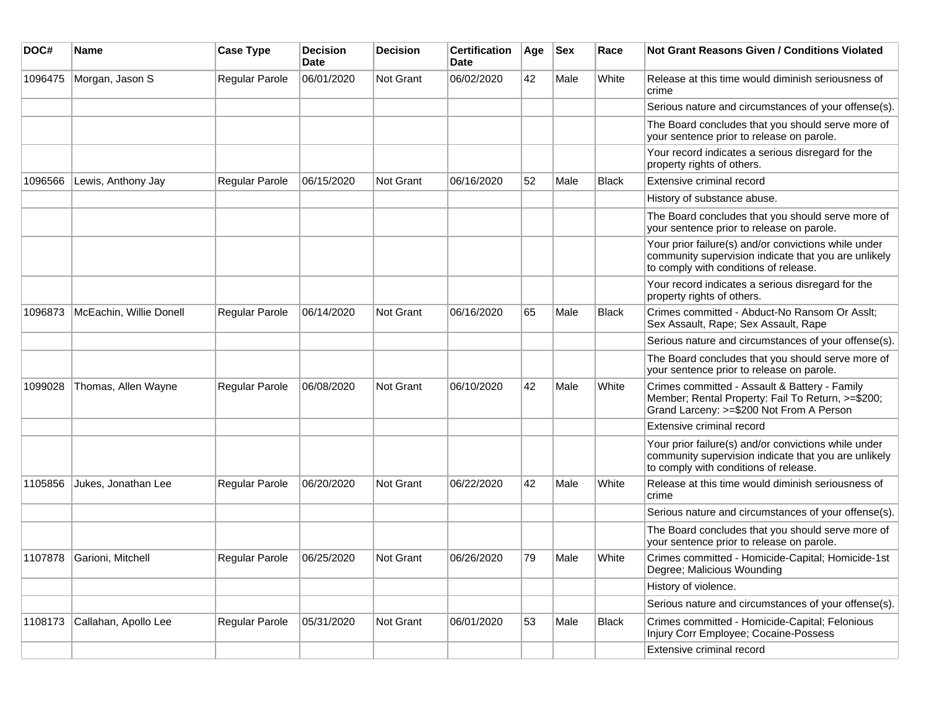| DOC#    | <b>Name</b>             | <b>Case Type</b>      | <b>Decision</b><br><b>Date</b> | <b>Decision</b>  | <b>Certification</b><br>Date | Age | <b>Sex</b> | Race         | Not Grant Reasons Given / Conditions Violated                                                                                                         |
|---------|-------------------------|-----------------------|--------------------------------|------------------|------------------------------|-----|------------|--------------|-------------------------------------------------------------------------------------------------------------------------------------------------------|
| 1096475 | Morgan, Jason S         | Regular Parole        | 06/01/2020                     | <b>Not Grant</b> | 06/02/2020                   | 42  | Male       | White        | Release at this time would diminish seriousness of<br>crime                                                                                           |
|         |                         |                       |                                |                  |                              |     |            |              | Serious nature and circumstances of your offense(s).                                                                                                  |
|         |                         |                       |                                |                  |                              |     |            |              | The Board concludes that you should serve more of<br>your sentence prior to release on parole.                                                        |
|         |                         |                       |                                |                  |                              |     |            |              | Your record indicates a serious disregard for the<br>property rights of others.                                                                       |
| 1096566 | Lewis, Anthony Jay      | Regular Parole        | 06/15/2020                     | <b>Not Grant</b> | 06/16/2020                   | 52  | Male       | <b>Black</b> | Extensive criminal record                                                                                                                             |
|         |                         |                       |                                |                  |                              |     |            |              | History of substance abuse.                                                                                                                           |
|         |                         |                       |                                |                  |                              |     |            |              | The Board concludes that you should serve more of<br>your sentence prior to release on parole.                                                        |
|         |                         |                       |                                |                  |                              |     |            |              | Your prior failure(s) and/or convictions while under<br>community supervision indicate that you are unlikely<br>to comply with conditions of release. |
|         |                         |                       |                                |                  |                              |     |            |              | Your record indicates a serious disregard for the<br>property rights of others.                                                                       |
| 1096873 | McEachin, Willie Donell | Regular Parole        | 06/14/2020                     | <b>Not Grant</b> | 06/16/2020                   | 65  | Male       | <b>Black</b> | Crimes committed - Abduct-No Ransom Or Asslt;<br>Sex Assault, Rape; Sex Assault, Rape                                                                 |
|         |                         |                       |                                |                  |                              |     |            |              | Serious nature and circumstances of your offense(s).                                                                                                  |
|         |                         |                       |                                |                  |                              |     |            |              | The Board concludes that you should serve more of<br>your sentence prior to release on parole.                                                        |
| 1099028 | Thomas, Allen Wayne     | Regular Parole        | 06/08/2020                     | Not Grant        | 06/10/2020                   | 42  | Male       | White        | Crimes committed - Assault & Battery - Family<br>Member; Rental Property: Fail To Return, >=\$200;<br>Grand Larceny: >=\$200 Not From A Person        |
|         |                         |                       |                                |                  |                              |     |            |              | Extensive criminal record                                                                                                                             |
|         |                         |                       |                                |                  |                              |     |            |              | Your prior failure(s) and/or convictions while under<br>community supervision indicate that you are unlikely<br>to comply with conditions of release. |
| 1105856 | Jukes, Jonathan Lee     | <b>Regular Parole</b> | 06/20/2020                     | Not Grant        | 06/22/2020                   | 42  | Male       | White        | Release at this time would diminish seriousness of<br>crime                                                                                           |
|         |                         |                       |                                |                  |                              |     |            |              | Serious nature and circumstances of your offense(s).                                                                                                  |
|         |                         |                       |                                |                  |                              |     |            |              | The Board concludes that you should serve more of<br>your sentence prior to release on parole.                                                        |
| 1107878 | Garioni, Mitchell       | Regular Parole        | 06/25/2020                     | <b>Not Grant</b> | 06/26/2020                   | 79  | Male       | White        | Crimes committed - Homicide-Capital; Homicide-1st<br>Degree; Malicious Wounding                                                                       |
|         |                         |                       |                                |                  |                              |     |            |              | History of violence.                                                                                                                                  |
|         |                         |                       |                                |                  |                              |     |            |              | Serious nature and circumstances of your offense(s).                                                                                                  |
| 1108173 | Callahan, Apollo Lee    | Regular Parole        | 05/31/2020                     | Not Grant        | 06/01/2020                   | 53  | Male       | <b>Black</b> | Crimes committed - Homicide-Capital; Felonious<br>Injury Corr Employee; Cocaine-Possess                                                               |
|         |                         |                       |                                |                  |                              |     |            |              | Extensive criminal record                                                                                                                             |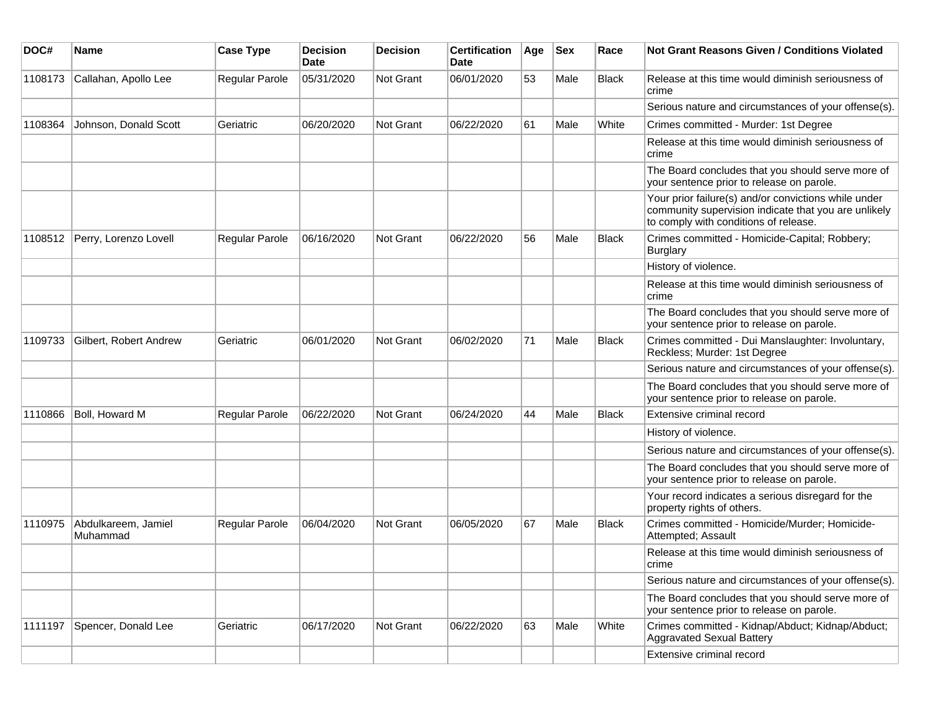| DOC#    | Name                            | <b>Case Type</b> | <b>Decision</b><br>Date | <b>Decision</b> | <b>Certification</b><br>Date | Age | Sex  | Race         | Not Grant Reasons Given / Conditions Violated                                                                                                         |
|---------|---------------------------------|------------------|-------------------------|-----------------|------------------------------|-----|------|--------------|-------------------------------------------------------------------------------------------------------------------------------------------------------|
| 1108173 | Callahan, Apollo Lee            | Regular Parole   | 05/31/2020              | Not Grant       | 06/01/2020                   | 53  | Male | <b>Black</b> | Release at this time would diminish seriousness of<br>crime                                                                                           |
|         |                                 |                  |                         |                 |                              |     |      |              | Serious nature and circumstances of your offense(s).                                                                                                  |
| 1108364 | Johnson, Donald Scott           | Geriatric        | 06/20/2020              | Not Grant       | 06/22/2020                   | 61  | Male | White        | Crimes committed - Murder: 1st Degree                                                                                                                 |
|         |                                 |                  |                         |                 |                              |     |      |              | Release at this time would diminish seriousness of<br>crime                                                                                           |
|         |                                 |                  |                         |                 |                              |     |      |              | The Board concludes that you should serve more of<br>your sentence prior to release on parole.                                                        |
|         |                                 |                  |                         |                 |                              |     |      |              | Your prior failure(s) and/or convictions while under<br>community supervision indicate that you are unlikely<br>to comply with conditions of release. |
| 1108512 | Perry, Lorenzo Lovell           | Regular Parole   | 06/16/2020              | Not Grant       | 06/22/2020                   | 56  | Male | <b>Black</b> | Crimes committed - Homicide-Capital; Robbery;<br><b>Burglary</b>                                                                                      |
|         |                                 |                  |                         |                 |                              |     |      |              | History of violence.                                                                                                                                  |
|         |                                 |                  |                         |                 |                              |     |      |              | Release at this time would diminish seriousness of<br>crime                                                                                           |
|         |                                 |                  |                         |                 |                              |     |      |              | The Board concludes that you should serve more of<br>your sentence prior to release on parole.                                                        |
| 1109733 | Gilbert, Robert Andrew          | Geriatric        | 06/01/2020              | Not Grant       | 06/02/2020                   | 71  | Male | <b>Black</b> | Crimes committed - Dui Manslaughter: Involuntary,<br>Reckless; Murder: 1st Degree                                                                     |
|         |                                 |                  |                         |                 |                              |     |      |              | Serious nature and circumstances of your offense(s).                                                                                                  |
|         |                                 |                  |                         |                 |                              |     |      |              | The Board concludes that you should serve more of<br>your sentence prior to release on parole.                                                        |
| 1110866 | Boll, Howard M                  | Regular Parole   | 06/22/2020              | Not Grant       | 06/24/2020                   | 44  | Male | Black        | Extensive criminal record                                                                                                                             |
|         |                                 |                  |                         |                 |                              |     |      |              | History of violence.                                                                                                                                  |
|         |                                 |                  |                         |                 |                              |     |      |              | Serious nature and circumstances of your offense(s).                                                                                                  |
|         |                                 |                  |                         |                 |                              |     |      |              | The Board concludes that you should serve more of<br>your sentence prior to release on parole.                                                        |
|         |                                 |                  |                         |                 |                              |     |      |              | Your record indicates a serious disregard for the<br>property rights of others.                                                                       |
| 1110975 | Abdulkareem, Jamiel<br>Muhammad | Regular Parole   | 06/04/2020              | Not Grant       | 06/05/2020                   | 67  | Male | <b>Black</b> | Crimes committed - Homicide/Murder; Homicide-<br>Attempted; Assault                                                                                   |
|         |                                 |                  |                         |                 |                              |     |      |              | Release at this time would diminish seriousness of<br>crime                                                                                           |
|         |                                 |                  |                         |                 |                              |     |      |              | Serious nature and circumstances of your offense(s).                                                                                                  |
|         |                                 |                  |                         |                 |                              |     |      |              | The Board concludes that you should serve more of<br>your sentence prior to release on parole.                                                        |
| 1111197 | Spencer, Donald Lee             | Geriatric        | 06/17/2020              | Not Grant       | 06/22/2020                   | 63  | Male | White        | Crimes committed - Kidnap/Abduct; Kidnap/Abduct;<br><b>Aggravated Sexual Battery</b>                                                                  |
|         |                                 |                  |                         |                 |                              |     |      |              | Extensive criminal record                                                                                                                             |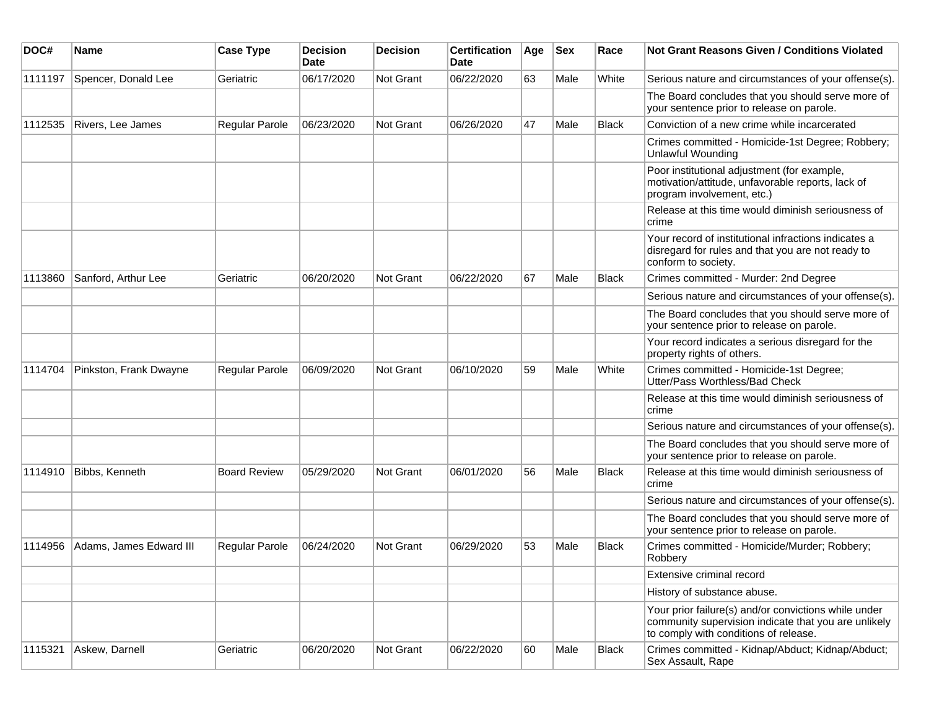| DOC#    | <b>Name</b>             | <b>Case Type</b>      | <b>Decision</b><br>Date | <b>Decision</b> | <b>Certification</b><br>Date | Age | <b>Sex</b> | Race         | <b>Not Grant Reasons Given / Conditions Violated</b>                                                                                                  |
|---------|-------------------------|-----------------------|-------------------------|-----------------|------------------------------|-----|------------|--------------|-------------------------------------------------------------------------------------------------------------------------------------------------------|
| 1111197 | Spencer, Donald Lee     | Geriatric             | 06/17/2020              | Not Grant       | 06/22/2020                   | 63  | Male       | White        | Serious nature and circumstances of your offense(s).                                                                                                  |
|         |                         |                       |                         |                 |                              |     |            |              | The Board concludes that you should serve more of<br>your sentence prior to release on parole.                                                        |
| 1112535 | Rivers, Lee James       | Regular Parole        | 06/23/2020              | Not Grant       | 06/26/2020                   | 47  | Male       | <b>Black</b> | Conviction of a new crime while incarcerated                                                                                                          |
|         |                         |                       |                         |                 |                              |     |            |              | Crimes committed - Homicide-1st Degree; Robbery;<br><b>Unlawful Wounding</b>                                                                          |
|         |                         |                       |                         |                 |                              |     |            |              | Poor institutional adjustment (for example,<br>motivation/attitude, unfavorable reports, lack of<br>program involvement, etc.)                        |
|         |                         |                       |                         |                 |                              |     |            |              | Release at this time would diminish seriousness of<br>crime                                                                                           |
|         |                         |                       |                         |                 |                              |     |            |              | Your record of institutional infractions indicates a<br>disregard for rules and that you are not ready to<br>conform to society.                      |
| 1113860 | Sanford, Arthur Lee     | Geriatric             | 06/20/2020              | Not Grant       | 06/22/2020                   | 67  | Male       | <b>Black</b> | Crimes committed - Murder: 2nd Degree                                                                                                                 |
|         |                         |                       |                         |                 |                              |     |            |              | Serious nature and circumstances of your offense(s).                                                                                                  |
|         |                         |                       |                         |                 |                              |     |            |              | The Board concludes that you should serve more of<br>your sentence prior to release on parole.                                                        |
|         |                         |                       |                         |                 |                              |     |            |              | Your record indicates a serious disregard for the<br>property rights of others.                                                                       |
| 1114704 | Pinkston, Frank Dwayne  | <b>Regular Parole</b> | 06/09/2020              | Not Grant       | 06/10/2020                   | 59  | Male       | White        | Crimes committed - Homicide-1st Degree;<br>Utter/Pass Worthless/Bad Check                                                                             |
|         |                         |                       |                         |                 |                              |     |            |              | Release at this time would diminish seriousness of<br>crime                                                                                           |
|         |                         |                       |                         |                 |                              |     |            |              | Serious nature and circumstances of your offense(s).                                                                                                  |
|         |                         |                       |                         |                 |                              |     |            |              | The Board concludes that you should serve more of<br>your sentence prior to release on parole.                                                        |
| 1114910 | Bibbs, Kenneth          | <b>Board Review</b>   | 05/29/2020              | Not Grant       | 06/01/2020                   | 56  | Male       | <b>Black</b> | Release at this time would diminish seriousness of<br>crime                                                                                           |
|         |                         |                       |                         |                 |                              |     |            |              | Serious nature and circumstances of your offense(s).                                                                                                  |
|         |                         |                       |                         |                 |                              |     |            |              | The Board concludes that you should serve more of<br>your sentence prior to release on parole.                                                        |
| 1114956 | Adams, James Edward III | Regular Parole        | 06/24/2020              | Not Grant       | 06/29/2020                   | 53  | Male       | <b>Black</b> | Crimes committed - Homicide/Murder; Robbery;<br>Robbery                                                                                               |
|         |                         |                       |                         |                 |                              |     |            |              | Extensive criminal record                                                                                                                             |
|         |                         |                       |                         |                 |                              |     |            |              | History of substance abuse.                                                                                                                           |
|         |                         |                       |                         |                 |                              |     |            |              | Your prior failure(s) and/or convictions while under<br>community supervision indicate that you are unlikely<br>to comply with conditions of release. |
| 1115321 | Askew, Darnell          | Geriatric             | 06/20/2020              | Not Grant       | 06/22/2020                   | 60  | Male       | <b>Black</b> | Crimes committed - Kidnap/Abduct; Kidnap/Abduct;<br>Sex Assault, Rape                                                                                 |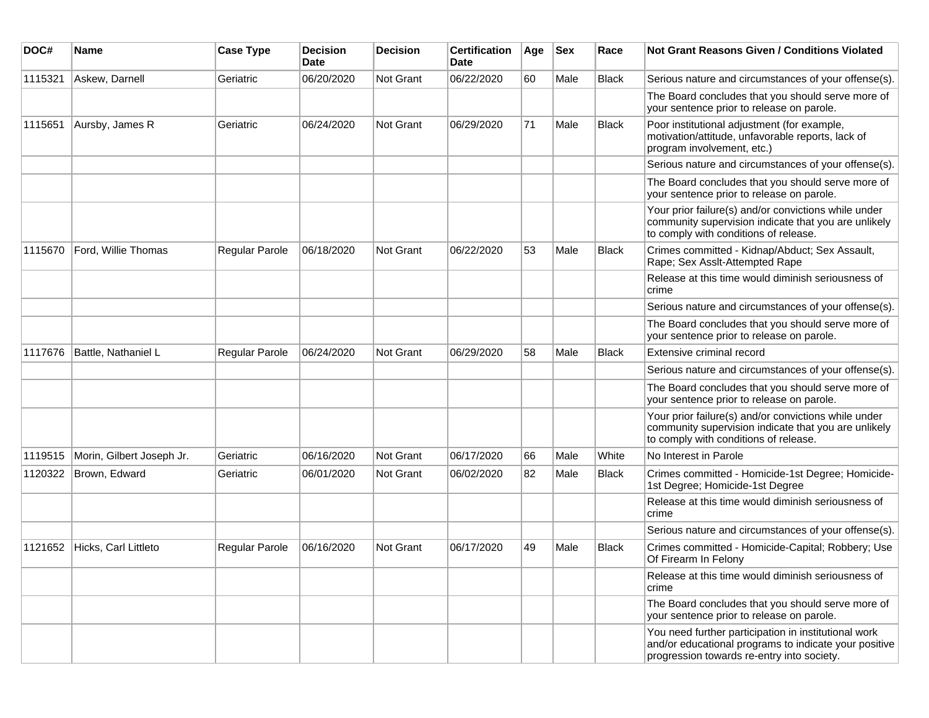| DOC#    | <b>Name</b>               | <b>Case Type</b> | <b>Decision</b><br><b>Date</b> | <b>Decision</b>  | <b>Certification</b><br>Date | Age | <b>Sex</b> | Race         | <b>Not Grant Reasons Given / Conditions Violated</b>                                                                                                        |
|---------|---------------------------|------------------|--------------------------------|------------------|------------------------------|-----|------------|--------------|-------------------------------------------------------------------------------------------------------------------------------------------------------------|
| 1115321 | Askew, Darnell            | Geriatric        | 06/20/2020                     | Not Grant        | 06/22/2020                   | 60  | Male       | Black        | Serious nature and circumstances of your offense(s).                                                                                                        |
|         |                           |                  |                                |                  |                              |     |            |              | The Board concludes that you should serve more of<br>your sentence prior to release on parole.                                                              |
| 1115651 | Aursby, James R           | Geriatric        | 06/24/2020                     | Not Grant        | 06/29/2020                   | 71  | Male       | <b>Black</b> | Poor institutional adjustment (for example,<br>motivation/attitude, unfavorable reports, lack of<br>program involvement, etc.)                              |
|         |                           |                  |                                |                  |                              |     |            |              | Serious nature and circumstances of your offense(s).                                                                                                        |
|         |                           |                  |                                |                  |                              |     |            |              | The Board concludes that you should serve more of<br>your sentence prior to release on parole.                                                              |
|         |                           |                  |                                |                  |                              |     |            |              | Your prior failure(s) and/or convictions while under<br>community supervision indicate that you are unlikely<br>to comply with conditions of release.       |
| 1115670 | Ford, Willie Thomas       | Regular Parole   | 06/18/2020                     | Not Grant        | 06/22/2020                   | 53  | Male       | <b>Black</b> | Crimes committed - Kidnap/Abduct; Sex Assault,<br>Rape; Sex Asslt-Attempted Rape                                                                            |
|         |                           |                  |                                |                  |                              |     |            |              | Release at this time would diminish seriousness of<br>crime                                                                                                 |
|         |                           |                  |                                |                  |                              |     |            |              | Serious nature and circumstances of your offense(s).                                                                                                        |
|         |                           |                  |                                |                  |                              |     |            |              | The Board concludes that you should serve more of<br>your sentence prior to release on parole.                                                              |
| 1117676 | Battle, Nathaniel L       | Regular Parole   | 06/24/2020                     | Not Grant        | 06/29/2020                   | 58  | Male       | <b>Black</b> | Extensive criminal record                                                                                                                                   |
|         |                           |                  |                                |                  |                              |     |            |              | Serious nature and circumstances of your offense(s).                                                                                                        |
|         |                           |                  |                                |                  |                              |     |            |              | The Board concludes that you should serve more of<br>your sentence prior to release on parole.                                                              |
|         |                           |                  |                                |                  |                              |     |            |              | Your prior failure(s) and/or convictions while under<br>community supervision indicate that you are unlikely<br>to comply with conditions of release.       |
| 1119515 | Morin, Gilbert Joseph Jr. | Geriatric        | 06/16/2020                     | Not Grant        | 06/17/2020                   | 66  | Male       | White        | No Interest in Parole                                                                                                                                       |
| 1120322 | Brown, Edward             | Geriatric        | 06/01/2020                     | <b>Not Grant</b> | 06/02/2020                   | 82  | Male       | <b>Black</b> | Crimes committed - Homicide-1st Degree; Homicide-<br>1st Degree; Homicide-1st Degree                                                                        |
|         |                           |                  |                                |                  |                              |     |            |              | Release at this time would diminish seriousness of<br>crime                                                                                                 |
|         |                           |                  |                                |                  |                              |     |            |              | Serious nature and circumstances of your offense(s).                                                                                                        |
| 1121652 | Hicks, Carl Littleto      | Regular Parole   | 06/16/2020                     | Not Grant        | 06/17/2020                   | 49  | Male       | Black        | Crimes committed - Homicide-Capital; Robbery; Use<br>Of Firearm In Felony                                                                                   |
|         |                           |                  |                                |                  |                              |     |            |              | Release at this time would diminish seriousness of<br>crime                                                                                                 |
|         |                           |                  |                                |                  |                              |     |            |              | The Board concludes that you should serve more of<br>your sentence prior to release on parole.                                                              |
|         |                           |                  |                                |                  |                              |     |            |              | You need further participation in institutional work<br>and/or educational programs to indicate your positive<br>progression towards re-entry into society. |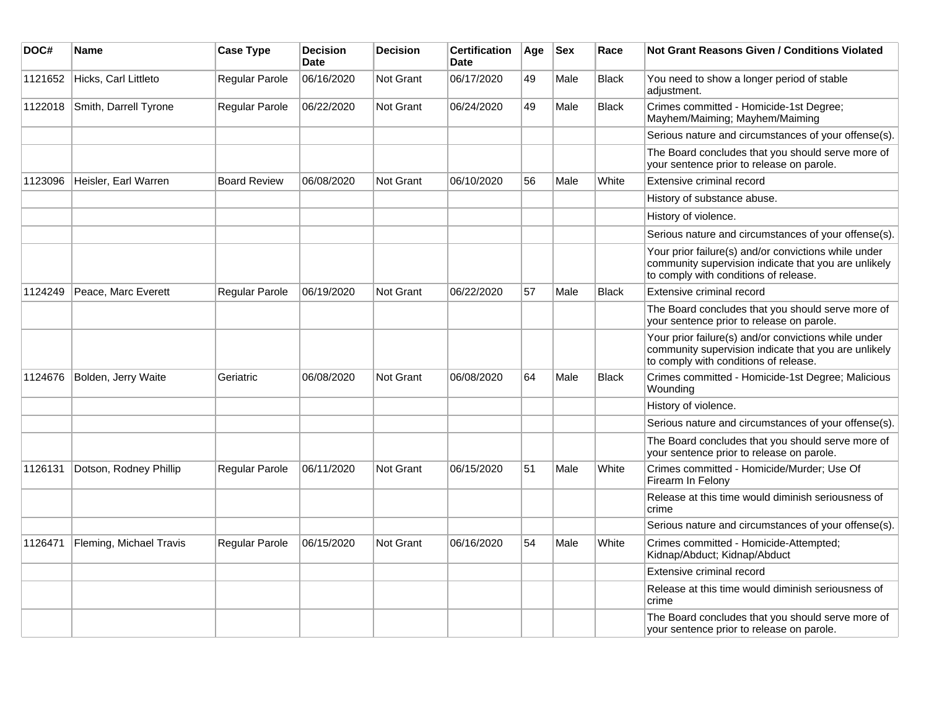| DOC#    | Name                    | <b>Case Type</b>      | <b>Decision</b><br><b>Date</b> | <b>Decision</b>  | <b>Certification</b><br><b>Date</b> | Age | <b>Sex</b> | Race         | <b>Not Grant Reasons Given / Conditions Violated</b>                                                                                                  |
|---------|-------------------------|-----------------------|--------------------------------|------------------|-------------------------------------|-----|------------|--------------|-------------------------------------------------------------------------------------------------------------------------------------------------------|
| 1121652 | Hicks, Carl Littleto    | Regular Parole        | 06/16/2020                     | Not Grant        | 06/17/2020                          | 49  | Male       | <b>Black</b> | You need to show a longer period of stable<br>adjustment.                                                                                             |
| 1122018 | Smith, Darrell Tyrone   | Regular Parole        | 06/22/2020                     | Not Grant        | 06/24/2020                          | 49  | Male       | <b>Black</b> | Crimes committed - Homicide-1st Degree;<br>Mayhem/Maiming; Mayhem/Maiming                                                                             |
|         |                         |                       |                                |                  |                                     |     |            |              | Serious nature and circumstances of your offense(s).                                                                                                  |
|         |                         |                       |                                |                  |                                     |     |            |              | The Board concludes that you should serve more of<br>your sentence prior to release on parole.                                                        |
| 1123096 | Heisler, Earl Warren    | <b>Board Review</b>   | 06/08/2020                     | <b>Not Grant</b> | 06/10/2020                          | 56  | Male       | White        | Extensive criminal record                                                                                                                             |
|         |                         |                       |                                |                  |                                     |     |            |              | History of substance abuse.                                                                                                                           |
|         |                         |                       |                                |                  |                                     |     |            |              | History of violence.                                                                                                                                  |
|         |                         |                       |                                |                  |                                     |     |            |              | Serious nature and circumstances of your offense(s).                                                                                                  |
|         |                         |                       |                                |                  |                                     |     |            |              | Your prior failure(s) and/or convictions while under<br>community supervision indicate that you are unlikely<br>to comply with conditions of release. |
| 1124249 | Peace, Marc Everett     | Regular Parole        | 06/19/2020                     | Not Grant        | 06/22/2020                          | 57  | Male       | <b>Black</b> | Extensive criminal record                                                                                                                             |
|         |                         |                       |                                |                  |                                     |     |            |              | The Board concludes that you should serve more of<br>your sentence prior to release on parole.                                                        |
|         |                         |                       |                                |                  |                                     |     |            |              | Your prior failure(s) and/or convictions while under<br>community supervision indicate that you are unlikely<br>to comply with conditions of release. |
| 1124676 | Bolden, Jerry Waite     | Geriatric             | 06/08/2020                     | <b>Not Grant</b> | 06/08/2020                          | 64  | Male       | Black        | Crimes committed - Homicide-1st Degree; Malicious<br>Wounding                                                                                         |
|         |                         |                       |                                |                  |                                     |     |            |              | History of violence.                                                                                                                                  |
|         |                         |                       |                                |                  |                                     |     |            |              | Serious nature and circumstances of your offense(s).                                                                                                  |
|         |                         |                       |                                |                  |                                     |     |            |              | The Board concludes that you should serve more of<br>your sentence prior to release on parole.                                                        |
| 1126131 | Dotson, Rodney Phillip  | <b>Regular Parole</b> | 06/11/2020                     | Not Grant        | 06/15/2020                          | 51  | Male       | White        | Crimes committed - Homicide/Murder; Use Of<br>Firearm In Felony                                                                                       |
|         |                         |                       |                                |                  |                                     |     |            |              | Release at this time would diminish seriousness of<br>crime                                                                                           |
|         |                         |                       |                                |                  |                                     |     |            |              | Serious nature and circumstances of your offense(s).                                                                                                  |
| 1126471 | Fleming, Michael Travis | Regular Parole        | 06/15/2020                     | <b>Not Grant</b> | 06/16/2020                          | 54  | Male       | White        | Crimes committed - Homicide-Attempted;<br>Kidnap/Abduct; Kidnap/Abduct                                                                                |
|         |                         |                       |                                |                  |                                     |     |            |              | Extensive criminal record                                                                                                                             |
|         |                         |                       |                                |                  |                                     |     |            |              | Release at this time would diminish seriousness of<br>crime                                                                                           |
|         |                         |                       |                                |                  |                                     |     |            |              | The Board concludes that you should serve more of<br>your sentence prior to release on parole.                                                        |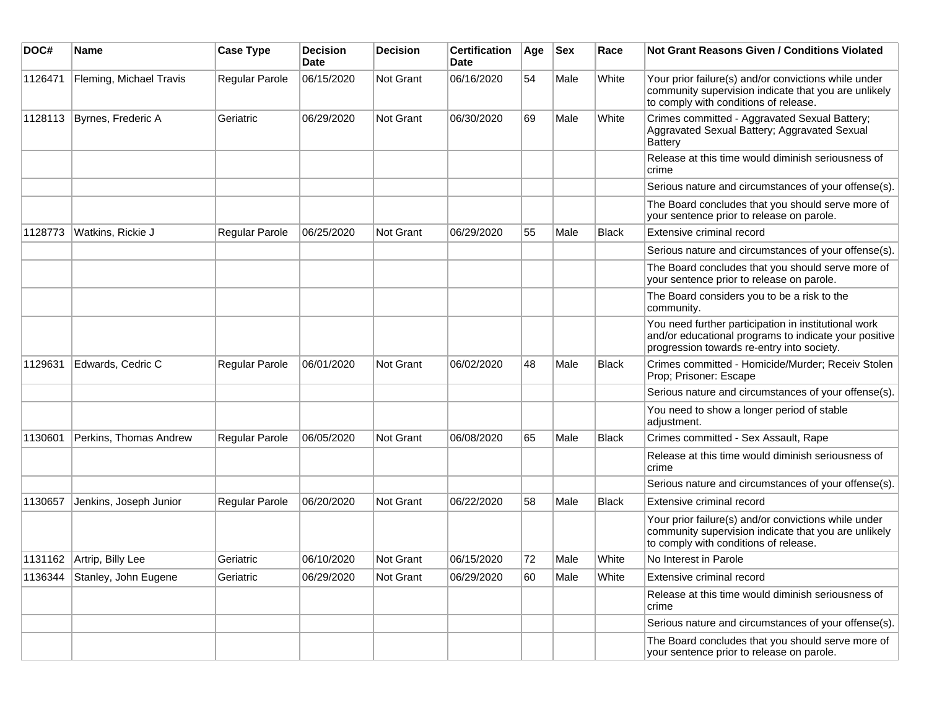| DOC#    | <b>Name</b>             | <b>Case Type</b> | <b>Decision</b><br>Date | <b>Decision</b> | <b>Certification</b><br>Date | Age | <b>Sex</b> | Race         | Not Grant Reasons Given / Conditions Violated                                                                                                               |
|---------|-------------------------|------------------|-------------------------|-----------------|------------------------------|-----|------------|--------------|-------------------------------------------------------------------------------------------------------------------------------------------------------------|
| 1126471 | Fleming, Michael Travis | Regular Parole   | 06/15/2020              | Not Grant       | 06/16/2020                   | 54  | Male       | White        | Your prior failure(s) and/or convictions while under<br>community supervision indicate that you are unlikely<br>to comply with conditions of release.       |
| 1128113 | Byrnes, Frederic A      | Geriatric        | 06/29/2020              | Not Grant       | 06/30/2020                   | 69  | Male       | White        | Crimes committed - Aggravated Sexual Battery;<br>Aggravated Sexual Battery; Aggravated Sexual<br><b>Battery</b>                                             |
|         |                         |                  |                         |                 |                              |     |            |              | Release at this time would diminish seriousness of<br>crime                                                                                                 |
|         |                         |                  |                         |                 |                              |     |            |              | Serious nature and circumstances of your offense(s).                                                                                                        |
|         |                         |                  |                         |                 |                              |     |            |              | The Board concludes that you should serve more of<br>your sentence prior to release on parole.                                                              |
| 1128773 | Watkins, Rickie J       | Regular Parole   | 06/25/2020              | Not Grant       | 06/29/2020                   | 55  | Male       | <b>Black</b> | Extensive criminal record                                                                                                                                   |
|         |                         |                  |                         |                 |                              |     |            |              | Serious nature and circumstances of your offense(s).                                                                                                        |
|         |                         |                  |                         |                 |                              |     |            |              | The Board concludes that you should serve more of<br>your sentence prior to release on parole.                                                              |
|         |                         |                  |                         |                 |                              |     |            |              | The Board considers you to be a risk to the<br>community.                                                                                                   |
|         |                         |                  |                         |                 |                              |     |            |              | You need further participation in institutional work<br>and/or educational programs to indicate your positive<br>progression towards re-entry into society. |
| 1129631 | Edwards, Cedric C       | Regular Parole   | 06/01/2020              | Not Grant       | 06/02/2020                   | 48  | Male       | <b>Black</b> | Crimes committed - Homicide/Murder; Receiv Stolen<br>Prop; Prisoner: Escape                                                                                 |
|         |                         |                  |                         |                 |                              |     |            |              | Serious nature and circumstances of your offense(s).                                                                                                        |
|         |                         |                  |                         |                 |                              |     |            |              | You need to show a longer period of stable<br>adjustment.                                                                                                   |
| 1130601 | Perkins, Thomas Andrew  | Regular Parole   | 06/05/2020              | Not Grant       | 06/08/2020                   | 65  | Male       | <b>Black</b> | Crimes committed - Sex Assault, Rape                                                                                                                        |
|         |                         |                  |                         |                 |                              |     |            |              | Release at this time would diminish seriousness of<br>crime                                                                                                 |
|         |                         |                  |                         |                 |                              |     |            |              | Serious nature and circumstances of your offense(s).                                                                                                        |
| 1130657 | Jenkins, Joseph Junior  | Regular Parole   | 06/20/2020              | Not Grant       | 06/22/2020                   | 58  | Male       | <b>Black</b> | Extensive criminal record                                                                                                                                   |
|         |                         |                  |                         |                 |                              |     |            |              | Your prior failure(s) and/or convictions while under<br>community supervision indicate that you are unlikely<br>to comply with conditions of release.       |
| 1131162 | Artrip, Billy Lee       | Geriatric        | 06/10/2020              | Not Grant       | 06/15/2020                   | 72  | Male       | White        | No Interest in Parole                                                                                                                                       |
| 1136344 | Stanley, John Eugene    | Geriatric        | 06/29/2020              | Not Grant       | 06/29/2020                   | 60  | Male       | White        | Extensive criminal record                                                                                                                                   |
|         |                         |                  |                         |                 |                              |     |            |              | Release at this time would diminish seriousness of<br>crime                                                                                                 |
|         |                         |                  |                         |                 |                              |     |            |              | Serious nature and circumstances of your offense(s).                                                                                                        |
|         |                         |                  |                         |                 |                              |     |            |              | The Board concludes that you should serve more of<br>your sentence prior to release on parole.                                                              |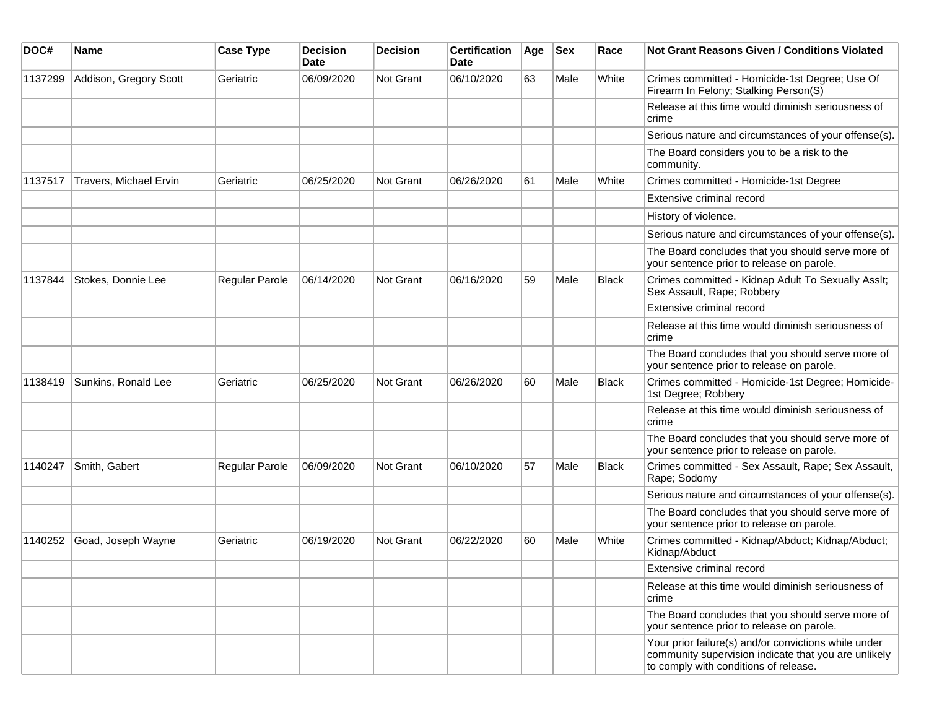| DOC#    | Name                   | <b>Case Type</b> | <b>Decision</b><br><b>Date</b> | <b>Decision</b> | <b>Certification</b><br>Date | Age | Sex  | Race         | Not Grant Reasons Given / Conditions Violated                                                                                                         |
|---------|------------------------|------------------|--------------------------------|-----------------|------------------------------|-----|------|--------------|-------------------------------------------------------------------------------------------------------------------------------------------------------|
| 1137299 | Addison, Gregory Scott | Geriatric        | 06/09/2020                     | Not Grant       | 06/10/2020                   | 63  | Male | White        | Crimes committed - Homicide-1st Degree; Use Of<br>Firearm In Felony; Stalking Person(S)                                                               |
|         |                        |                  |                                |                 |                              |     |      |              | Release at this time would diminish seriousness of<br>crime                                                                                           |
|         |                        |                  |                                |                 |                              |     |      |              | Serious nature and circumstances of your offense(s).                                                                                                  |
|         |                        |                  |                                |                 |                              |     |      |              | The Board considers you to be a risk to the<br>community.                                                                                             |
| 1137517 | Travers, Michael Ervin | Geriatric        | 06/25/2020                     | Not Grant       | 06/26/2020                   | 61  | Male | White        | Crimes committed - Homicide-1st Degree                                                                                                                |
|         |                        |                  |                                |                 |                              |     |      |              | Extensive criminal record                                                                                                                             |
|         |                        |                  |                                |                 |                              |     |      |              | History of violence.                                                                                                                                  |
|         |                        |                  |                                |                 |                              |     |      |              | Serious nature and circumstances of your offense(s).                                                                                                  |
|         |                        |                  |                                |                 |                              |     |      |              | The Board concludes that you should serve more of<br>your sentence prior to release on parole.                                                        |
| 1137844 | Stokes, Donnie Lee     | Regular Parole   | 06/14/2020                     | Not Grant       | 06/16/2020                   | 59  | Male | <b>Black</b> | Crimes committed - Kidnap Adult To Sexually Asslt;<br>Sex Assault, Rape; Robbery                                                                      |
|         |                        |                  |                                |                 |                              |     |      |              | Extensive criminal record                                                                                                                             |
|         |                        |                  |                                |                 |                              |     |      |              | Release at this time would diminish seriousness of<br>crime                                                                                           |
|         |                        |                  |                                |                 |                              |     |      |              | The Board concludes that you should serve more of<br>your sentence prior to release on parole.                                                        |
| 1138419 | Sunkins, Ronald Lee    | Geriatric        | 06/25/2020                     | Not Grant       | 06/26/2020                   | 60  | Male | <b>Black</b> | Crimes committed - Homicide-1st Degree; Homicide-<br>1st Degree; Robbery                                                                              |
|         |                        |                  |                                |                 |                              |     |      |              | Release at this time would diminish seriousness of<br>crime                                                                                           |
|         |                        |                  |                                |                 |                              |     |      |              | The Board concludes that you should serve more of<br>your sentence prior to release on parole.                                                        |
| 1140247 | Smith, Gabert          | Regular Parole   | 06/09/2020                     | Not Grant       | 06/10/2020                   | 57  | Male | <b>Black</b> | Crimes committed - Sex Assault, Rape; Sex Assault,<br>Rape; Sodomy                                                                                    |
|         |                        |                  |                                |                 |                              |     |      |              | Serious nature and circumstances of your offense(s).                                                                                                  |
|         |                        |                  |                                |                 |                              |     |      |              | The Board concludes that you should serve more of<br>your sentence prior to release on parole.                                                        |
| 1140252 | Goad, Joseph Wayne     | Geriatric        | 06/19/2020                     | Not Grant       | 06/22/2020                   | 60  | Male | White        | Crimes committed - Kidnap/Abduct; Kidnap/Abduct;<br>Kidnap/Abduct                                                                                     |
|         |                        |                  |                                |                 |                              |     |      |              | Extensive criminal record                                                                                                                             |
|         |                        |                  |                                |                 |                              |     |      |              | Release at this time would diminish seriousness of<br>crime                                                                                           |
|         |                        |                  |                                |                 |                              |     |      |              | The Board concludes that you should serve more of<br>your sentence prior to release on parole.                                                        |
|         |                        |                  |                                |                 |                              |     |      |              | Your prior failure(s) and/or convictions while under<br>community supervision indicate that you are unlikely<br>to comply with conditions of release. |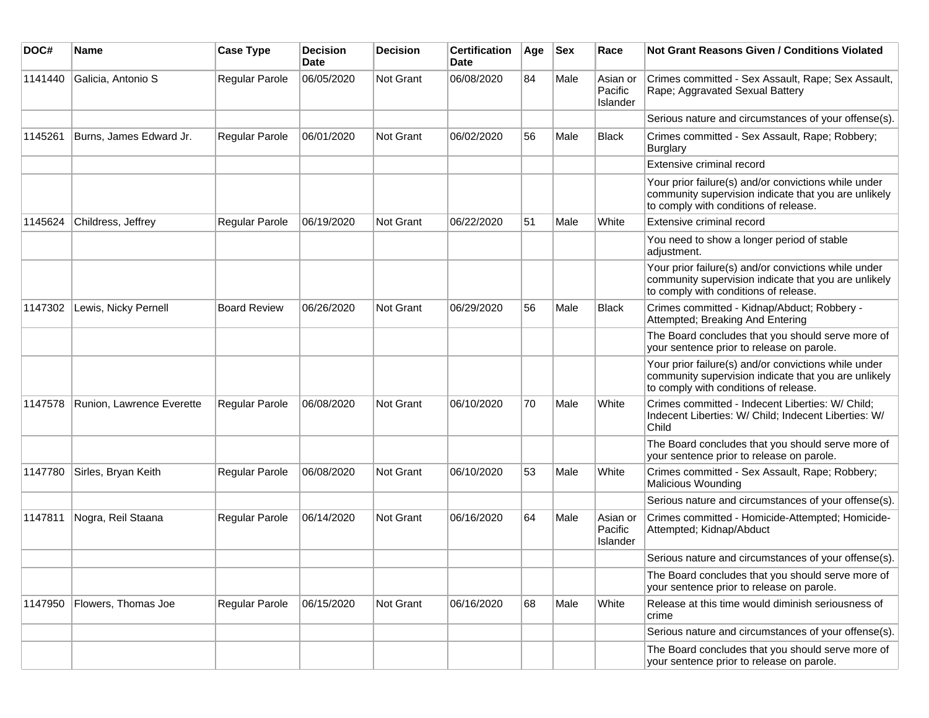| DOC#    | <b>Name</b>               | <b>Case Type</b>    | <b>Decision</b><br><b>Date</b> | <b>Decision</b> | <b>Certification</b><br>Date | Age | <b>Sex</b> | Race                            | Not Grant Reasons Given / Conditions Violated                                                                                                         |
|---------|---------------------------|---------------------|--------------------------------|-----------------|------------------------------|-----|------------|---------------------------------|-------------------------------------------------------------------------------------------------------------------------------------------------------|
| 1141440 | Galicia, Antonio S        | Regular Parole      | 06/05/2020                     | Not Grant       | 06/08/2020                   | 84  | Male       | Asian or<br>Pacific<br>Islander | Crimes committed - Sex Assault, Rape; Sex Assault,<br>Rape; Aggravated Sexual Battery                                                                 |
|         |                           |                     |                                |                 |                              |     |            |                                 | Serious nature and circumstances of your offense(s).                                                                                                  |
| 1145261 | Burns, James Edward Jr.   | Regular Parole      | 06/01/2020                     | Not Grant       | 06/02/2020                   | 56  | Male       | <b>Black</b>                    | Crimes committed - Sex Assault, Rape; Robbery;<br><b>Burglary</b>                                                                                     |
|         |                           |                     |                                |                 |                              |     |            |                                 | Extensive criminal record                                                                                                                             |
|         |                           |                     |                                |                 |                              |     |            |                                 | Your prior failure(s) and/or convictions while under<br>community supervision indicate that you are unlikely<br>to comply with conditions of release. |
| 1145624 | Childress, Jeffrey        | Regular Parole      | 06/19/2020                     | Not Grant       | 06/22/2020                   | 51  | Male       | White                           | Extensive criminal record                                                                                                                             |
|         |                           |                     |                                |                 |                              |     |            |                                 | You need to show a longer period of stable<br>adjustment.                                                                                             |
|         |                           |                     |                                |                 |                              |     |            |                                 | Your prior failure(s) and/or convictions while under<br>community supervision indicate that you are unlikely<br>to comply with conditions of release. |
| 1147302 | Lewis, Nicky Pernell      | <b>Board Review</b> | 06/26/2020                     | Not Grant       | 06/29/2020                   | 56  | Male       | <b>Black</b>                    | Crimes committed - Kidnap/Abduct; Robbery -<br>Attempted; Breaking And Entering                                                                       |
|         |                           |                     |                                |                 |                              |     |            |                                 | The Board concludes that you should serve more of<br>your sentence prior to release on parole.                                                        |
|         |                           |                     |                                |                 |                              |     |            |                                 | Your prior failure(s) and/or convictions while under<br>community supervision indicate that you are unlikely<br>to comply with conditions of release. |
| 1147578 | Runion, Lawrence Everette | Regular Parole      | 06/08/2020                     | Not Grant       | 06/10/2020                   | 70  | Male       | White                           | Crimes committed - Indecent Liberties: W/ Child;<br>Indecent Liberties: W/ Child; Indecent Liberties: W/<br>Child                                     |
|         |                           |                     |                                |                 |                              |     |            |                                 | The Board concludes that you should serve more of<br>your sentence prior to release on parole.                                                        |
| 1147780 | Sirles, Bryan Keith       | Regular Parole      | 06/08/2020                     | Not Grant       | 06/10/2020                   | 53  | Male       | White                           | Crimes committed - Sex Assault, Rape; Robbery;<br><b>Malicious Wounding</b>                                                                           |
|         |                           |                     |                                |                 |                              |     |            |                                 | Serious nature and circumstances of your offense(s).                                                                                                  |
| 1147811 | Nogra, Reil Staana        | Regular Parole      | 06/14/2020                     | Not Grant       | 06/16/2020                   | 64  | Male       | Asian or<br>Pacific<br>Islander | Crimes committed - Homicide-Attempted; Homicide-<br>Attempted; Kidnap/Abduct                                                                          |
|         |                           |                     |                                |                 |                              |     |            |                                 | Serious nature and circumstances of your offense(s).                                                                                                  |
|         |                           |                     |                                |                 |                              |     |            |                                 | The Board concludes that you should serve more of<br>your sentence prior to release on parole.                                                        |
| 1147950 | Flowers, Thomas Joe       | Regular Parole      | 06/15/2020                     | Not Grant       | 06/16/2020                   | 68  | Male       | White                           | Release at this time would diminish seriousness of<br>crime                                                                                           |
|         |                           |                     |                                |                 |                              |     |            |                                 | Serious nature and circumstances of your offense(s).                                                                                                  |
|         |                           |                     |                                |                 |                              |     |            |                                 | The Board concludes that you should serve more of<br>your sentence prior to release on parole.                                                        |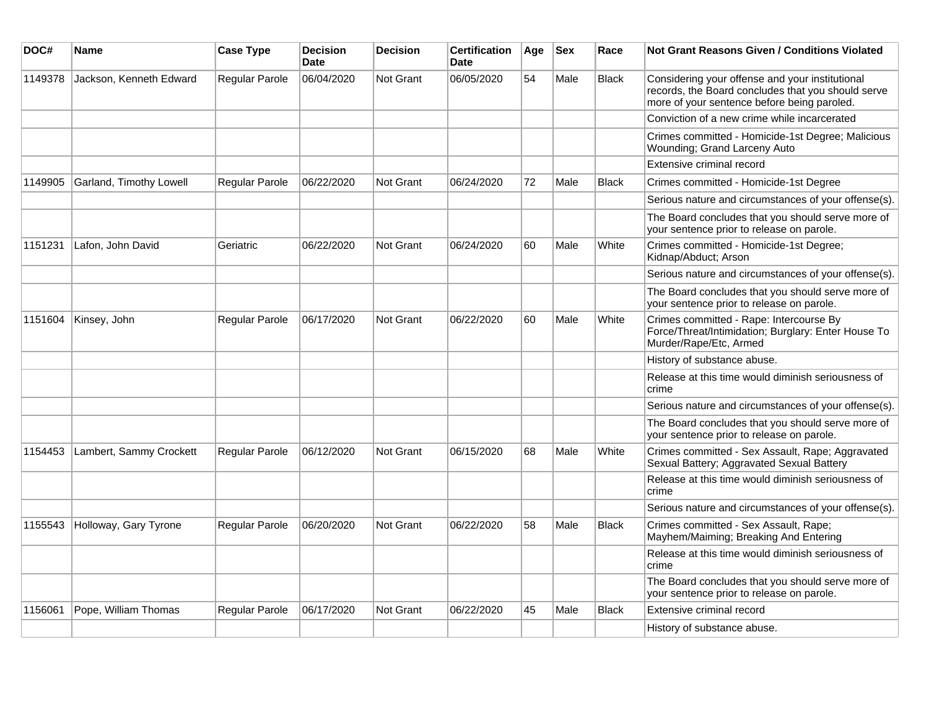| DOC#    | Name                    | <b>Case Type</b> | <b>Decision</b><br><b>Date</b> | <b>Decision</b> | <b>Certification</b><br><b>Date</b> | Age | <b>Sex</b> | Race         | <b>Not Grant Reasons Given / Conditions Violated</b>                                                                                                 |
|---------|-------------------------|------------------|--------------------------------|-----------------|-------------------------------------|-----|------------|--------------|------------------------------------------------------------------------------------------------------------------------------------------------------|
| 1149378 | Jackson, Kenneth Edward | Regular Parole   | 06/04/2020                     | Not Grant       | 06/05/2020                          | 54  | Male       | <b>Black</b> | Considering your offense and your institutional<br>records, the Board concludes that you should serve<br>more of your sentence before being paroled. |
|         |                         |                  |                                |                 |                                     |     |            |              | Conviction of a new crime while incarcerated                                                                                                         |
|         |                         |                  |                                |                 |                                     |     |            |              | Crimes committed - Homicide-1st Degree; Malicious<br>Wounding; Grand Larceny Auto                                                                    |
|         |                         |                  |                                |                 |                                     |     |            |              | Extensive criminal record                                                                                                                            |
| 1149905 | Garland, Timothy Lowell | Regular Parole   | 06/22/2020                     | Not Grant       | 06/24/2020                          | 72  | Male       | <b>Black</b> | Crimes committed - Homicide-1st Degree                                                                                                               |
|         |                         |                  |                                |                 |                                     |     |            |              | Serious nature and circumstances of your offense(s).                                                                                                 |
|         |                         |                  |                                |                 |                                     |     |            |              | The Board concludes that you should serve more of<br>your sentence prior to release on parole.                                                       |
| 1151231 | Lafon, John David       | Geriatric        | 06/22/2020                     | Not Grant       | 06/24/2020                          | 60  | Male       | White        | Crimes committed - Homicide-1st Degree;<br>Kidnap/Abduct; Arson                                                                                      |
|         |                         |                  |                                |                 |                                     |     |            |              | Serious nature and circumstances of your offense(s).                                                                                                 |
|         |                         |                  |                                |                 |                                     |     |            |              | The Board concludes that you should serve more of<br>your sentence prior to release on parole.                                                       |
| 1151604 | Kinsey, John            | Regular Parole   | 06/17/2020                     | Not Grant       | 06/22/2020                          | 60  | Male       | White        | Crimes committed - Rape: Intercourse By<br>Force/Threat/Intimidation; Burglary: Enter House To<br>Murder/Rape/Etc, Armed                             |
|         |                         |                  |                                |                 |                                     |     |            |              | History of substance abuse.                                                                                                                          |
|         |                         |                  |                                |                 |                                     |     |            |              | Release at this time would diminish seriousness of<br>crime                                                                                          |
|         |                         |                  |                                |                 |                                     |     |            |              | Serious nature and circumstances of your offense(s).                                                                                                 |
|         |                         |                  |                                |                 |                                     |     |            |              | The Board concludes that you should serve more of<br>your sentence prior to release on parole.                                                       |
| 1154453 | Lambert, Sammy Crockett | Regular Parole   | 06/12/2020                     | Not Grant       | 06/15/2020                          | 68  | Male       | White        | Crimes committed - Sex Assault, Rape; Aggravated<br>Sexual Battery; Aggravated Sexual Battery                                                        |
|         |                         |                  |                                |                 |                                     |     |            |              | Release at this time would diminish seriousness of<br>crime                                                                                          |
|         |                         |                  |                                |                 |                                     |     |            |              | Serious nature and circumstances of your offense(s).                                                                                                 |
| 1155543 | Holloway, Gary Tyrone   | Regular Parole   | 06/20/2020                     | Not Grant       | 06/22/2020                          | 58  | Male       | <b>Black</b> | Crimes committed - Sex Assault, Rape;<br>Mayhem/Maiming; Breaking And Entering                                                                       |
|         |                         |                  |                                |                 |                                     |     |            |              | Release at this time would diminish seriousness of<br>crime                                                                                          |
|         |                         |                  |                                |                 |                                     |     |            |              | The Board concludes that you should serve more of<br>your sentence prior to release on parole.                                                       |
| 1156061 | Pope, William Thomas    | Regular Parole   | 06/17/2020                     | Not Grant       | 06/22/2020                          | 45  | Male       | Black        | Extensive criminal record                                                                                                                            |
|         |                         |                  |                                |                 |                                     |     |            |              | History of substance abuse.                                                                                                                          |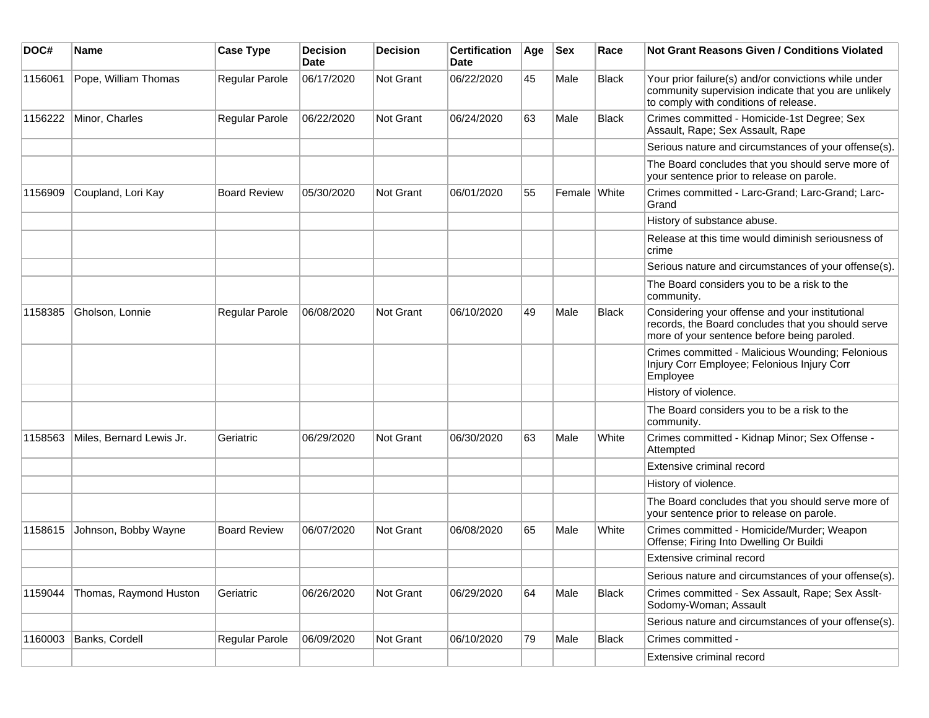| DOC#    | Name                     | <b>Case Type</b>    | <b>Decision</b><br>Date | <b>Decision</b> | <b>Certification</b><br>Date | Age | <b>Sex</b>   | Race         | <b>Not Grant Reasons Given / Conditions Violated</b>                                                                                                  |
|---------|--------------------------|---------------------|-------------------------|-----------------|------------------------------|-----|--------------|--------------|-------------------------------------------------------------------------------------------------------------------------------------------------------|
| 1156061 | Pope, William Thomas     | Regular Parole      | 06/17/2020              | Not Grant       | 06/22/2020                   | 45  | Male         | <b>Black</b> | Your prior failure(s) and/or convictions while under<br>community supervision indicate that you are unlikely<br>to comply with conditions of release. |
| 1156222 | Minor, Charles           | Regular Parole      | 06/22/2020              | Not Grant       | 06/24/2020                   | 63  | Male         | <b>Black</b> | Crimes committed - Homicide-1st Degree; Sex<br>Assault, Rape; Sex Assault, Rape                                                                       |
|         |                          |                     |                         |                 |                              |     |              |              | Serious nature and circumstances of your offense(s).                                                                                                  |
|         |                          |                     |                         |                 |                              |     |              |              | The Board concludes that you should serve more of<br>your sentence prior to release on parole.                                                        |
| 1156909 | Coupland, Lori Kay       | <b>Board Review</b> | 05/30/2020              | Not Grant       | 06/01/2020                   | 55  | Female White |              | Crimes committed - Larc-Grand; Larc-Grand; Larc-<br>Grand                                                                                             |
|         |                          |                     |                         |                 |                              |     |              |              | History of substance abuse.                                                                                                                           |
|         |                          |                     |                         |                 |                              |     |              |              | Release at this time would diminish seriousness of<br>crime                                                                                           |
|         |                          |                     |                         |                 |                              |     |              |              | Serious nature and circumstances of your offense(s).                                                                                                  |
|         |                          |                     |                         |                 |                              |     |              |              | The Board considers you to be a risk to the<br>community.                                                                                             |
| 1158385 | Gholson, Lonnie          | Regular Parole      | 06/08/2020              | Not Grant       | 06/10/2020                   | 49  | Male         | <b>Black</b> | Considering your offense and your institutional<br>records, the Board concludes that you should serve<br>more of your sentence before being paroled.  |
|         |                          |                     |                         |                 |                              |     |              |              | Crimes committed - Malicious Wounding; Felonious<br>Injury Corr Employee; Felonious Injury Corr<br>Employee                                           |
|         |                          |                     |                         |                 |                              |     |              |              | History of violence.                                                                                                                                  |
|         |                          |                     |                         |                 |                              |     |              |              | The Board considers you to be a risk to the<br>community.                                                                                             |
| 1158563 | Miles, Bernard Lewis Jr. | Geriatric           | 06/29/2020              | Not Grant       | 06/30/2020                   | 63  | Male         | White        | Crimes committed - Kidnap Minor; Sex Offense -<br>Attempted                                                                                           |
|         |                          |                     |                         |                 |                              |     |              |              | Extensive criminal record                                                                                                                             |
|         |                          |                     |                         |                 |                              |     |              |              | History of violence.                                                                                                                                  |
|         |                          |                     |                         |                 |                              |     |              |              | The Board concludes that you should serve more of<br>your sentence prior to release on parole.                                                        |
| 1158615 | Johnson, Bobby Wayne     | <b>Board Review</b> | 06/07/2020              | Not Grant       | 06/08/2020                   | 65  | Male         | White        | Crimes committed - Homicide/Murder; Weapon<br>Offense; Firing Into Dwelling Or Buildi                                                                 |
|         |                          |                     |                         |                 |                              |     |              |              | Extensive criminal record                                                                                                                             |
|         |                          |                     |                         |                 |                              |     |              |              | Serious nature and circumstances of your offense(s).                                                                                                  |
| 1159044 | Thomas, Raymond Huston   | Geriatric           | 06/26/2020              | Not Grant       | 06/29/2020                   | 64  | Male         | <b>Black</b> | Crimes committed - Sex Assault, Rape; Sex Asslt-<br>Sodomy-Woman; Assault                                                                             |
|         |                          |                     |                         |                 |                              |     |              |              | Serious nature and circumstances of your offense(s).                                                                                                  |
| 1160003 | Banks, Cordell           | Regular Parole      | 06/09/2020              | Not Grant       | 06/10/2020                   | 79  | Male         | Black        | Crimes committed -                                                                                                                                    |
|         |                          |                     |                         |                 |                              |     |              |              | Extensive criminal record                                                                                                                             |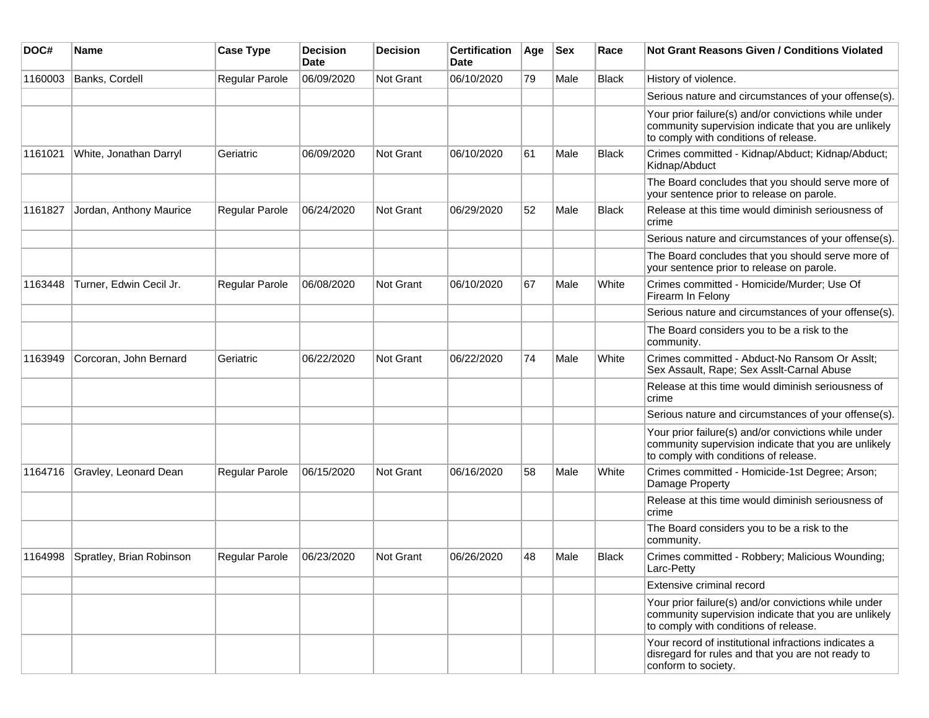| DOC#    | Name                     | <b>Case Type</b>      | <b>Decision</b><br>Date | <b>Decision</b> | <b>Certification</b><br>Date | Age | <b>Sex</b> | Race  | <b>Not Grant Reasons Given / Conditions Violated</b>                                                                                                  |
|---------|--------------------------|-----------------------|-------------------------|-----------------|------------------------------|-----|------------|-------|-------------------------------------------------------------------------------------------------------------------------------------------------------|
| 1160003 | Banks, Cordell           | <b>Regular Parole</b> | 06/09/2020              | Not Grant       | 06/10/2020                   | 79  | Male       | Black | History of violence.                                                                                                                                  |
|         |                          |                       |                         |                 |                              |     |            |       | Serious nature and circumstances of your offense(s).                                                                                                  |
|         |                          |                       |                         |                 |                              |     |            |       | Your prior failure(s) and/or convictions while under<br>community supervision indicate that you are unlikely<br>to comply with conditions of release. |
| 1161021 | White, Jonathan Darryl   | Geriatric             | 06/09/2020              | Not Grant       | 06/10/2020                   | 61  | Male       | Black | Crimes committed - Kidnap/Abduct; Kidnap/Abduct;<br>Kidnap/Abduct                                                                                     |
|         |                          |                       |                         |                 |                              |     |            |       | The Board concludes that you should serve more of<br>your sentence prior to release on parole.                                                        |
| 1161827 | Jordan, Anthony Maurice  | <b>Regular Parole</b> | 06/24/2020              | Not Grant       | 06/29/2020                   | 52  | Male       | Black | Release at this time would diminish seriousness of<br>crime                                                                                           |
|         |                          |                       |                         |                 |                              |     |            |       | Serious nature and circumstances of your offense(s).                                                                                                  |
|         |                          |                       |                         |                 |                              |     |            |       | The Board concludes that you should serve more of<br>your sentence prior to release on parole.                                                        |
| 1163448 | Turner, Edwin Cecil Jr.  | Regular Parole        | 06/08/2020              | Not Grant       | 06/10/2020                   | 67  | Male       | White | Crimes committed - Homicide/Murder; Use Of<br>Firearm In Felony                                                                                       |
|         |                          |                       |                         |                 |                              |     |            |       | Serious nature and circumstances of your offense(s).                                                                                                  |
|         |                          |                       |                         |                 |                              |     |            |       | The Board considers you to be a risk to the<br>community.                                                                                             |
| 1163949 | Corcoran, John Bernard   | Geriatric             | 06/22/2020              | Not Grant       | 06/22/2020                   | 74  | Male       | White | Crimes committed - Abduct-No Ransom Or Asslt;<br>Sex Assault, Rape; Sex Asslt-Carnal Abuse                                                            |
|         |                          |                       |                         |                 |                              |     |            |       | Release at this time would diminish seriousness of<br>crime                                                                                           |
|         |                          |                       |                         |                 |                              |     |            |       | Serious nature and circumstances of your offense(s).                                                                                                  |
|         |                          |                       |                         |                 |                              |     |            |       | Your prior failure(s) and/or convictions while under<br>community supervision indicate that you are unlikely<br>to comply with conditions of release. |
| 1164716 | Gravley, Leonard Dean    | <b>Regular Parole</b> | 06/15/2020              | Not Grant       | 06/16/2020                   | 58  | Male       | White | Crimes committed - Homicide-1st Degree; Arson;<br>Damage Property                                                                                     |
|         |                          |                       |                         |                 |                              |     |            |       | Release at this time would diminish seriousness of<br>crime                                                                                           |
|         |                          |                       |                         |                 |                              |     |            |       | The Board considers you to be a risk to the<br>community.                                                                                             |
| 1164998 | Spratley, Brian Robinson | <b>Regular Parole</b> | 06/23/2020              | Not Grant       | 06/26/2020                   | 48  | Male       | Black | Crimes committed - Robbery; Malicious Wounding;<br>Larc-Petty                                                                                         |
|         |                          |                       |                         |                 |                              |     |            |       | Extensive criminal record                                                                                                                             |
|         |                          |                       |                         |                 |                              |     |            |       | Your prior failure(s) and/or convictions while under<br>community supervision indicate that you are unlikely<br>to comply with conditions of release. |
|         |                          |                       |                         |                 |                              |     |            |       | Your record of institutional infractions indicates a<br>disregard for rules and that you are not ready to<br>conform to society.                      |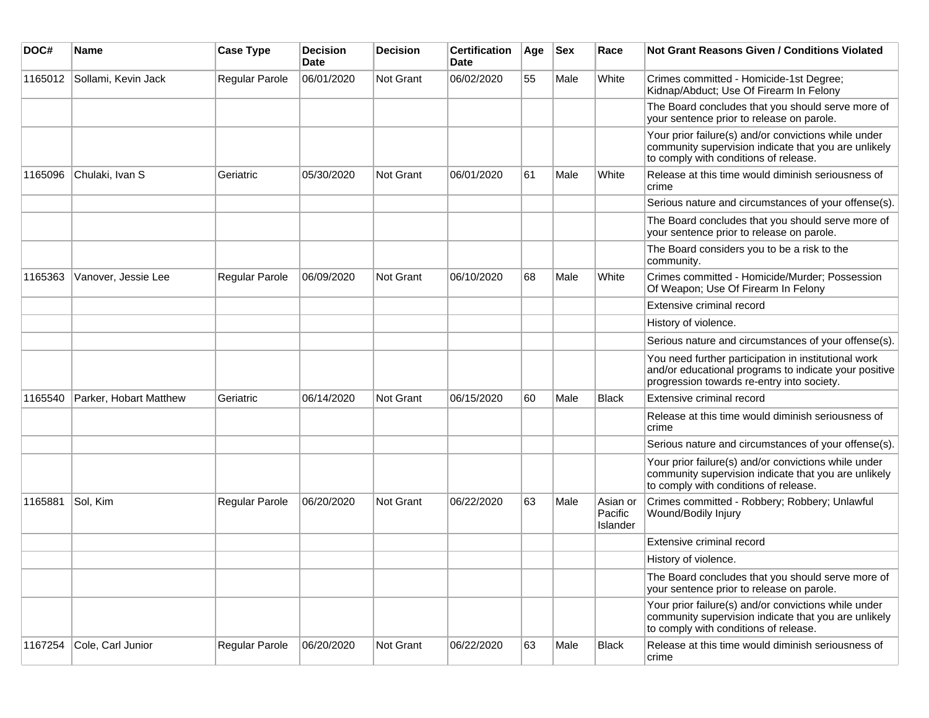| DOC#    | Name                   | <b>Case Type</b> | <b>Decision</b><br>Date | <b>Decision</b> | <b>Certification</b><br>Date | Age | <b>Sex</b> | Race                            | <b>Not Grant Reasons Given / Conditions Violated</b>                                                                                                        |
|---------|------------------------|------------------|-------------------------|-----------------|------------------------------|-----|------------|---------------------------------|-------------------------------------------------------------------------------------------------------------------------------------------------------------|
| 1165012 | Sollami, Kevin Jack    | Regular Parole   | 06/01/2020              | Not Grant       | 06/02/2020                   | 55  | Male       | White                           | Crimes committed - Homicide-1st Degree;<br>Kidnap/Abduct; Use Of Firearm In Felony                                                                          |
|         |                        |                  |                         |                 |                              |     |            |                                 | The Board concludes that you should serve more of<br>your sentence prior to release on parole.                                                              |
|         |                        |                  |                         |                 |                              |     |            |                                 | Your prior failure(s) and/or convictions while under<br>community supervision indicate that you are unlikely<br>to comply with conditions of release.       |
| 1165096 | Chulaki, Ivan S        | Geriatric        | 05/30/2020              | Not Grant       | 06/01/2020                   | 61  | Male       | White                           | Release at this time would diminish seriousness of<br>crime                                                                                                 |
|         |                        |                  |                         |                 |                              |     |            |                                 | Serious nature and circumstances of your offense(s).                                                                                                        |
|         |                        |                  |                         |                 |                              |     |            |                                 | The Board concludes that you should serve more of<br>your sentence prior to release on parole.                                                              |
|         |                        |                  |                         |                 |                              |     |            |                                 | The Board considers you to be a risk to the<br>community.                                                                                                   |
| 1165363 | Vanover, Jessie Lee    | Regular Parole   | 06/09/2020              | Not Grant       | 06/10/2020                   | 68  | Male       | White                           | Crimes committed - Homicide/Murder; Possession<br>Of Weapon; Use Of Firearm In Felony                                                                       |
|         |                        |                  |                         |                 |                              |     |            |                                 | Extensive criminal record                                                                                                                                   |
|         |                        |                  |                         |                 |                              |     |            |                                 | History of violence.                                                                                                                                        |
|         |                        |                  |                         |                 |                              |     |            |                                 | Serious nature and circumstances of your offense(s).                                                                                                        |
|         |                        |                  |                         |                 |                              |     |            |                                 | You need further participation in institutional work<br>and/or educational programs to indicate your positive<br>progression towards re-entry into society. |
| 1165540 | Parker, Hobart Matthew | Geriatric        | 06/14/2020              | Not Grant       | 06/15/2020                   | 60  | Male       | <b>Black</b>                    | Extensive criminal record                                                                                                                                   |
|         |                        |                  |                         |                 |                              |     |            |                                 | Release at this time would diminish seriousness of<br>crime                                                                                                 |
|         |                        |                  |                         |                 |                              |     |            |                                 | Serious nature and circumstances of your offense(s).                                                                                                        |
|         |                        |                  |                         |                 |                              |     |            |                                 | Your prior failure(s) and/or convictions while under<br>community supervision indicate that you are unlikely<br>to comply with conditions of release.       |
| 1165881 | Sol, Kim               | Regular Parole   | 06/20/2020              | Not Grant       | 06/22/2020                   | 63  | Male       | Asian or<br>Pacific<br>Islander | Crimes committed - Robbery; Robbery; Unlawful<br>Wound/Bodily Injury                                                                                        |
|         |                        |                  |                         |                 |                              |     |            |                                 | Extensive criminal record                                                                                                                                   |
|         |                        |                  |                         |                 |                              |     |            |                                 | History of violence.                                                                                                                                        |
|         |                        |                  |                         |                 |                              |     |            |                                 | The Board concludes that you should serve more of<br>your sentence prior to release on parole.                                                              |
|         |                        |                  |                         |                 |                              |     |            |                                 | Your prior failure(s) and/or convictions while under<br>community supervision indicate that you are unlikely<br>to comply with conditions of release.       |
| 1167254 | Cole, Carl Junior      | Regular Parole   | 06/20/2020              | Not Grant       | 06/22/2020                   | 63  | Male       | <b>Black</b>                    | Release at this time would diminish seriousness of<br>crime                                                                                                 |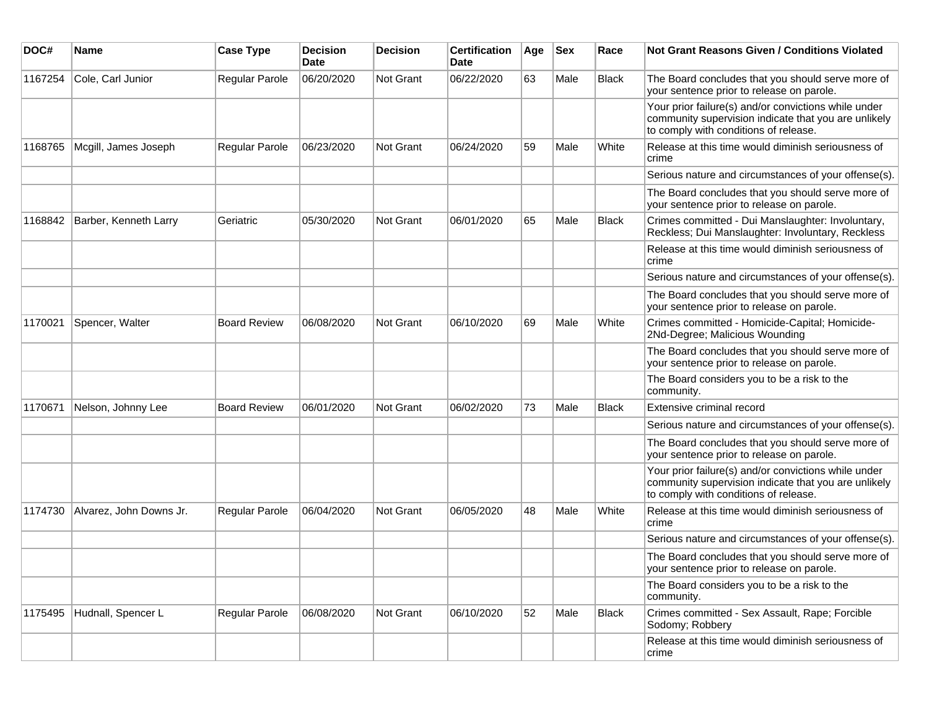| DOC#    | <b>Name</b>             | <b>Case Type</b>      | <b>Decision</b><br><b>Date</b> | <b>Decision</b> | <b>Certification</b><br>Date | Age | <b>Sex</b> | Race         | Not Grant Reasons Given / Conditions Violated                                                                                                         |
|---------|-------------------------|-----------------------|--------------------------------|-----------------|------------------------------|-----|------------|--------------|-------------------------------------------------------------------------------------------------------------------------------------------------------|
| 1167254 | Cole, Carl Junior       | Regular Parole        | 06/20/2020                     | Not Grant       | 06/22/2020                   | 63  | Male       | Black        | The Board concludes that you should serve more of<br>your sentence prior to release on parole.                                                        |
|         |                         |                       |                                |                 |                              |     |            |              | Your prior failure(s) and/or convictions while under<br>community supervision indicate that you are unlikely<br>to comply with conditions of release. |
| 1168765 | Mcgill, James Joseph    | Regular Parole        | 06/23/2020                     | Not Grant       | 06/24/2020                   | 59  | Male       | White        | Release at this time would diminish seriousness of<br>crime                                                                                           |
|         |                         |                       |                                |                 |                              |     |            |              | Serious nature and circumstances of your offense(s).                                                                                                  |
|         |                         |                       |                                |                 |                              |     |            |              | The Board concludes that you should serve more of<br>your sentence prior to release on parole.                                                        |
| 1168842 | Barber, Kenneth Larry   | Geriatric             | 05/30/2020                     | Not Grant       | 06/01/2020                   | 65  | Male       | <b>Black</b> | Crimes committed - Dui Manslaughter: Involuntary,<br>Reckless; Dui Manslaughter: Involuntary, Reckless                                                |
|         |                         |                       |                                |                 |                              |     |            |              | Release at this time would diminish seriousness of<br>crime                                                                                           |
|         |                         |                       |                                |                 |                              |     |            |              | Serious nature and circumstances of your offense(s).                                                                                                  |
|         |                         |                       |                                |                 |                              |     |            |              | The Board concludes that you should serve more of<br>your sentence prior to release on parole.                                                        |
| 1170021 | Spencer, Walter         | <b>Board Review</b>   | 06/08/2020                     | Not Grant       | 06/10/2020                   | 69  | Male       | White        | Crimes committed - Homicide-Capital; Homicide-<br>2Nd-Degree; Malicious Wounding                                                                      |
|         |                         |                       |                                |                 |                              |     |            |              | The Board concludes that you should serve more of<br>your sentence prior to release on parole.                                                        |
|         |                         |                       |                                |                 |                              |     |            |              | The Board considers you to be a risk to the<br>community.                                                                                             |
| 1170671 | Nelson, Johnny Lee      | <b>Board Review</b>   | 06/01/2020                     | Not Grant       | 06/02/2020                   | 73  | Male       | <b>Black</b> | Extensive criminal record                                                                                                                             |
|         |                         |                       |                                |                 |                              |     |            |              | Serious nature and circumstances of your offense(s).                                                                                                  |
|         |                         |                       |                                |                 |                              |     |            |              | The Board concludes that you should serve more of<br>your sentence prior to release on parole.                                                        |
|         |                         |                       |                                |                 |                              |     |            |              | Your prior failure(s) and/or convictions while under<br>community supervision indicate that you are unlikely<br>to comply with conditions of release. |
| 1174730 | Alvarez, John Downs Jr. | <b>Regular Parole</b> | 06/04/2020                     | Not Grant       | 06/05/2020                   | 48  | Male       | White        | Release at this time would diminish seriousness of<br>crime                                                                                           |
|         |                         |                       |                                |                 |                              |     |            |              | Serious nature and circumstances of your offense(s).                                                                                                  |
|         |                         |                       |                                |                 |                              |     |            |              | The Board concludes that you should serve more of<br>your sentence prior to release on parole.                                                        |
|         |                         |                       |                                |                 |                              |     |            |              | The Board considers you to be a risk to the<br>community.                                                                                             |
| 1175495 | Hudnall, Spencer L      | Regular Parole        | 06/08/2020                     | Not Grant       | 06/10/2020                   | 52  | Male       | <b>Black</b> | Crimes committed - Sex Assault, Rape; Forcible<br>Sodomy; Robbery                                                                                     |
|         |                         |                       |                                |                 |                              |     |            |              | Release at this time would diminish seriousness of<br>crime                                                                                           |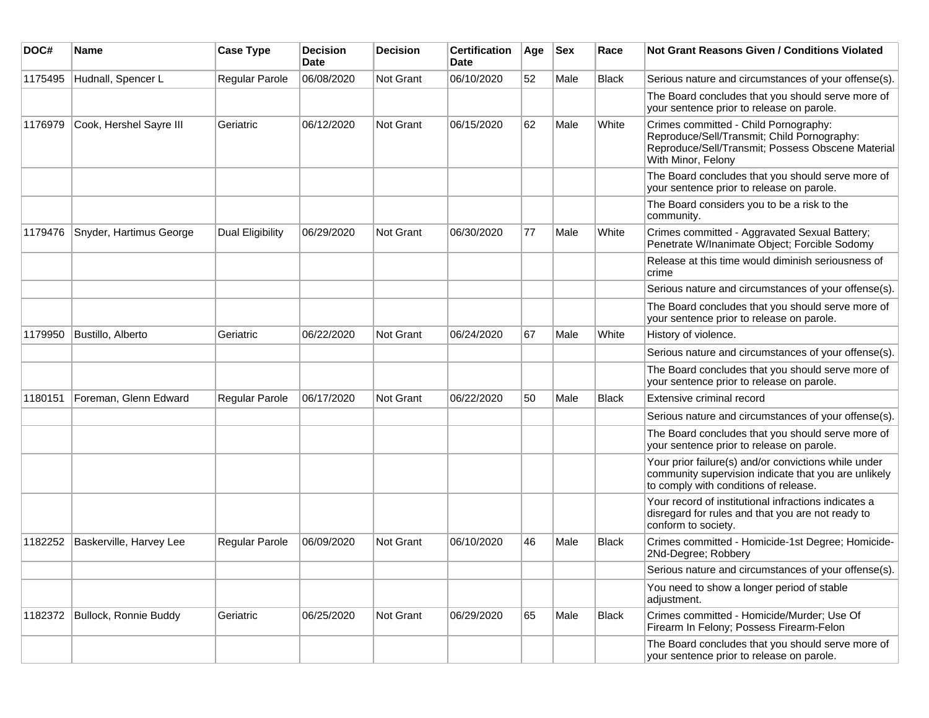| DOC#    | <b>Name</b>                   | <b>Case Type</b>      | <b>Decision</b><br>Date | <b>Decision</b>  | <b>Certification</b><br>Date | Age | <b>Sex</b> | Race         | <b>Not Grant Reasons Given / Conditions Violated</b>                                                                                                            |
|---------|-------------------------------|-----------------------|-------------------------|------------------|------------------------------|-----|------------|--------------|-----------------------------------------------------------------------------------------------------------------------------------------------------------------|
| 1175495 | Hudnall, Spencer L            | Regular Parole        | 06/08/2020              | <b>Not Grant</b> | 06/10/2020                   | 52  | Male       | <b>Black</b> | Serious nature and circumstances of your offense(s).                                                                                                            |
|         |                               |                       |                         |                  |                              |     |            |              | The Board concludes that you should serve more of<br>your sentence prior to release on parole.                                                                  |
| 1176979 | Cook, Hershel Sayre III       | Geriatric             | 06/12/2020              | <b>Not Grant</b> | 06/15/2020                   | 62  | Male       | White        | Crimes committed - Child Pornography:<br>Reproduce/Sell/Transmit; Child Pornography:<br>Reproduce/Sell/Transmit; Possess Obscene Material<br>With Minor, Felony |
|         |                               |                       |                         |                  |                              |     |            |              | The Board concludes that you should serve more of<br>your sentence prior to release on parole.                                                                  |
|         |                               |                       |                         |                  |                              |     |            |              | The Board considers you to be a risk to the<br>community.                                                                                                       |
| 1179476 | Snyder, Hartimus George       | Dual Eligibility      | 06/29/2020              | Not Grant        | 06/30/2020                   | 77  | Male       | White        | Crimes committed - Aggravated Sexual Battery;<br>Penetrate W/Inanimate Object; Forcible Sodomy                                                                  |
|         |                               |                       |                         |                  |                              |     |            |              | Release at this time would diminish seriousness of<br>crime                                                                                                     |
|         |                               |                       |                         |                  |                              |     |            |              | Serious nature and circumstances of your offense(s).                                                                                                            |
|         |                               |                       |                         |                  |                              |     |            |              | The Board concludes that you should serve more of<br>your sentence prior to release on parole.                                                                  |
| 1179950 | Bustillo, Alberto             | Geriatric             | 06/22/2020              | <b>Not Grant</b> | 06/24/2020                   | 67  | Male       | White        | History of violence.                                                                                                                                            |
|         |                               |                       |                         |                  |                              |     |            |              | Serious nature and circumstances of your offense(s).                                                                                                            |
|         |                               |                       |                         |                  |                              |     |            |              | The Board concludes that you should serve more of<br>your sentence prior to release on parole.                                                                  |
| 1180151 | Foreman, Glenn Edward         | Regular Parole        | 06/17/2020              | <b>Not Grant</b> | 06/22/2020                   | 50  | Male       | <b>Black</b> | Extensive criminal record                                                                                                                                       |
|         |                               |                       |                         |                  |                              |     |            |              | Serious nature and circumstances of your offense(s).                                                                                                            |
|         |                               |                       |                         |                  |                              |     |            |              | The Board concludes that you should serve more of<br>your sentence prior to release on parole.                                                                  |
|         |                               |                       |                         |                  |                              |     |            |              | Your prior failure(s) and/or convictions while under<br>community supervision indicate that you are unlikely<br>to comply with conditions of release.           |
|         |                               |                       |                         |                  |                              |     |            |              | Your record of institutional infractions indicates a<br>disregard for rules and that you are not ready to<br>conform to society.                                |
| 1182252 | Baskerville, Harvey Lee       | <b>Regular Parole</b> | 06/09/2020              | <b>Not Grant</b> | 06/10/2020                   | 46  | Male       | <b>Black</b> | Crimes committed - Homicide-1st Degree; Homicide-<br>2Nd-Degree; Robbery                                                                                        |
|         |                               |                       |                         |                  |                              |     |            |              | Serious nature and circumstances of your offense(s).                                                                                                            |
|         |                               |                       |                         |                  |                              |     |            |              | You need to show a longer period of stable<br>adjustment.                                                                                                       |
|         | 1182372 Bullock, Ronnie Buddy | Geriatric             | 06/25/2020              | Not Grant        | 06/29/2020                   | 65  | Male       | <b>Black</b> | Crimes committed - Homicide/Murder; Use Of<br>Firearm In Felony; Possess Firearm-Felon                                                                          |
|         |                               |                       |                         |                  |                              |     |            |              | The Board concludes that you should serve more of<br>your sentence prior to release on parole.                                                                  |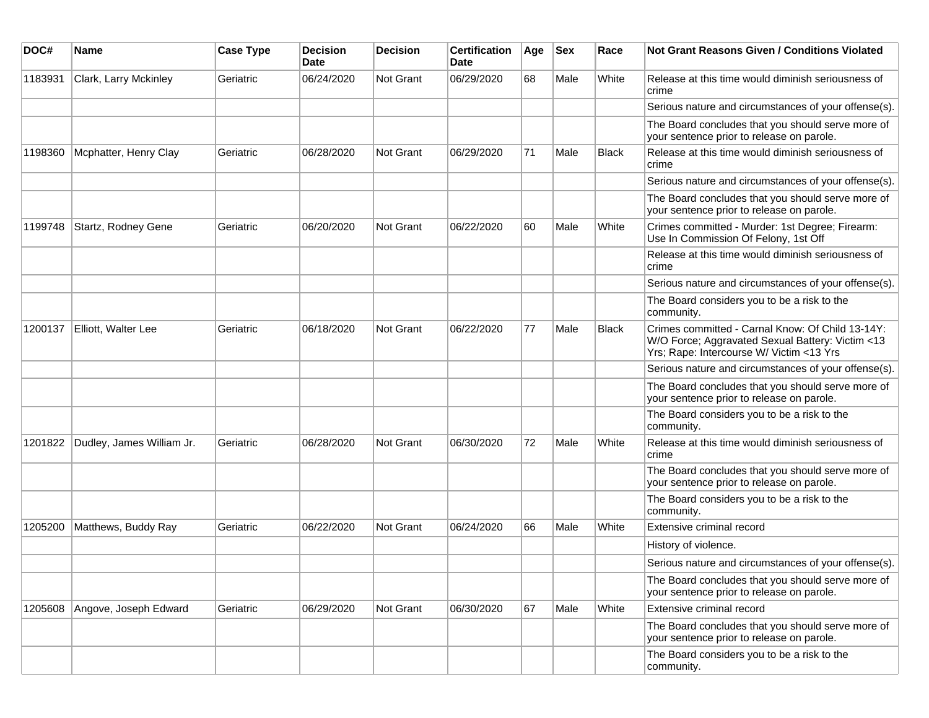| DOC#    | <b>Name</b>               | <b>Case Type</b> | <b>Decision</b><br><b>Date</b> | <b>Decision</b> | <b>Certification</b><br>Date | Age | <b>Sex</b> | Race         | <b>Not Grant Reasons Given / Conditions Violated</b>                                                                                             |
|---------|---------------------------|------------------|--------------------------------|-----------------|------------------------------|-----|------------|--------------|--------------------------------------------------------------------------------------------------------------------------------------------------|
| 1183931 | Clark, Larry Mckinley     | Geriatric        | 06/24/2020                     | Not Grant       | 06/29/2020                   | 68  | Male       | White        | Release at this time would diminish seriousness of<br>crime                                                                                      |
|         |                           |                  |                                |                 |                              |     |            |              | Serious nature and circumstances of your offense(s).                                                                                             |
|         |                           |                  |                                |                 |                              |     |            |              | The Board concludes that you should serve more of<br>your sentence prior to release on parole.                                                   |
| 1198360 | Mcphatter, Henry Clay     | Geriatric        | 06/28/2020                     | Not Grant       | 06/29/2020                   | 71  | Male       | <b>Black</b> | Release at this time would diminish seriousness of<br>crime                                                                                      |
|         |                           |                  |                                |                 |                              |     |            |              | Serious nature and circumstances of your offense(s).                                                                                             |
|         |                           |                  |                                |                 |                              |     |            |              | The Board concludes that you should serve more of<br>your sentence prior to release on parole.                                                   |
| 1199748 | Startz, Rodney Gene       | Geriatric        | 06/20/2020                     | Not Grant       | 06/22/2020                   | 60  | Male       | White        | Crimes committed - Murder: 1st Degree; Firearm:<br>Use In Commission Of Felony, 1st Off                                                          |
|         |                           |                  |                                |                 |                              |     |            |              | Release at this time would diminish seriousness of<br>crime                                                                                      |
|         |                           |                  |                                |                 |                              |     |            |              | Serious nature and circumstances of your offense(s).                                                                                             |
|         |                           |                  |                                |                 |                              |     |            |              | The Board considers you to be a risk to the<br>community.                                                                                        |
| 1200137 | Elliott, Walter Lee       | Geriatric        | 06/18/2020                     | Not Grant       | 06/22/2020                   | 77  | Male       | Black        | Crimes committed - Carnal Know: Of Child 13-14Y:<br>W/O Force; Aggravated Sexual Battery: Victim <13<br>Yrs; Rape: Intercourse W/ Victim <13 Yrs |
|         |                           |                  |                                |                 |                              |     |            |              | Serious nature and circumstances of your offense(s).                                                                                             |
|         |                           |                  |                                |                 |                              |     |            |              | The Board concludes that you should serve more of<br>your sentence prior to release on parole.                                                   |
|         |                           |                  |                                |                 |                              |     |            |              | The Board considers you to be a risk to the<br>community.                                                                                        |
| 1201822 | Dudley, James William Jr. | Geriatric        | 06/28/2020                     | Not Grant       | 06/30/2020                   | 72  | Male       | White        | Release at this time would diminish seriousness of<br>crime                                                                                      |
|         |                           |                  |                                |                 |                              |     |            |              | The Board concludes that you should serve more of<br>your sentence prior to release on parole.                                                   |
|         |                           |                  |                                |                 |                              |     |            |              | The Board considers you to be a risk to the<br>community.                                                                                        |
| 1205200 | Matthews, Buddy Ray       | Geriatric        | 06/22/2020                     | Not Grant       | 06/24/2020                   | 66  | Male       | White        | Extensive criminal record                                                                                                                        |
|         |                           |                  |                                |                 |                              |     |            |              | History of violence.                                                                                                                             |
|         |                           |                  |                                |                 |                              |     |            |              | Serious nature and circumstances of your offense(s).                                                                                             |
|         |                           |                  |                                |                 |                              |     |            |              | The Board concludes that you should serve more of<br>your sentence prior to release on parole.                                                   |
| 1205608 | Angove, Joseph Edward     | Geriatric        | 06/29/2020                     | Not Grant       | 06/30/2020                   | 67  | Male       | White        | Extensive criminal record                                                                                                                        |
|         |                           |                  |                                |                 |                              |     |            |              | The Board concludes that you should serve more of<br>your sentence prior to release on parole.                                                   |
|         |                           |                  |                                |                 |                              |     |            |              | The Board considers you to be a risk to the<br>community.                                                                                        |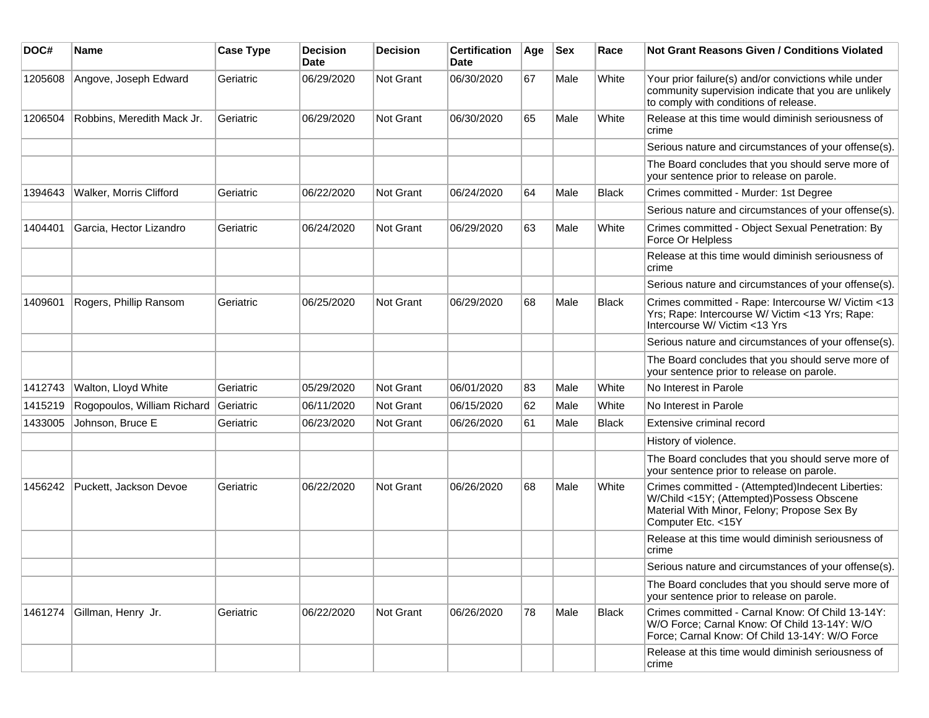| DOC#    | Name                        | <b>Case Type</b> | <b>Decision</b><br><b>Date</b> | <b>Decision</b>  | <b>Certification</b><br>Date | Age | <b>Sex</b> | Race         | Not Grant Reasons Given / Conditions Violated                                                                                                                       |
|---------|-----------------------------|------------------|--------------------------------|------------------|------------------------------|-----|------------|--------------|---------------------------------------------------------------------------------------------------------------------------------------------------------------------|
| 1205608 | Angove, Joseph Edward       | Geriatric        | 06/29/2020                     | Not Grant        | 06/30/2020                   | 67  | Male       | White        | Your prior failure(s) and/or convictions while under<br>community supervision indicate that you are unlikely<br>to comply with conditions of release.               |
| 1206504 | Robbins, Meredith Mack Jr.  | Geriatric        | 06/29/2020                     | <b>Not Grant</b> | 06/30/2020                   | 65  | Male       | White        | Release at this time would diminish seriousness of<br>crime                                                                                                         |
|         |                             |                  |                                |                  |                              |     |            |              | Serious nature and circumstances of your offense(s).                                                                                                                |
|         |                             |                  |                                |                  |                              |     |            |              | The Board concludes that you should serve more of<br>your sentence prior to release on parole.                                                                      |
| 1394643 | Walker, Morris Clifford     | Geriatric        | 06/22/2020                     | Not Grant        | 06/24/2020                   | 64  | Male       | <b>Black</b> | Crimes committed - Murder: 1st Degree                                                                                                                               |
|         |                             |                  |                                |                  |                              |     |            |              | Serious nature and circumstances of your offense(s).                                                                                                                |
| 1404401 | Garcia, Hector Lizandro     | Geriatric        | 06/24/2020                     | Not Grant        | 06/29/2020                   | 63  | Male       | White        | Crimes committed - Object Sexual Penetration: By<br>Force Or Helpless                                                                                               |
|         |                             |                  |                                |                  |                              |     |            |              | Release at this time would diminish seriousness of<br>crime                                                                                                         |
|         |                             |                  |                                |                  |                              |     |            |              | Serious nature and circumstances of your offense(s).                                                                                                                |
| 1409601 | Rogers, Phillip Ransom      | Geriatric        | 06/25/2020                     | Not Grant        | 06/29/2020                   | 68  | Male       | <b>Black</b> | Crimes committed - Rape: Intercourse W/ Victim <13<br>Yrs; Rape: Intercourse W/ Victim <13 Yrs; Rape:<br>Intercourse W/ Victim <13 Yrs                              |
|         |                             |                  |                                |                  |                              |     |            |              | Serious nature and circumstances of your offense(s).                                                                                                                |
|         |                             |                  |                                |                  |                              |     |            |              | The Board concludes that you should serve more of<br>your sentence prior to release on parole.                                                                      |
| 1412743 | Walton, Lloyd White         | Geriatric        | 05/29/2020                     | <b>Not Grant</b> | 06/01/2020                   | 83  | Male       | White        | No Interest in Parole                                                                                                                                               |
| 1415219 | Rogopoulos, William Richard | Geriatric        | 06/11/2020                     | Not Grant        | 06/15/2020                   | 62  | Male       | White        | No Interest in Parole                                                                                                                                               |
| 1433005 | Johnson, Bruce E            | Geriatric        | 06/23/2020                     | Not Grant        | 06/26/2020                   | 61  | Male       | <b>Black</b> | Extensive criminal record                                                                                                                                           |
|         |                             |                  |                                |                  |                              |     |            |              | History of violence.                                                                                                                                                |
|         |                             |                  |                                |                  |                              |     |            |              | The Board concludes that you should serve more of<br>your sentence prior to release on parole.                                                                      |
| 1456242 | Puckett, Jackson Devoe      | Geriatric        | 06/22/2020                     | Not Grant        | 06/26/2020                   | 68  | Male       | White        | Crimes committed - (Attempted)Indecent Liberties:<br>W/Child <15Y; (Attempted)Possess Obscene<br>Material With Minor, Felony; Propose Sex By<br>Computer Etc. < 15Y |
|         |                             |                  |                                |                  |                              |     |            |              | Release at this time would diminish seriousness of<br>crime                                                                                                         |
|         |                             |                  |                                |                  |                              |     |            |              | Serious nature and circumstances of your offense(s).                                                                                                                |
|         |                             |                  |                                |                  |                              |     |            |              | The Board concludes that you should serve more of<br>your sentence prior to release on parole.                                                                      |
| 1461274 | Gillman, Henry Jr.          | Geriatric        | 06/22/2020                     | <b>Not Grant</b> | 06/26/2020                   | 78  | Male       | Black        | Crimes committed - Carnal Know: Of Child 13-14Y:<br>W/O Force; Carnal Know: Of Child 13-14Y: W/O<br>Force; Carnal Know: Of Child 13-14Y: W/O Force                  |
|         |                             |                  |                                |                  |                              |     |            |              | Release at this time would diminish seriousness of<br>crime                                                                                                         |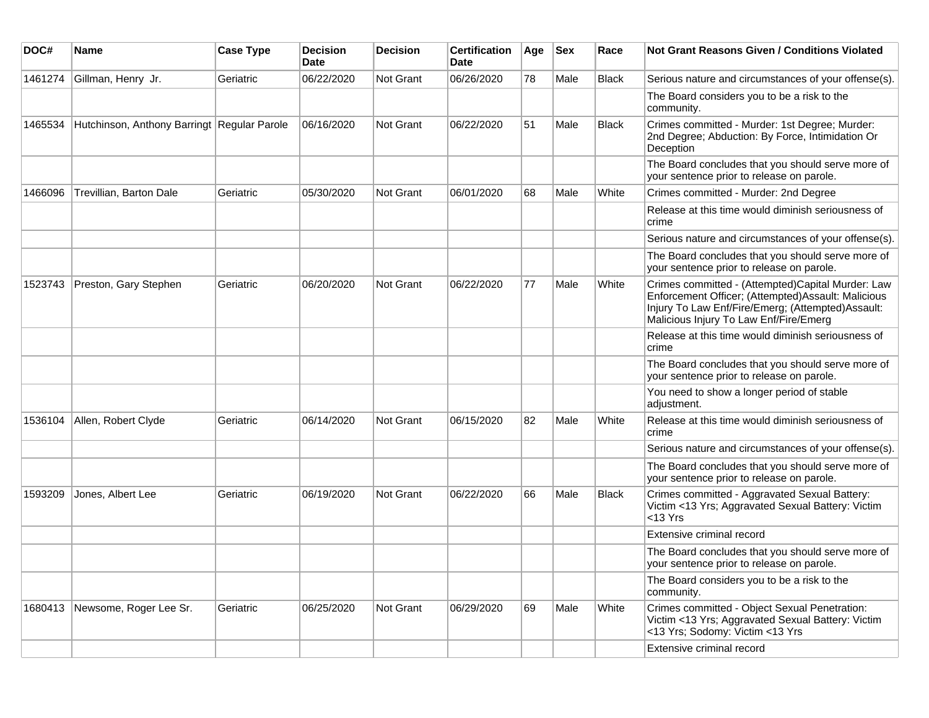| DOC#    | Name                                        | <b>Case Type</b> | <b>Decision</b><br>Date | <b>Decision</b> | <b>Certification</b><br>Date | Age | <b>Sex</b> | Race         | <b>Not Grant Reasons Given / Conditions Violated</b>                                                                                                                                                    |
|---------|---------------------------------------------|------------------|-------------------------|-----------------|------------------------------|-----|------------|--------------|---------------------------------------------------------------------------------------------------------------------------------------------------------------------------------------------------------|
| 1461274 | Gillman, Henry Jr.                          | Geriatric        | 06/22/2020              | Not Grant       | 06/26/2020                   | 78  | Male       | <b>Black</b> | Serious nature and circumstances of your offense(s).                                                                                                                                                    |
|         |                                             |                  |                         |                 |                              |     |            |              | The Board considers you to be a risk to the<br>community.                                                                                                                                               |
| 1465534 | Hutchinson, Anthony Barringt Regular Parole |                  | 06/16/2020              | Not Grant       | 06/22/2020                   | 51  | Male       | <b>Black</b> | Crimes committed - Murder: 1st Degree; Murder:<br>2nd Degree; Abduction: By Force, Intimidation Or<br>Deception                                                                                         |
|         |                                             |                  |                         |                 |                              |     |            |              | The Board concludes that you should serve more of<br>your sentence prior to release on parole.                                                                                                          |
| 1466096 | Trevillian, Barton Dale                     | Geriatric        | 05/30/2020              | Not Grant       | 06/01/2020                   | 68  | Male       | White        | Crimes committed - Murder: 2nd Degree                                                                                                                                                                   |
|         |                                             |                  |                         |                 |                              |     |            |              | Release at this time would diminish seriousness of<br>crime                                                                                                                                             |
|         |                                             |                  |                         |                 |                              |     |            |              | Serious nature and circumstances of your offense(s).                                                                                                                                                    |
|         |                                             |                  |                         |                 |                              |     |            |              | The Board concludes that you should serve more of<br>your sentence prior to release on parole.                                                                                                          |
| 1523743 | Preston, Gary Stephen                       | Geriatric        | 06/20/2020              | Not Grant       | 06/22/2020                   | 77  | Male       | White        | Crimes committed - (Attempted)Capital Murder: Law<br>Enforcement Officer; (Attempted) Assault: Malicious<br>Injury To Law Enf/Fire/Emerg; (Attempted)Assault:<br>Malicious Injury To Law Enf/Fire/Emerg |
|         |                                             |                  |                         |                 |                              |     |            |              | Release at this time would diminish seriousness of<br>crime                                                                                                                                             |
|         |                                             |                  |                         |                 |                              |     |            |              | The Board concludes that you should serve more of<br>your sentence prior to release on parole.                                                                                                          |
|         |                                             |                  |                         |                 |                              |     |            |              | You need to show a longer period of stable<br>adjustment.                                                                                                                                               |
| 1536104 | Allen, Robert Clyde                         | Geriatric        | 06/14/2020              | Not Grant       | 06/15/2020                   | 82  | Male       | White        | Release at this time would diminish seriousness of<br>crime                                                                                                                                             |
|         |                                             |                  |                         |                 |                              |     |            |              | Serious nature and circumstances of your offense(s).                                                                                                                                                    |
|         |                                             |                  |                         |                 |                              |     |            |              | The Board concludes that you should serve more of<br>your sentence prior to release on parole.                                                                                                          |
| 1593209 | Jones, Albert Lee                           | Geriatric        | 06/19/2020              | Not Grant       | 06/22/2020                   | 66  | Male       | <b>Black</b> | Crimes committed - Aggravated Sexual Battery:<br>Victim <13 Yrs; Aggravated Sexual Battery: Victim<br>$<$ 13 Yrs                                                                                        |
|         |                                             |                  |                         |                 |                              |     |            |              | Extensive criminal record                                                                                                                                                                               |
|         |                                             |                  |                         |                 |                              |     |            |              | The Board concludes that you should serve more of<br>your sentence prior to release on parole.                                                                                                          |
|         |                                             |                  |                         |                 |                              |     |            |              | The Board considers you to be a risk to the<br>community.                                                                                                                                               |
|         | 1680413 Newsome, Roger Lee Sr.              | Geriatric        | 06/25/2020              | Not Grant       | 06/29/2020                   | 69  | Male       | White        | Crimes committed - Object Sexual Penetration:<br>Victim <13 Yrs; Aggravated Sexual Battery: Victim<br><13 Yrs; Sodomy: Victim <13 Yrs                                                                   |
|         |                                             |                  |                         |                 |                              |     |            |              | Extensive criminal record                                                                                                                                                                               |